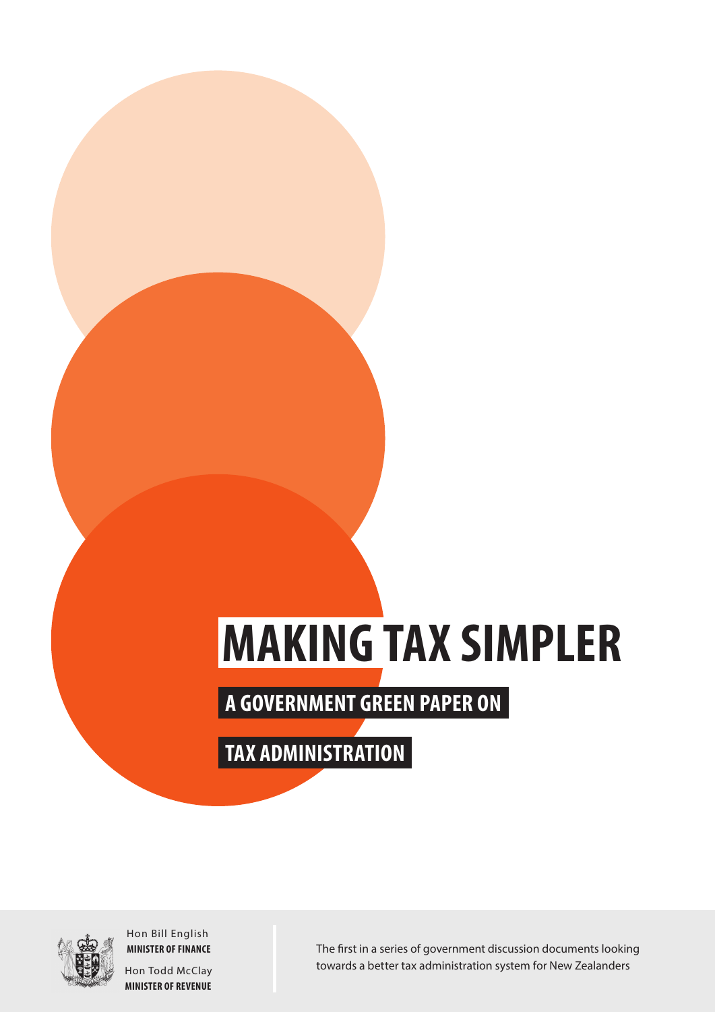# **MAKING TAX SIMPLER**

**A GOVERNMENT GREEN PAPER ON**

**TAX ADMINISTRATION**



Hon Bill English **MINISTER OF FINANCE**

Hon Todd McClay **MINISTER OF REVENUE** The first in a series of government discussion documents looking towards a better tax administration system for New Zealanders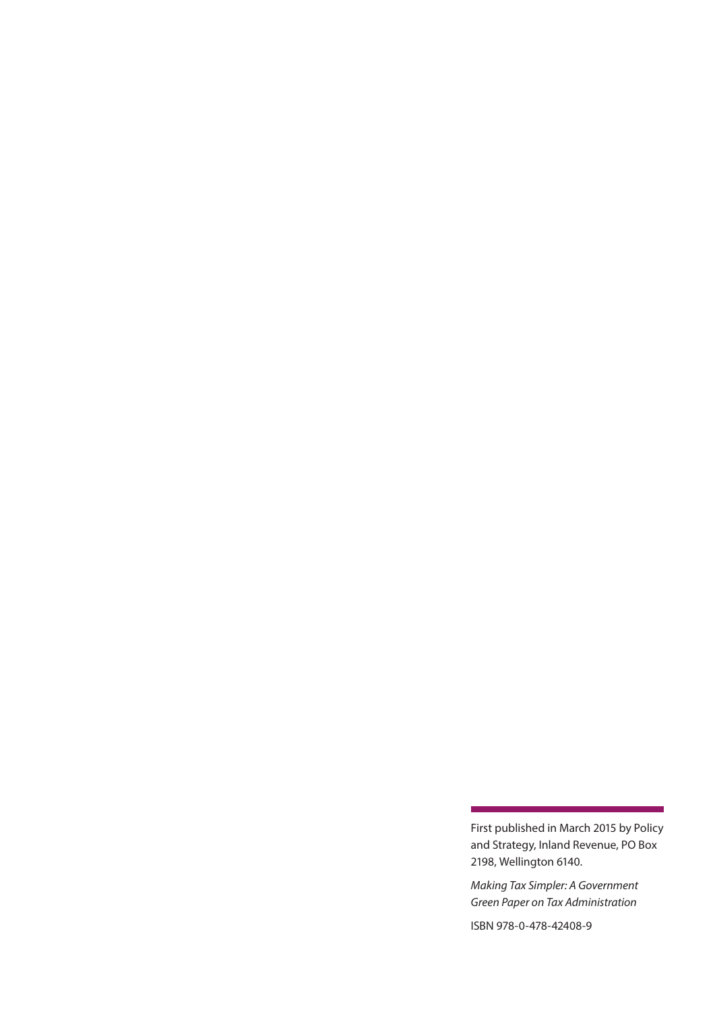First published in March 2015 by Policy and Strategy, Inland Revenue, PO Box 2198, Wellington 6140.

*Making Tax Simpler: A Government Green Paper on Tax Administration*

ISBN 978-0-478-42408-9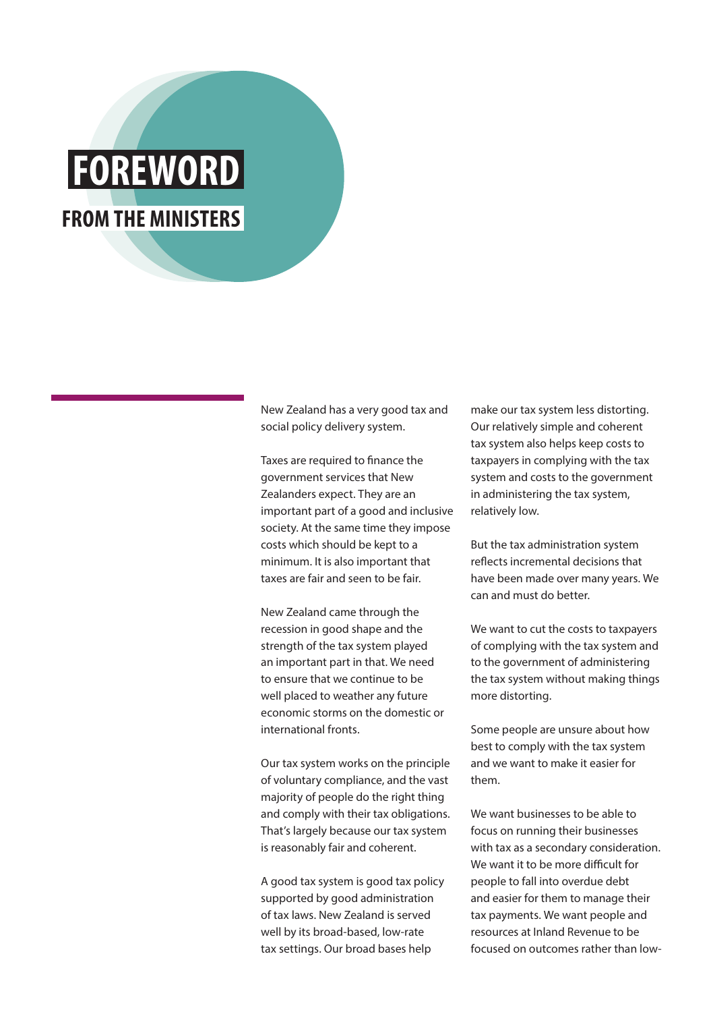## **FOREWORD FROM THE MINISTERS**

New Zealand has a very good tax and social policy delivery system.

Taxes are required to finance the government services that New Zealanders expect. They are an important part of a good and inclusive society. At the same time they impose costs which should be kept to a minimum. It is also important that taxes are fair and seen to be fair.

New Zealand came through the recession in good shape and the strength of the tax system played an important part in that. We need to ensure that we continue to be well placed to weather any future economic storms on the domestic or international fronts.

Our tax system works on the principle of voluntary compliance, and the vast majority of people do the right thing and comply with their tax obligations. That's largely because our tax system is reasonably fair and coherent.

A good tax system is good tax policy supported by good administration of tax laws. New Zealand is served well by its broad-based, low-rate tax settings. Our broad bases help

make our tax system less distorting. Our relatively simple and coherent tax system also helps keep costs to taxpayers in complying with the tax system and costs to the government in administering the tax system, relatively low.

But the tax administration system reflects incremental decisions that have been made over many years. We can and must do better.

We want to cut the costs to taxpayers of complying with the tax system and to the government of administering the tax system without making things more distorting.

Some people are unsure about how best to comply with the tax system and we want to make it easier for them.

We want businesses to be able to focus on running their businesses with tax as a secondary consideration. We want it to be more difficult for people to fall into overdue debt and easier for them to manage their tax payments. We want people and resources at Inland Revenue to be focused on outcomes rather than low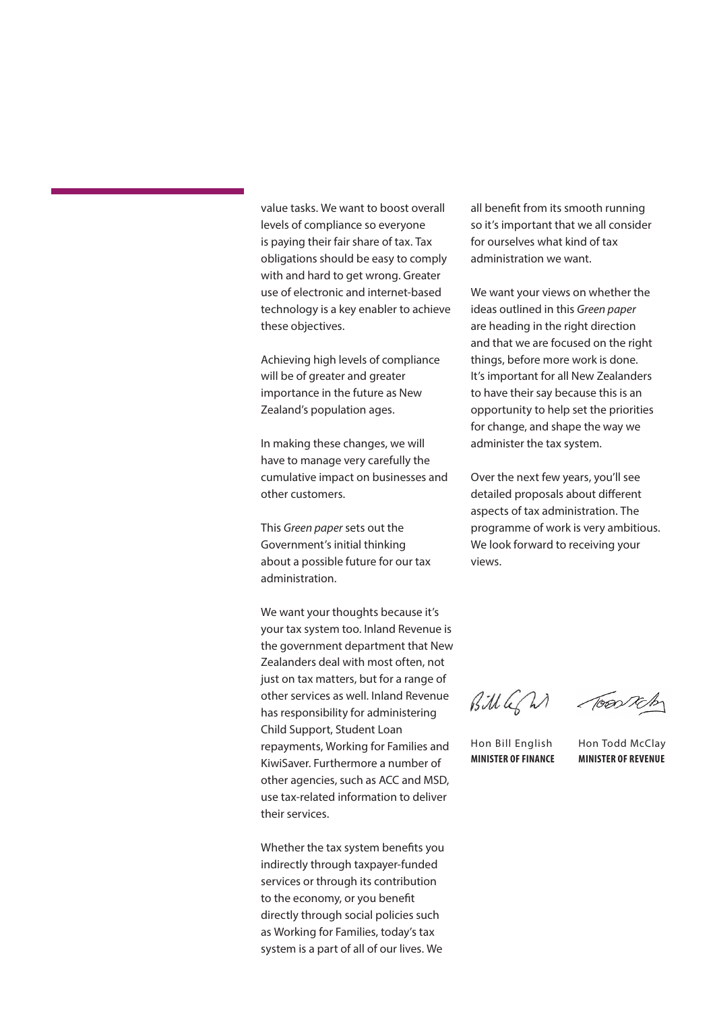value tasks. We want to boost overall levels of compliance so everyone is paying their fair share of tax. Tax obligations should be easy to comply with and hard to get wrong. Greater use of electronic and internet-based technology is a key enabler to achieve these objectives.

Achieving high levels of compliance will be of greater and greater importance in the future as New Zealand's population ages.

In making these changes, we will have to manage very carefully the cumulative impact on businesses and other customers.

This *Green paper* sets out the Government's initial thinking about a possible future for our tax administration.

We want your thoughts because it's your tax system too. Inland Revenue is the government department that New Zealanders deal with most often, not just on tax matters, but for a range of other services as well. Inland Revenue has responsibility for administering Child Support, Student Loan repayments, Working for Families and KiwiSaver. Furthermore a number of other agencies, such as ACC and MSD, use tax-related information to deliver their services.

Whether the tax system benefits you indirectly through taxpayer-funded services or through its contribution to the economy, or you benefit directly through social policies such as Working for Families, today's tax system is a part of all of our lives. We

all benefit from its smooth running so it's important that we all consider for ourselves what kind of tax administration we want.

We want your views on whether the ideas outlined in this *Green paper* are heading in the right direction and that we are focused on the right things, before more work is done. It's important for all New Zealanders to have their say because this is an opportunity to help set the priorities for change, and shape the way we administer the tax system.

Over the next few years, you'll see detailed proposals about different aspects of tax administration. The programme of work is very ambitious. We look forward to receiving your views.

Bill GM Tookh

Hon Bill English **MINISTER OF FINANCE**

Hon Todd McClay **MINISTER OF REVENUE**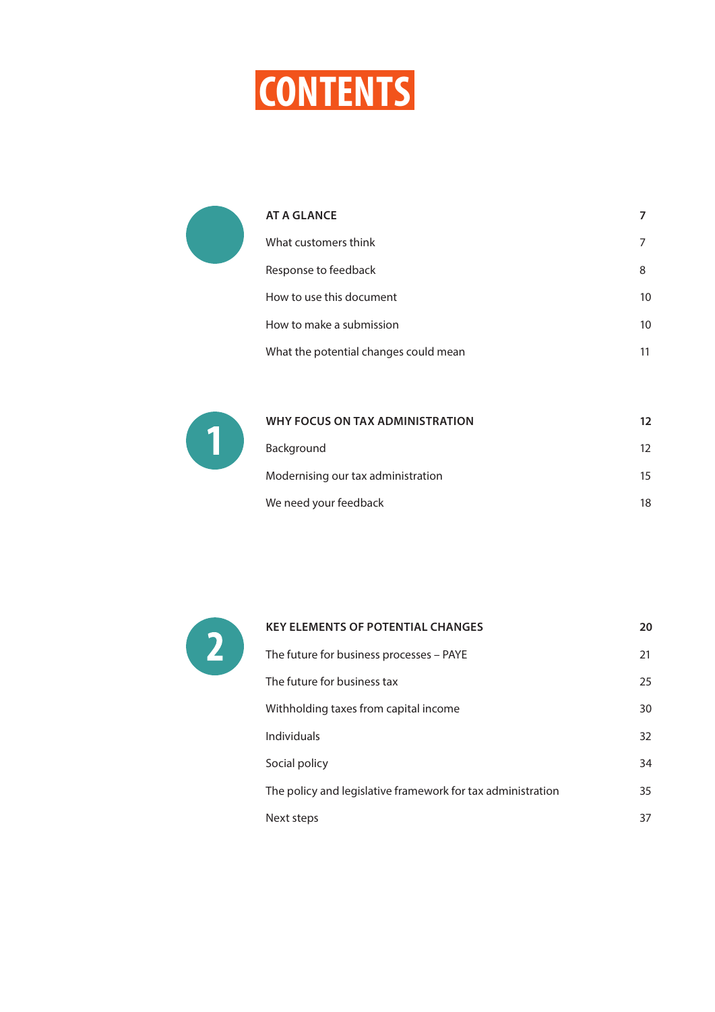

| AT A GLANCE                           |    |
|---------------------------------------|----|
| What customers think                  |    |
| Response to feedback                  | 8  |
| How to use this document              | 10 |
| How to make a submission              | 10 |
| What the potential changes could mean |    |



| WHY FOCUS ON TAX ADMINISTRATION    | 12 |
|------------------------------------|----|
| Background                         | 12 |
| Modernising our tax administration | 15 |
| We need your feedback              | 18 |



| <b>KEY ELEMENTS OF POTENTIAL CHANGES</b>                    | 20 |
|-------------------------------------------------------------|----|
| The future for business processes – PAYE                    | 21 |
| The future for business tax                                 | 25 |
| Withholding taxes from capital income                       | 30 |
| <b>Individuals</b>                                          | 32 |
| Social policy                                               | 34 |
| The policy and legislative framework for tax administration |    |
| Next steps                                                  | 37 |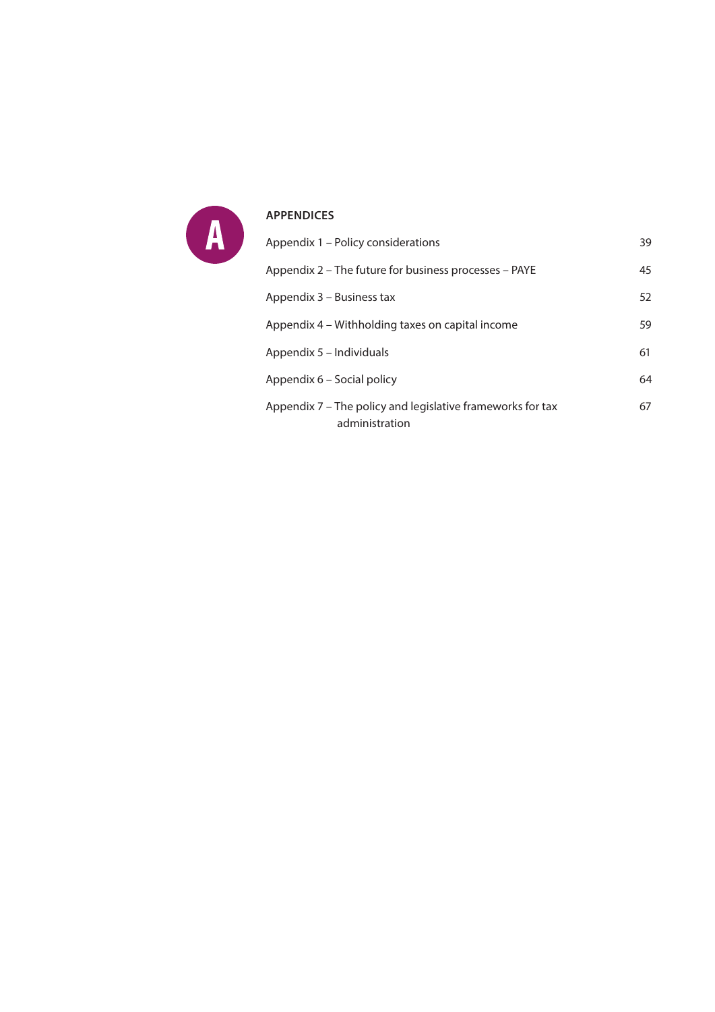

### **[APPENDICES](#page-37-0)**

| Appendix 1 - Policy considerations                                           | 39 |
|------------------------------------------------------------------------------|----|
| Appendix 2 – The future for business processes – PAYE                        | 45 |
| Appendix 3 – Business tax                                                    | 52 |
| Appendix 4 – Withholding taxes on capital income                             | 59 |
| Appendix 5 - Individuals                                                     | 61 |
| Appendix 6 - Social policy                                                   | 64 |
| Appendix 7 – The policy and legislative frameworks for tax<br>administration | 67 |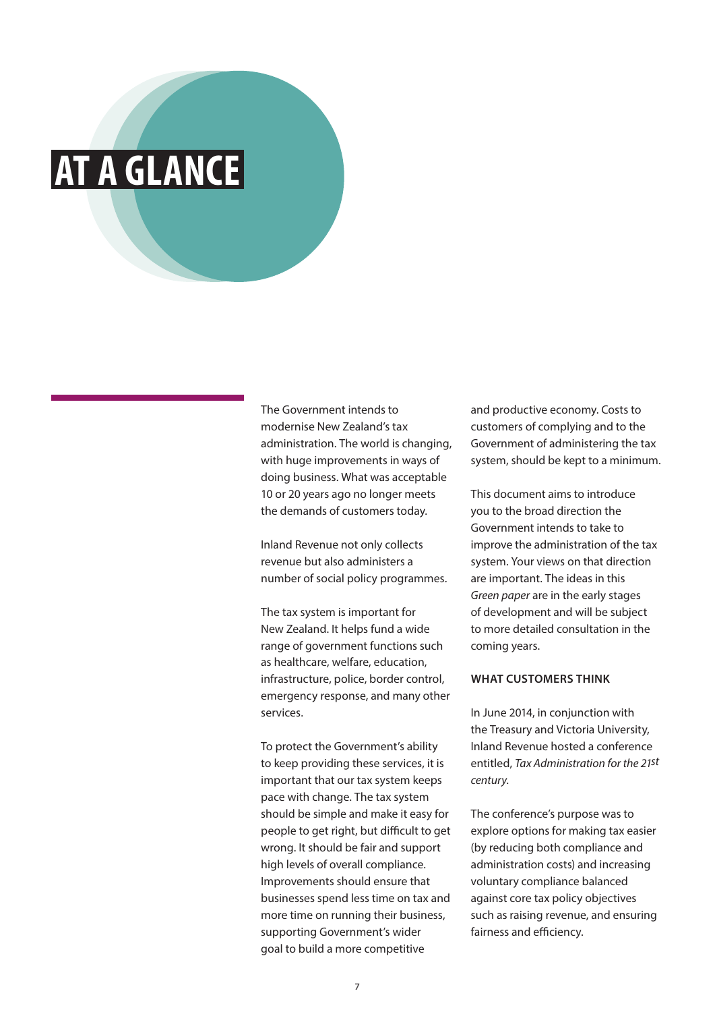### <span id="page-6-0"></span>**AT A GLANCE**

The Government intends to modernise New Zealand's tax administration. The world is changing, with huge improvements in ways of doing business. What was acceptable 10 or 20 years ago no longer meets the demands of customers today.

Inland Revenue not only collects revenue but also administers a number of social policy programmes.

The tax system is important for New Zealand. It helps fund a wide range of government functions such as healthcare, welfare, education, infrastructure, police, border control, emergency response, and many other services.

To protect the Government's ability to keep providing these services, it is important that our tax system keeps pace with change. The tax system should be simple and make it easy for people to get right, but difficult to get wrong. It should be fair and support high levels of overall compliance. Improvements should ensure that businesses spend less time on tax and more time on running their business, supporting Government's wider goal to build a more competitive

and productive economy. Costs to customers of complying and to the Government of administering the tax system, should be kept to a minimum.

This document aims to introduce you to the broad direction the Government intends to take to improve the administration of the tax system. Your views on that direction are important. The ideas in this *Green paper* are in the early stages of development and will be subject to more detailed consultation in the coming years.

### **WHAT CUSTOMERS THINK**

In June 2014, in conjunction with the Treasury and Victoria University, Inland Revenue hosted a conference entitled, *Tax Administration for the 21st century*.

The conference's purpose was to explore options for making tax easier (by reducing both compliance and administration costs) and increasing voluntary compliance balanced against core tax policy objectives such as raising revenue, and ensuring fairness and efficiency.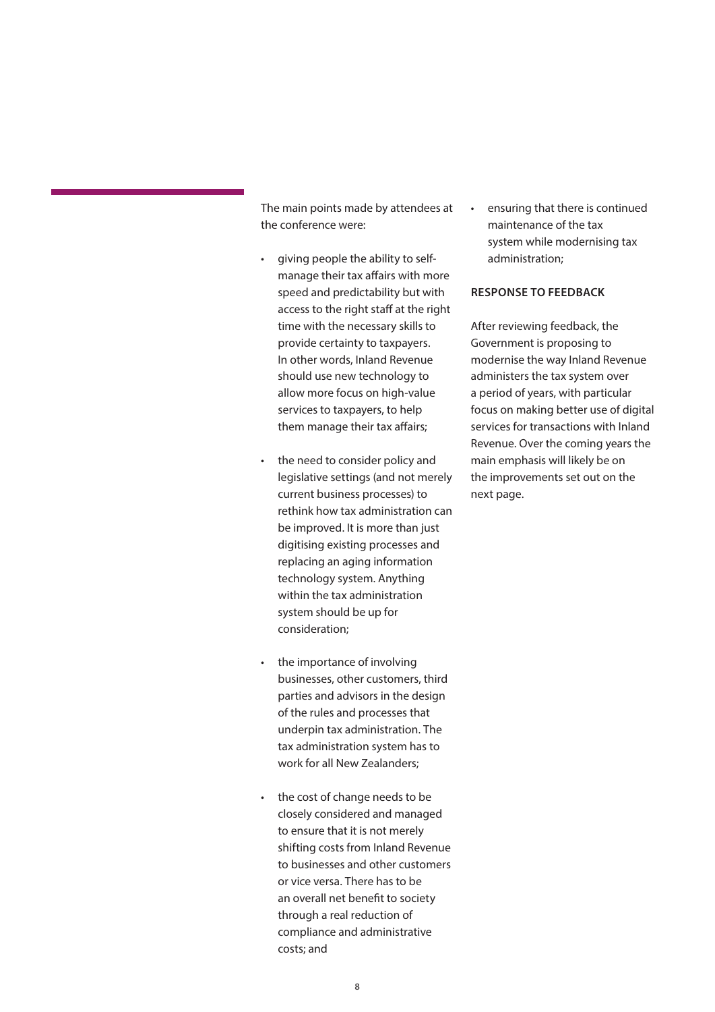<span id="page-7-0"></span>The main points made by attendees at the conference were:

- giving people the ability to selfmanage their tax affairs with more speed and predictability but with access to the right staff at the right time with the necessary skills to provide certainty to taxpayers. In other words, Inland Revenue should use new technology to allow more focus on high-value services to taxpayers, to help them manage their tax affairs;
- the need to consider policy and legislative settings (and not merely current business processes) to rethink how tax administration can be improved. It is more than just digitising existing processes and replacing an aging information technology system. Anything within the tax administration system should be up for consideration;
- the importance of involving businesses, other customers, third parties and advisors in the design of the rules and processes that underpin tax administration. The tax administration system has to work for all New Zealanders;
- the cost of change needs to be closely considered and managed to ensure that it is not merely shifting costs from Inland Revenue to businesses and other customers or vice versa. There has to be an overall net benefit to society through a real reduction of compliance and administrative costs; and

• ensuring that there is continued maintenance of the tax system while modernising tax administration;

### **RESPONSE TO FEEDBACK**

After reviewing feedback, the Government is proposing to modernise the way Inland Revenue administers the tax system over a period of years, with particular focus on making better use of digital services for transactions with Inland Revenue. Over the coming years the main emphasis will likely be on the improvements set out on the next page.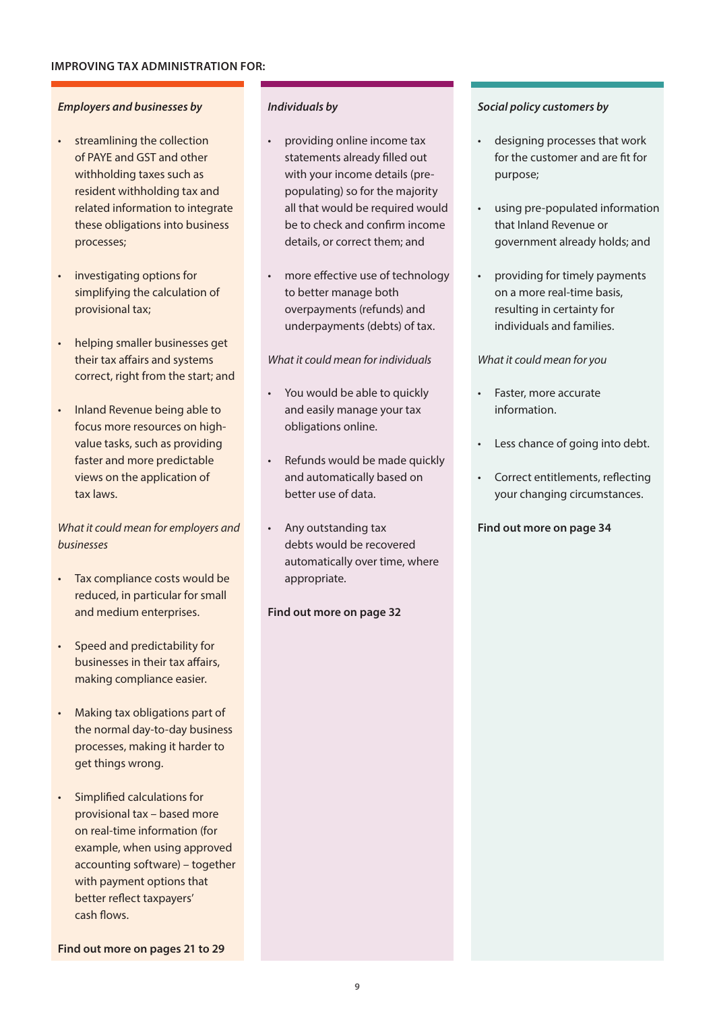### *Employers and businesses by*

- streamlining the collection of PAYE and GST and other withholding taxes such as resident withholding tax and related information to integrate these obligations into business processes;
- investigating options for simplifying the calculation of provisional tax;
- helping smaller businesses get their tax affairs and systems correct, right from the start; and
- Inland Revenue being able to focus more resources on highvalue tasks, such as providing faster and more predictable views on the application of tax laws.

### *What it could mean for employers and businesses*

- Tax compliance costs would be reduced, in particular for small and medium enterprises.
- Speed and predictability for businesses in their tax affairs, making compliance easier.
- Making tax obligations part of the normal day-to-day business processes, making it harder to get things wrong.
- Simplified calculations for provisional tax – based more on real-time information (for example, when using approved accounting software) – together with payment options that better reflect taxpayers' cash flows.

**Find out more on pages 21 to 29**

### *Individuals by*

- providing online income tax statements already filled out with your income details (prepopulating) so for the majority all that would be required would be to check and confirm income details, or correct them; and
- more effective use of technology to better manage both overpayments (refunds) and underpayments (debts) of tax.

### *What it could mean for individuals*

- You would be able to quickly and easily manage your tax obligations online.
- Refunds would be made quickly and automatically based on better use of data.
- Any outstanding tax debts would be recovered automatically over time, where appropriate.

### **Find out more on page 32**

### *Social policy customers by*

- designing processes that work for the customer and are fit for purpose;
- using pre-populated information that Inland Revenue or government already holds; and
- providing for timely payments on a more real-time basis, resulting in certainty for individuals and families.

### *What it could mean for you*

- Faster, more accurate information.
- Less chance of going into debt.
- Correct entitlements, reflecting your changing circumstances.

### **Find out more on page 34**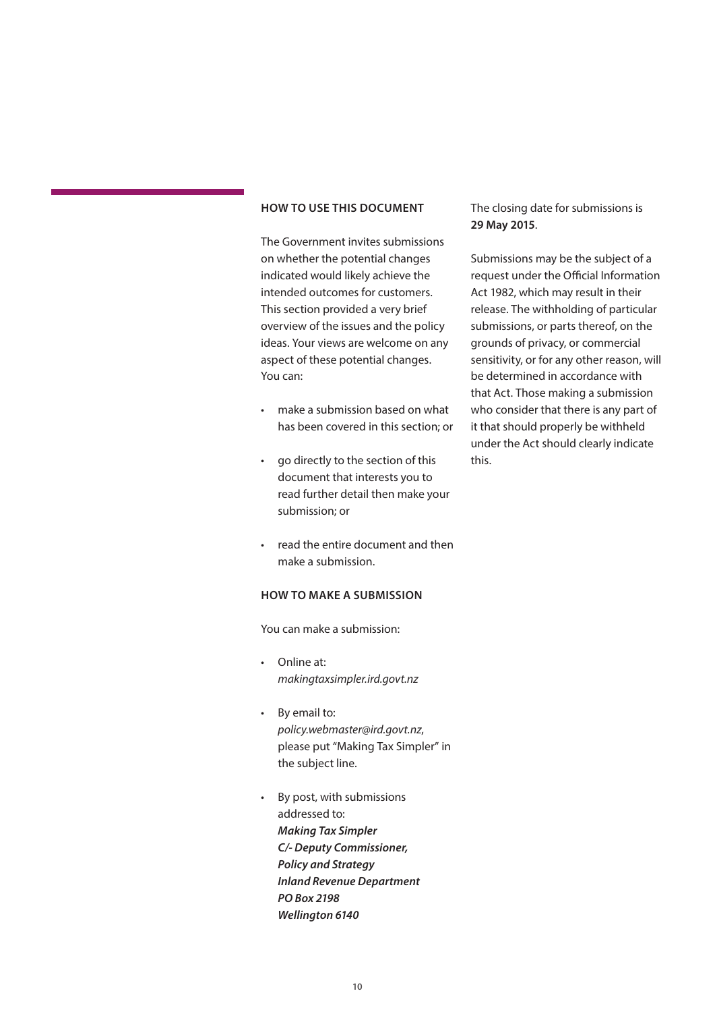### <span id="page-9-0"></span>**HOW TO USE THIS DOCUMENT**

The Government invites submissions on whether the potential changes indicated would likely achieve the intended outcomes for customers. This section provided a very brief overview of the issues and the policy ideas. Your views are welcome on any aspect of these potential changes. You can:

- make a submission based on what has been covered in this section; or
- go directly to the section of this document that interests you to read further detail then make your submission; or
- read the entire document and then make a submission.

### **HOW TO MAKE A SUBMISSION**

You can make a submission:

- Online at: *makingtaxsimpler.ird.govt.nz*
- By email to: *policy.webmaster@ird.govt.nz*, please put "Making Tax Simpler" in the subject line.
- By post, with submissions addressed to: *Making Tax Simpler C/- Deputy Commissioner, Policy and Strategy Inland Revenue Department PO Box 2198 Wellington 6140*

### The closing date for submissions is **29 May 2015**.

Submissions may be the subject of a request under the Official Information Act 1982, which may result in their release. The withholding of particular submissions, or parts thereof, on the grounds of privacy, or commercial sensitivity, or for any other reason, will be determined in accordance with that Act. Those making a submission who consider that there is any part of it that should properly be withheld under the Act should clearly indicate this.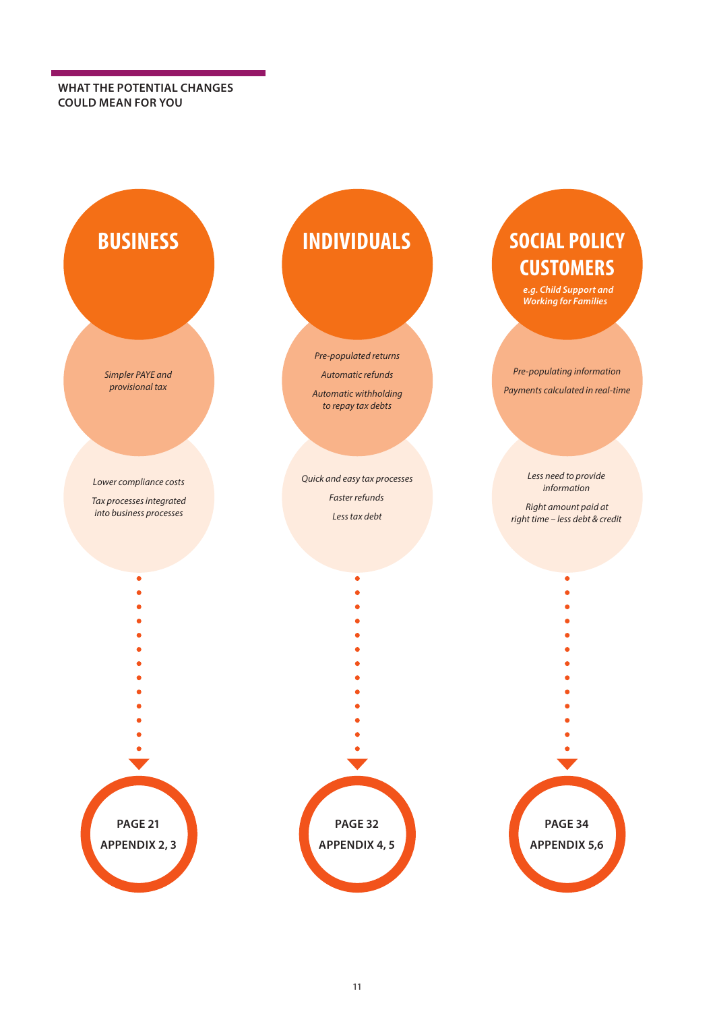<span id="page-10-0"></span>**WHAT THE POTENTIAL CHANGES COULD MEAN FOR YOU**

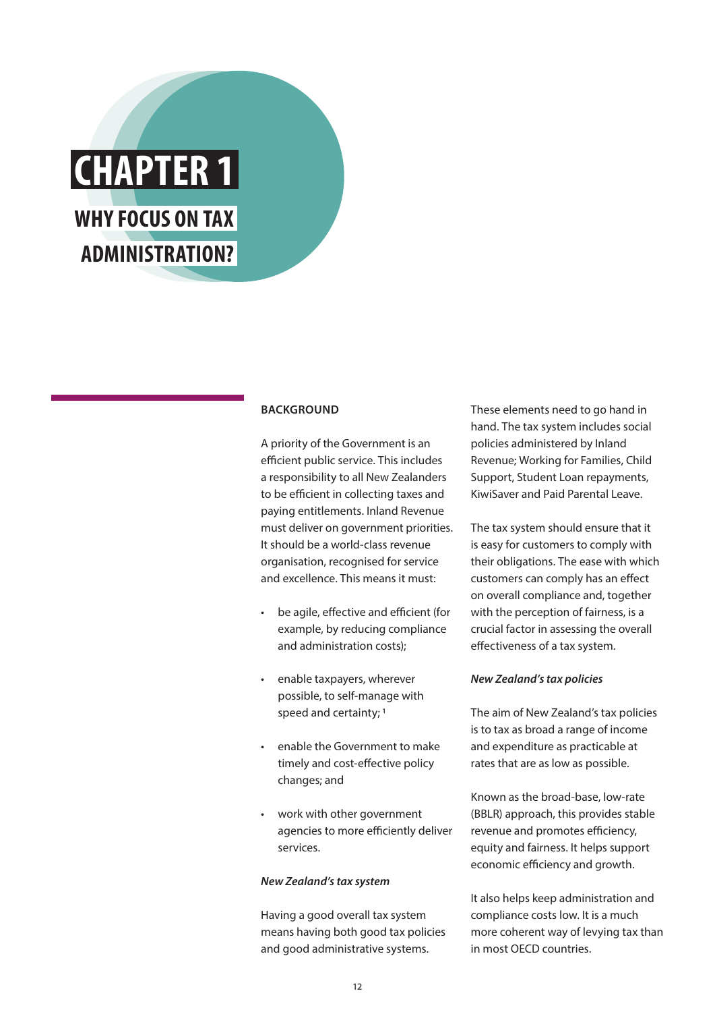<span id="page-11-0"></span>

### **BACKGROUND**

A priority of the Government is an efficient public service. This includes a responsibility to all New Zealanders to be efficient in collecting taxes and paying entitlements. Inland Revenue must deliver on government priorities. It should be a world-class revenue organisation, recognised for service and excellence. This means it must:

- be agile, effective and efficient (for example, by reducing compliance and administration costs);
- enable taxpayers, wherever possible, to self-manage with speed and certainty;<sup>1</sup>
- enable the Government to make timely and cost-effective policy changes; and
- work with other government agencies to more efficiently deliver services.

### *New Zealand's tax system*

Having a good overall tax system means having both good tax policies and good administrative systems.

These elements need to go hand in hand. The tax system includes social policies administered by Inland Revenue; Working for Families, Child Support, Student Loan repayments, KiwiSaver and Paid Parental Leave.

The tax system should ensure that it is easy for customers to comply with their obligations. The ease with which customers can comply has an effect on overall compliance and, together with the perception of fairness, is a crucial factor in assessing the overall effectiveness of a tax system.

### *New Zealand's tax policies*

The aim of New Zealand's tax policies is to tax as broad a range of income and expenditure as practicable at rates that are as low as possible.

Known as the broad-base, low-rate (BBLR) approach, this provides stable revenue and promotes efficiency, equity and fairness. It helps support economic efficiency and growth.

It also helps keep administration and compliance costs low. It is a much more coherent way of levying tax than in most OECD countries.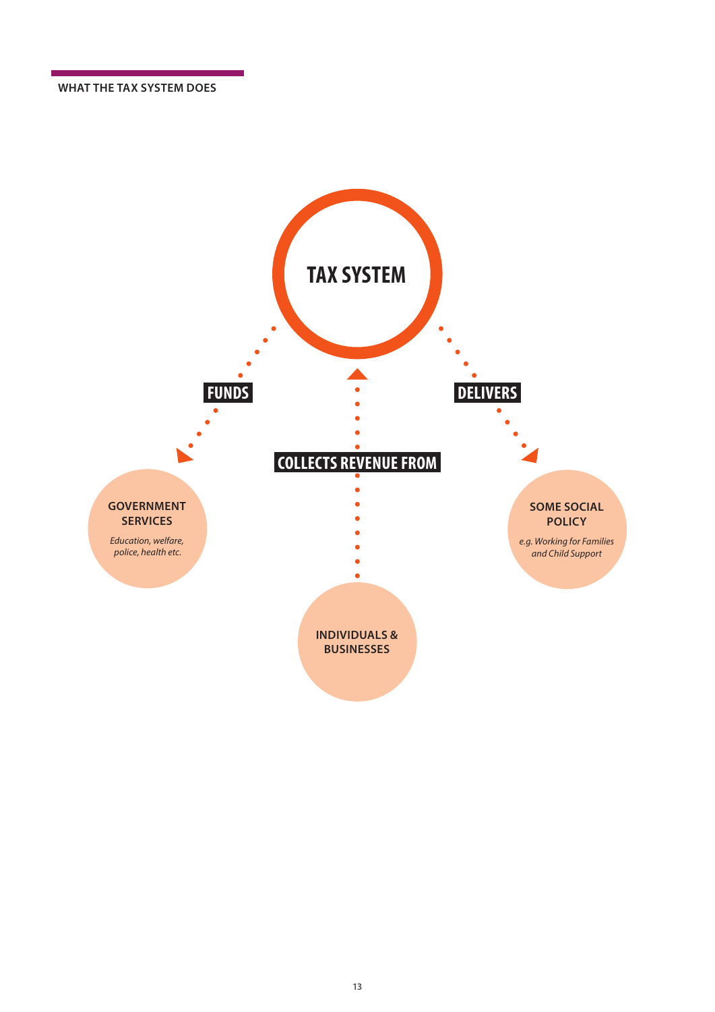**WHAT THE TAX SYSTEM DOES**

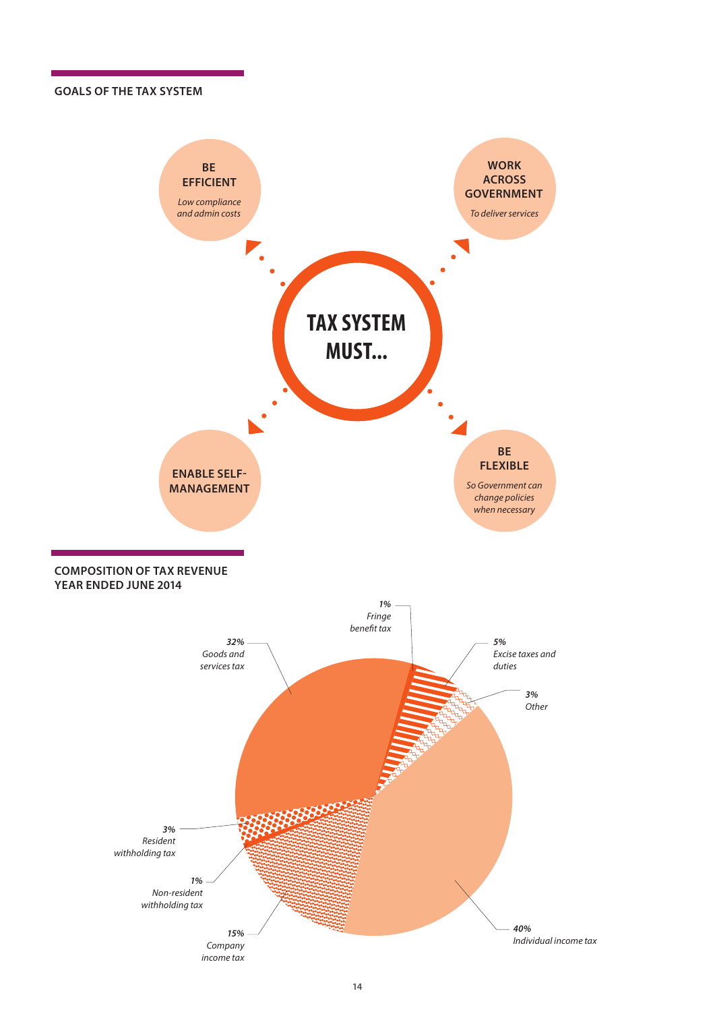### **GOALS OF THE TAX SYSTEM**

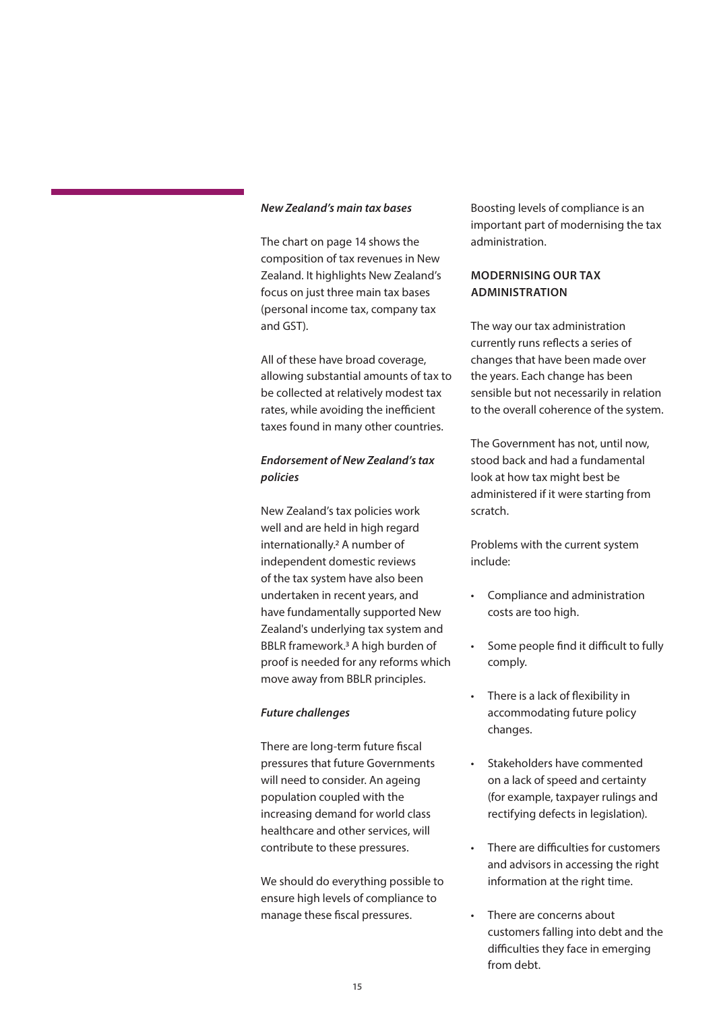### <span id="page-14-0"></span>*New Zealand's main tax bases*

The chart on page 14 shows the composition of tax revenues in New Zealand. It highlights New Zealand's focus on just three main tax bases (personal income tax, company tax and GST).

All of these have broad coverage, allowing substantial amounts of tax to be collected at relatively modest tax rates, while avoiding the inefficient taxes found in many other countries.

### *Endorsement of New Zealand's tax policies*

New Zealand's tax policies work well and are held in high regard internationally.2 A number of independent domestic reviews of the tax system have also been undertaken in recent years, and have fundamentally supported New Zealand's underlying tax system and BBLR framework.3 A high burden of proof is needed for any reforms which move away from BBLR principles.

### *Future challenges*

There are long-term future fiscal pressures that future Governments will need to consider. An ageing population coupled with the increasing demand for world class healthcare and other services, will contribute to these pressures.

We should do everything possible to ensure high levels of compliance to manage these fiscal pressures.

Boosting levels of compliance is an important part of modernising the tax administration.

### **MODERNISING OUR TAX ADMINISTRATION**

The way our tax administration currently runs reflects a series of changes that have been made over the years. Each change has been sensible but not necessarily in relation to the overall coherence of the system.

The Government has not, until now, stood back and had a fundamental look at how tax might best be administered if it were starting from scratch.

Problems with the current system include:

- Compliance and administration costs are too high.
- Some people find it difficult to fully comply.
- There is a lack of flexibility in accommodating future policy changes.
- Stakeholders have commented on a lack of speed and certainty (for example, taxpayer rulings and rectifying defects in legislation).
- There are difficulties for customers and advisors in accessing the right information at the right time.
- There are concerns about customers falling into debt and the difficulties they face in emerging from debt.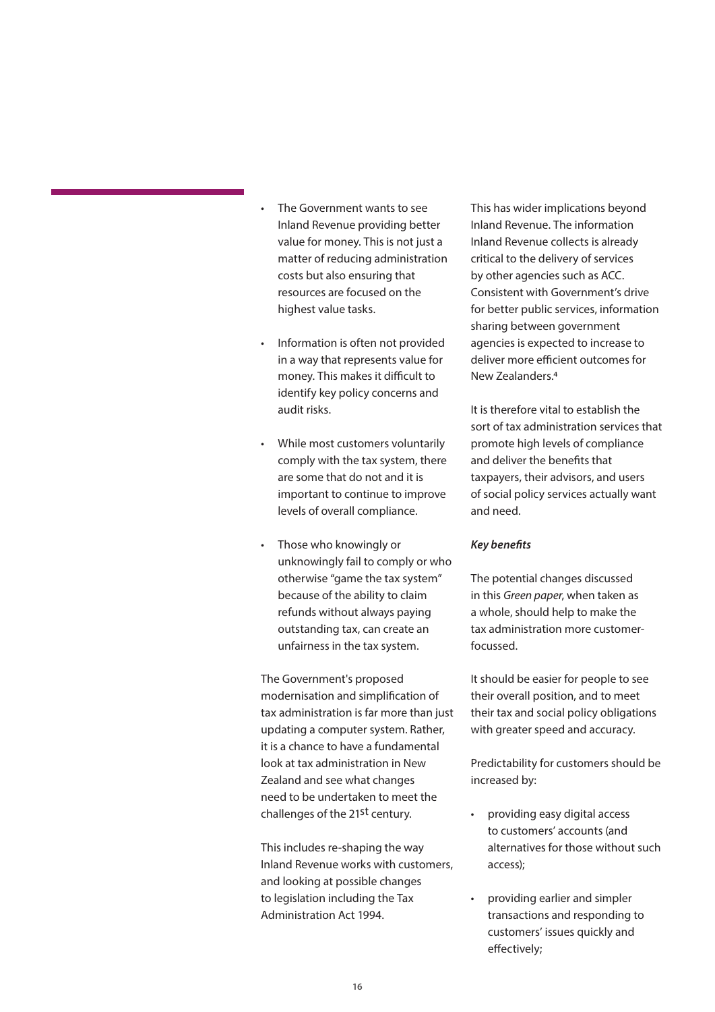- The Government wants to see Inland Revenue providing better value for money. This is not just a matter of reducing administration costs but also ensuring that resources are focused on the highest value tasks.
- Information is often not provided in a way that represents value for money. This makes it difficult to identify key policy concerns and audit risks.
- While most customers voluntarily comply with the tax system, there are some that do not and it is important to continue to improve levels of overall compliance.
- Those who knowingly or unknowingly fail to comply or who otherwise "game the tax system" because of the ability to claim refunds without always paying outstanding tax, can create an unfairness in the tax system.

The Government's proposed modernisation and simplification of tax administration is far more than just updating a computer system. Rather, it is a chance to have a fundamental look at tax administration in New Zealand and see what changes need to be undertaken to meet the challenges of the 21st century.

This includes re-shaping the way Inland Revenue works with customers, and looking at possible changes to legislation including the Tax Administration Act 1994.

This has wider implications beyond Inland Revenue. The information Inland Revenue collects is already critical to the delivery of services by other agencies such as ACC. Consistent with Government's drive for better public services, information sharing between government agencies is expected to increase to deliver more efficient outcomes for New Zealanders.4

It is therefore vital to establish the sort of tax administration services that promote high levels of compliance and deliver the benefits that taxpayers, their advisors, and users of social policy services actually want and need.

### *Key benefits*

The potential changes discussed in this *Green paper*, when taken as a whole, should help to make the tax administration more customerfocussed.

It should be easier for people to see their overall position, and to meet their tax and social policy obligations with greater speed and accuracy.

Predictability for customers should be increased by:

- providing easy digital access to customers' accounts (and alternatives for those without such access);
- providing earlier and simpler transactions and responding to customers' issues quickly and effectively;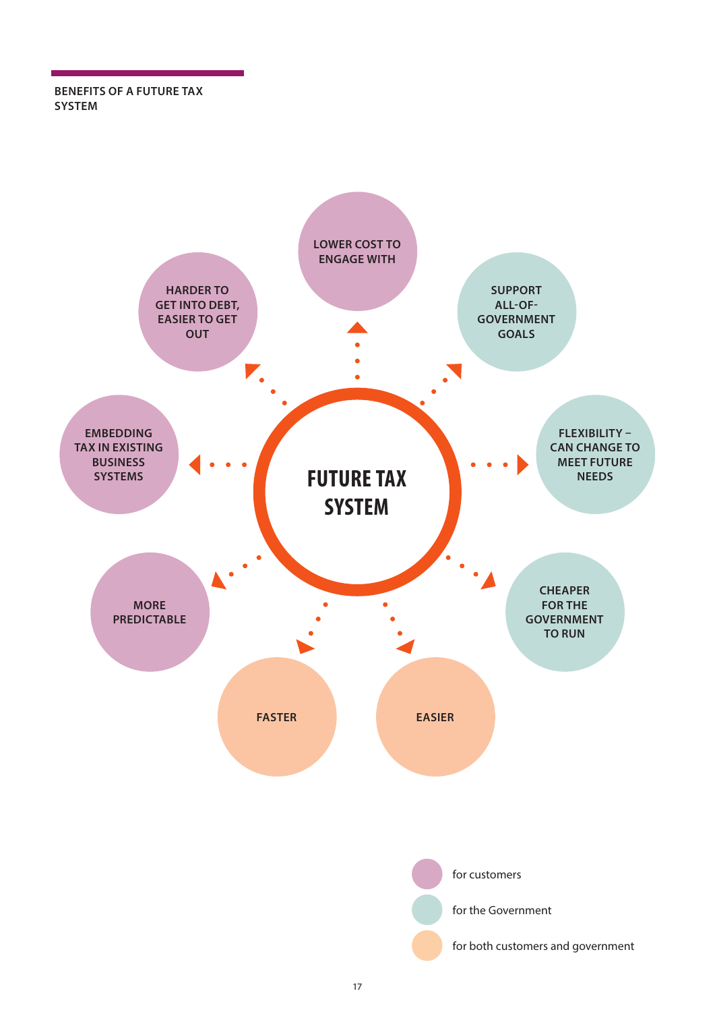**BENEFITS OF A FUTURE TAX SYSTEM**

![](_page_16_Figure_1.jpeg)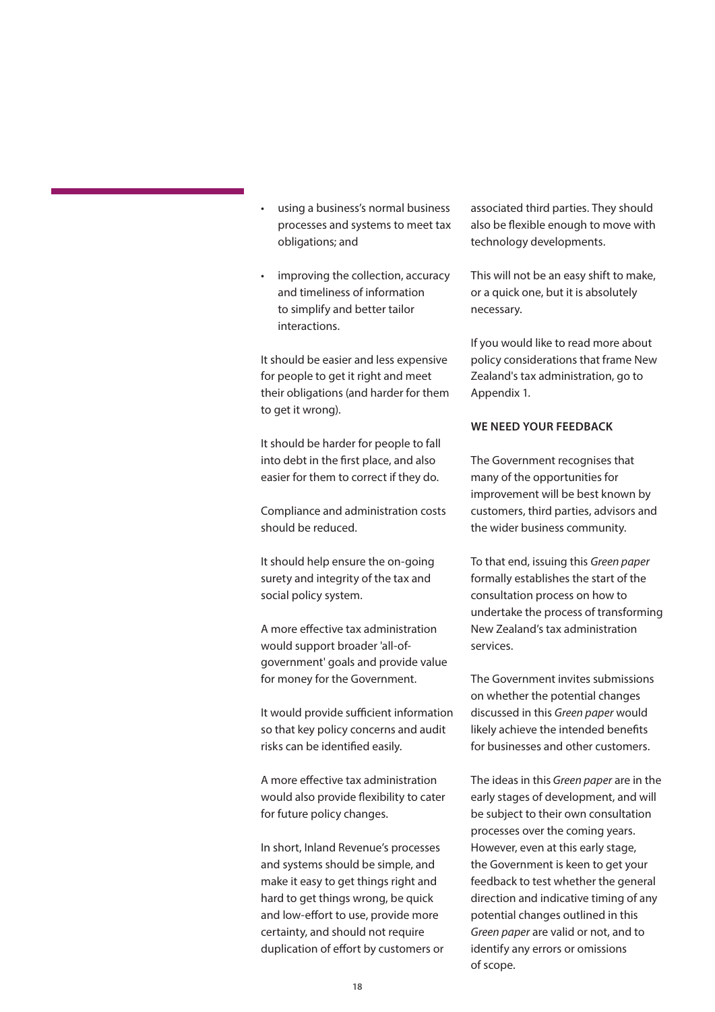- <span id="page-17-0"></span>• using a business's normal business processes and systems to meet tax obligations; and
- improving the collection, accuracy and timeliness of information to simplify and better tailor interactions.

It should be easier and less expensive for people to get it right and meet their obligations (and harder for them to get it wrong).

It should be harder for people to fall into debt in the first place, and also easier for them to correct if they do.

Compliance and administration costs should be reduced.

It should help ensure the on-going surety and integrity of the tax and social policy system.

A more effective tax administration would support broader 'all-ofgovernment' goals and provide value for money for the Government.

It would provide sufficient information so that key policy concerns and audit risks can be identified easily.

A more effective tax administration would also provide flexibility to cater for future policy changes.

In short, Inland Revenue's processes and systems should be simple, and make it easy to get things right and hard to get things wrong, be quick and low-effort to use, provide more certainty, and should not require duplication of effort by customers or associated third parties. They should also be flexible enough to move with technology developments.

This will not be an easy shift to make, or a quick one, but it is absolutely necessary.

If you would like to read more about policy considerations that frame New Zealand's tax administration, go to Appendix 1.

### **WE NEED YOUR FEEDBACK**

The Government recognises that many of the opportunities for improvement will be best known by customers, third parties, advisors and the wider business community.

To that end, issuing this *Green paper* formally establishes the start of the consultation process on how to undertake the process of transforming New Zealand's tax administration services.

The Government invites submissions on whether the potential changes discussed in this *Green paper* would likely achieve the intended benefits for businesses and other customers.

The ideas in this *Green paper* are in the early stages of development, and will be subject to their own consultation processes over the coming years. However, even at this early stage, the Government is keen to get your feedback to test whether the general direction and indicative timing of any potential changes outlined in this *Green paper* are valid or not, and to identify any errors or omissions of scope.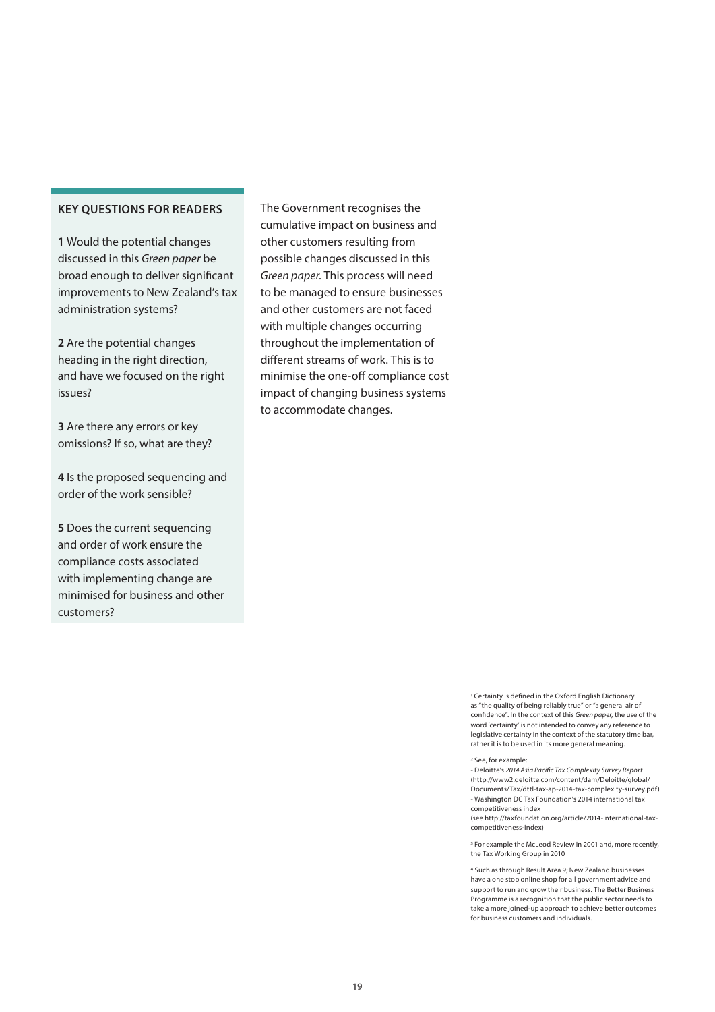**1** Would the potential changes discussed in this *Green paper* be broad enough to deliver significant improvements to New Zealand's tax administration systems?

**2** Are the potential changes heading in the right direction, and have we focused on the right issues?

**3** Are there any errors or key omissions? If so, what are they?

**4** Is the proposed sequencing and order of the work sensible?

**5** Does the current sequencing and order of work ensure the compliance costs associated with implementing change are minimised for business and other customers?

The Government recognises the cumulative impact on business and other customers resulting from possible changes discussed in this *Green paper*. This process will need to be managed to ensure businesses and other customers are not faced with multiple changes occurring throughout the implementation of different streams of work. This is to minimise the one-off compliance cost impact of changing business systems to accommodate changes.

> 1 Certainty is defined in the Oxford English Dictionary as "the quality of being reliably true" or "a general air of confidence". In the context of this *Green paper,* the use of the word 'certainty' is not intended to convey any reference to legislative certainty in the context of the statutory time bar, rather it is to be used in its more general meaning.

#### 2 See, for example:

- Deloitte's *2014 Asia Pacific Tax Complexity Survey Report* (http://www2.deloitte.com/content/dam/Deloitte/global/ Documents/Tax/dttl-tax-ap-2014-tax-complexity-survey.pdf) - Washington DC Tax Foundation's 2014 international tax competitiveness index

(see http://taxfoundation.org/article/2014-international-taxcompetitiveness-index)

3 For example the McLeod Review in 2001 and, more recently, the Tax Working Group in 2010

4 Such as through Result Area 9; New Zealand businesses have a one stop online shop for all government advice and support to run and grow their business. The Better Business Programme is a recognition that the public sector needs to take a more joined-up approach to achieve better outcomes for business customers and individuals.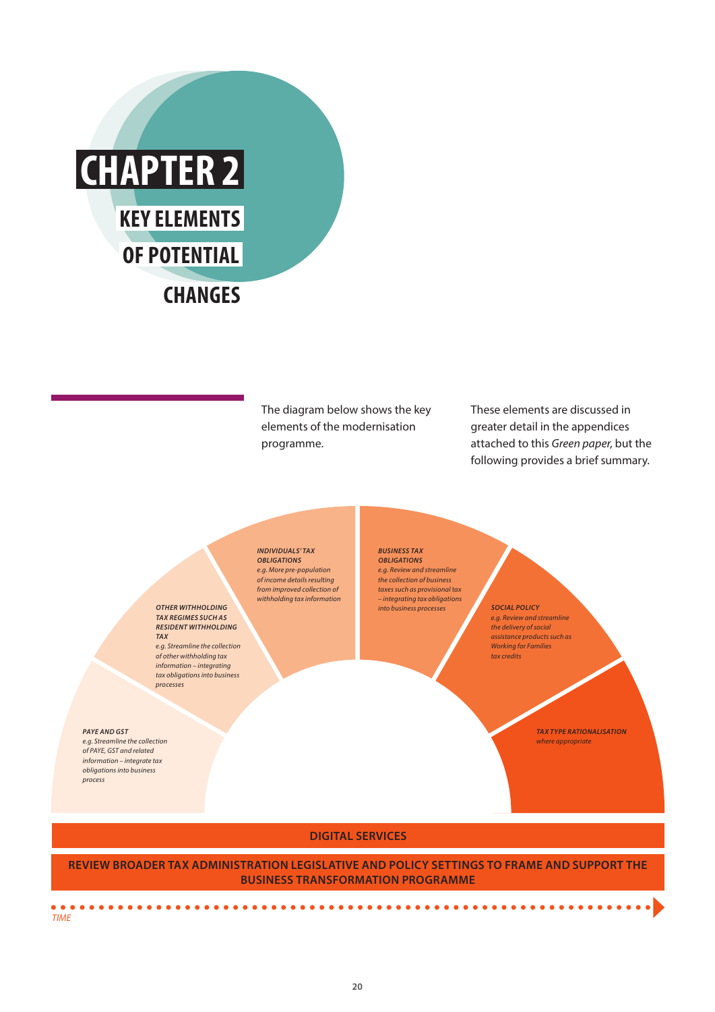<span id="page-19-0"></span>![](_page_19_Picture_0.jpeg)

*OTHER WITHHOLDING TAX REGIMES SUCH AS RESIDENT WITHHOLDING* 

*e.g. Streamline the collection of other withholding tax information – integrating tax obligations into business* 

*TAX*

*processes*

The diagram below shows the key elements of the modernisation programme.

These elements are discussed in greater detail in the appendices attached to this *Green paper*, but the following provides a brief summary.

*INDIVIDUALS' TAX OBLIGATIONS e.g. More pre-population of income details resulting from improved collection of withholding tax information* *BUSINESS TAX OBLIGATIONS e.g. Review and streamline the collection of business taxes such as provisional tax – integrating tax obligations into business processes SOCIAL POLICY*

*e.g. Review and streamline the delivery of social assistance products such as Working for Families tax credits*

> *TAX TYPE RATIONALISATION where appropriate*

### **DIGITAL SERVICES**

**REVIEW BROADER TAX ADMINISTRATION LEGISLATIVE AND POLICY SETTINGS TO FRAME AND SUPPORT THE BUSINESS TRANSFORMATION PROGRAMME**

 $\Delta$ 

*PAYE AND GST e.g. Streamline the collection of PAYE, GST and related information – integrate tax obligations into business* 

*process*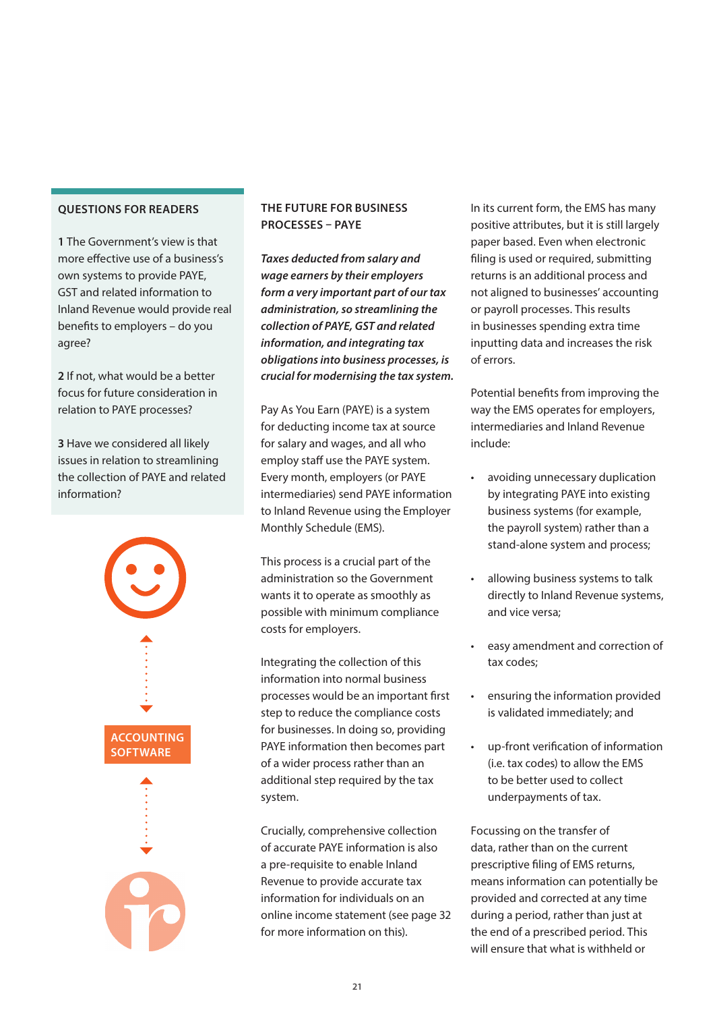<span id="page-20-0"></span>**1** The Government's view is that more effective use of a business's own systems to provide PAYE, GST and related information to Inland Revenue would provide real benefits to employers – do you agree?

**2** If not, what would be a better focus for future consideration in relation to PAYE processes?

**3** Have we considered all likely issues in relation to streamlining the collection of PAYE and related information?

![](_page_20_Figure_4.jpeg)

### **THE FUTURE FOR BUSINESS PROCESSES – PAYE**

*Taxes deducted from salary and wage earners by their employers form a very important part of our tax administration, so streamlining the collection of PAYE, GST and related information, and integrating tax obligations into business processes, is crucial for modernising the tax system.*

Pay As You Earn (PAYE) is a system for deducting income tax at source for salary and wages, and all who employ staff use the PAYE system. Every month, employers (or PAYE intermediaries) send PAYE information to Inland Revenue using the Employer Monthly Schedule (EMS).

This process is a crucial part of the administration so the Government wants it to operate as smoothly as possible with minimum compliance costs for employers.

Integrating the collection of this information into normal business processes would be an important first step to reduce the compliance costs for businesses. In doing so, providing PAYE information then becomes part of a wider process rather than an additional step required by the tax system.

Crucially, comprehensive collection of accurate PAYE information is also a pre-requisite to enable Inland Revenue to provide accurate tax information for individuals on an online income statement (see page 32 for more information on this).

In its current form, the EMS has many positive attributes, but it is still largely paper based. Even when electronic filing is used or required, submitting returns is an additional process and not aligned to businesses' accounting or payroll processes. This results in businesses spending extra time inputting data and increases the risk of errors.

Potential benefits from improving the way the EMS operates for employers, intermediaries and Inland Revenue include:

- avoiding unnecessary duplication by integrating PAYE into existing business systems (for example, the payroll system) rather than a stand-alone system and process;
- allowing business systems to talk directly to Inland Revenue systems, and vice versa;
- easy amendment and correction of tax codes;
- ensuring the information provided is validated immediately; and
- up-front verification of information (i.e. tax codes) to allow the EMS to be better used to collect underpayments of tax.

Focussing on the transfer of data, rather than on the current prescriptive filing of EMS returns, means information can potentially be provided and corrected at any time during a period, rather than just at the end of a prescribed period. This will ensure that what is withheld or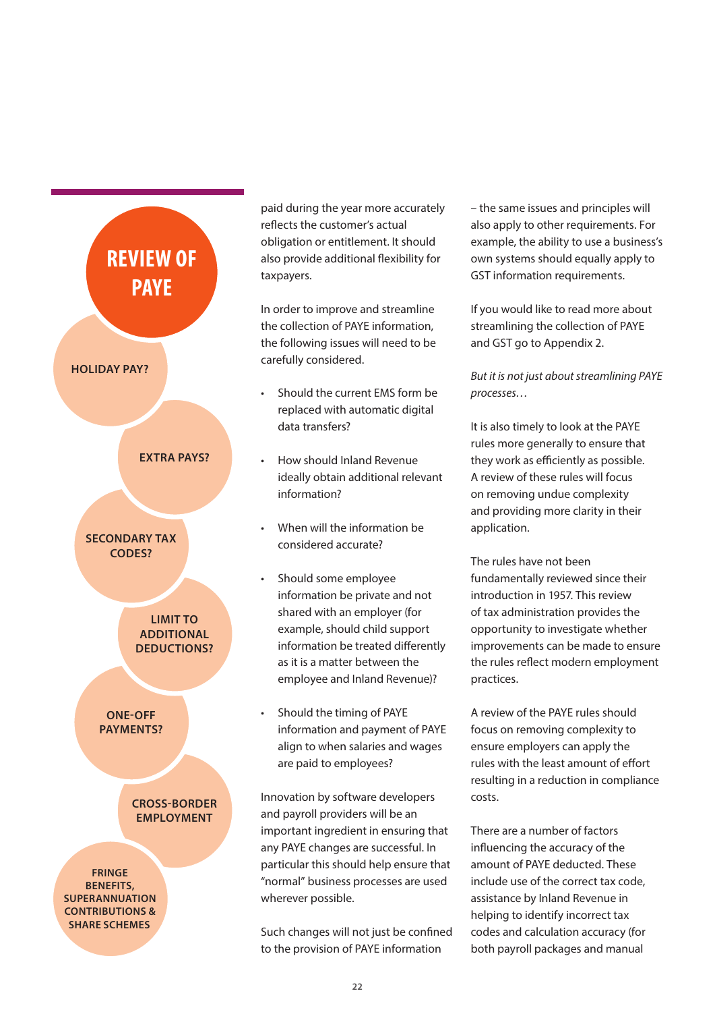![](_page_21_Figure_0.jpeg)

paid during the year more accurately reflects the customer's actual obligation or entitlement. It should also provide additional flexibility for taxpayers.

In order to improve and streamline the collection of PAYE information, the following issues will need to be carefully considered.

- Should the current EMS form be replaced with automatic digital data transfers?
- How should Inland Revenue ideally obtain additional relevant information?
- When will the information be considered accurate?
- Should some employee information be private and not shared with an employer (for example, should child support information be treated differently as it is a matter between the employee and Inland Revenue)?
- Should the timing of PAYE information and payment of PAYE align to when salaries and wages are paid to employees?

Innovation by software developers and payroll providers will be an important ingredient in ensuring that any PAYE changes are successful. In particular this should help ensure that "normal" business processes are used wherever possible.

Such changes will not just be confined to the provision of PAYE information

– the same issues and principles will also apply to other requirements. For example, the ability to use a business's own systems should equally apply to GST information requirements.

If you would like to read more about streamlining the collection of PAYE and GST go to Appendix 2.

*But it is not just about streamlining PAYE processes…*

It is also timely to look at the PAYE rules more generally to ensure that they work as efficiently as possible. A review of these rules will focus on removing undue complexity and providing more clarity in their application.

The rules have not been fundamentally reviewed since their introduction in 1957. This review of tax administration provides the opportunity to investigate whether improvements can be made to ensure the rules reflect modern employment practices.

A review of the PAYE rules should focus on removing complexity to ensure employers can apply the rules with the least amount of effort resulting in a reduction in compliance costs.

There are a number of factors influencing the accuracy of the amount of PAYE deducted. These include use of the correct tax code, assistance by Inland Revenue in helping to identify incorrect tax codes and calculation accuracy (for both payroll packages and manual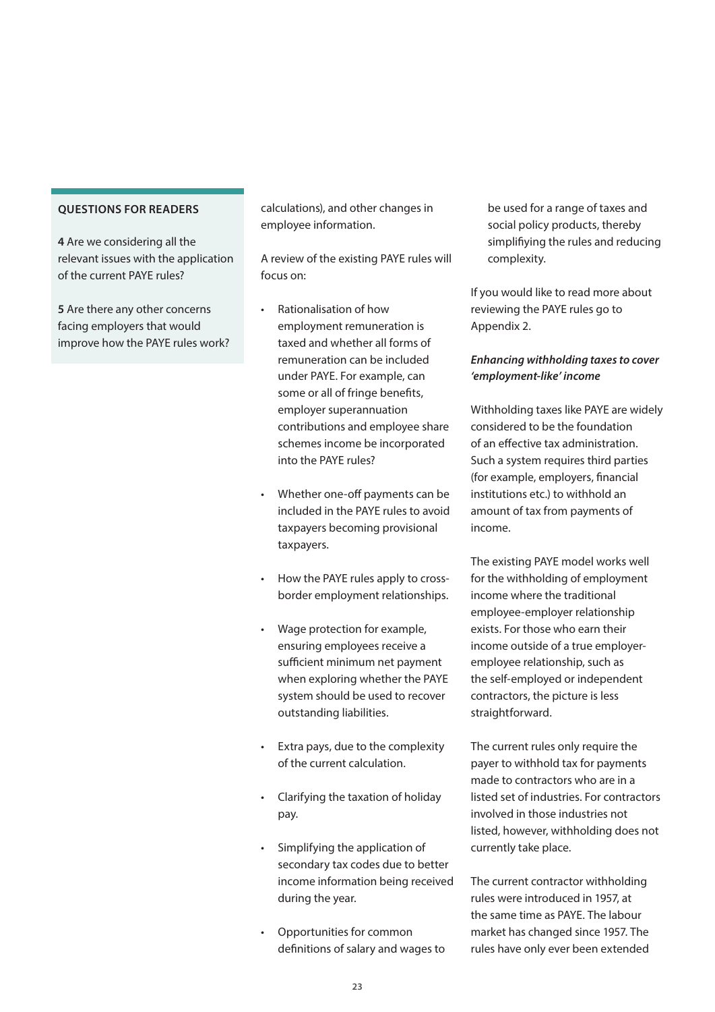**4** Are we considering all the relevant issues with the application of the current PAYE rules?

**5** Are there any other concerns facing employers that would improve how the PAYE rules work? calculations), and other changes in employee information.

A review of the existing PAYE rules will focus on:

- Rationalisation of how employment remuneration is taxed and whether all forms of remuneration can be included under PAYE. For example, can some or all of fringe benefits, employer superannuation contributions and employee share schemes income be incorporated into the PAYE rules?
- Whether one-off payments can be included in the PAYE rules to avoid taxpayers becoming provisional taxpayers.
- How the PAYE rules apply to crossborder employment relationships.
- Wage protection for example, ensuring employees receive a sufficient minimum net payment when exploring whether the PAYE system should be used to recover outstanding liabilities.
- Extra pays, due to the complexity of the current calculation.
- Clarifying the taxation of holiday pay.
- Simplifying the application of secondary tax codes due to better income information being received during the year.
- Opportunities for common definitions of salary and wages to

be used for a range of taxes and social policy products, thereby simplifiying the rules and reducing complexity.

If you would like to read more about reviewing the PAYE rules go to Appendix 2.

### *Enhancing withholding taxes to cover 'employment-like' income*

Withholding taxes like PAYE are widely considered to be the foundation of an effective tax administration. Such a system requires third parties (for example, employers, financial institutions etc.) to withhold an amount of tax from payments of income.

The existing PAYE model works well for the withholding of employment income where the traditional employee-employer relationship exists. For those who earn their income outside of a true employeremployee relationship, such as the self-employed or independent contractors, the picture is less straightforward.

The current rules only require the payer to withhold tax for payments made to contractors who are in a listed set of industries. For contractors involved in those industries not listed, however, withholding does not currently take place.

The current contractor withholding rules were introduced in 1957, at the same time as PAYE. The labour market has changed since 1957. The rules have only ever been extended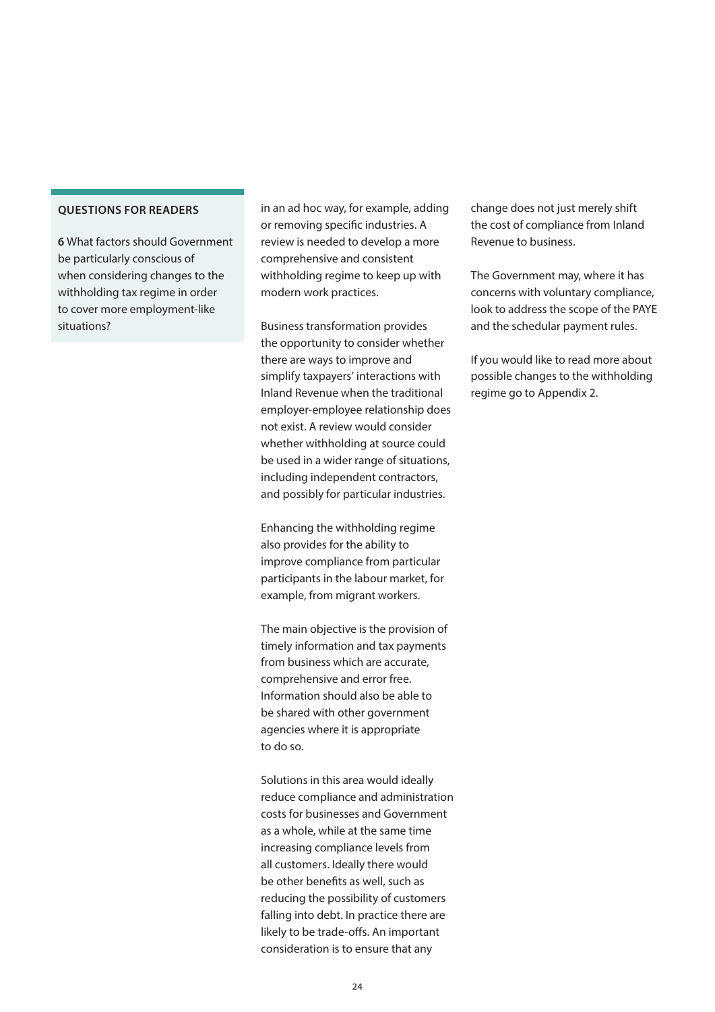**6** What factors should Government be particularly conscious of when considering changes to the withholding tax regime in order to cover more employment-like situations?

in an ad hoc way, for example, adding or removing specific industries. A review is needed to develop a more comprehensive and consistent withholding regime to keep up with modern work practices.

Business transformation provides the opportunity to consider whether there are ways to improve and simplify taxpayers' interactions with Inland Revenue when the traditional employer-employee relationship does not exist. A review would consider whether withholding at source could be used in a wider range of situations, including independent contractors, and possibly for particular industries.

Enhancing the withholding regime also provides for the ability to improve compliance from particular participants in the labour market, for example, from migrant workers.

The main objective is the provision of timely information and tax payments from business which are accurate, comprehensive and error free. Information should also be able to be shared with other government agencies where it is appropriate to do so.

Solutions in this area would ideally reduce compliance and administration costs for businesses and Government as a whole, while at the same time increasing compliance levels from all customers. Ideally there would be other benefits as well, such as reducing the possibility of customers falling into debt. In practice there are likely to be trade-offs. An important consideration is to ensure that any

change does not just merely shift the cost of compliance from Inland Revenue to business.

The Government may, where it has concerns with voluntary compliance, look to address the scope of the PAYE and the schedular payment rules.

If you would like to read more about possible changes to the withholding regime go to Appendix 2.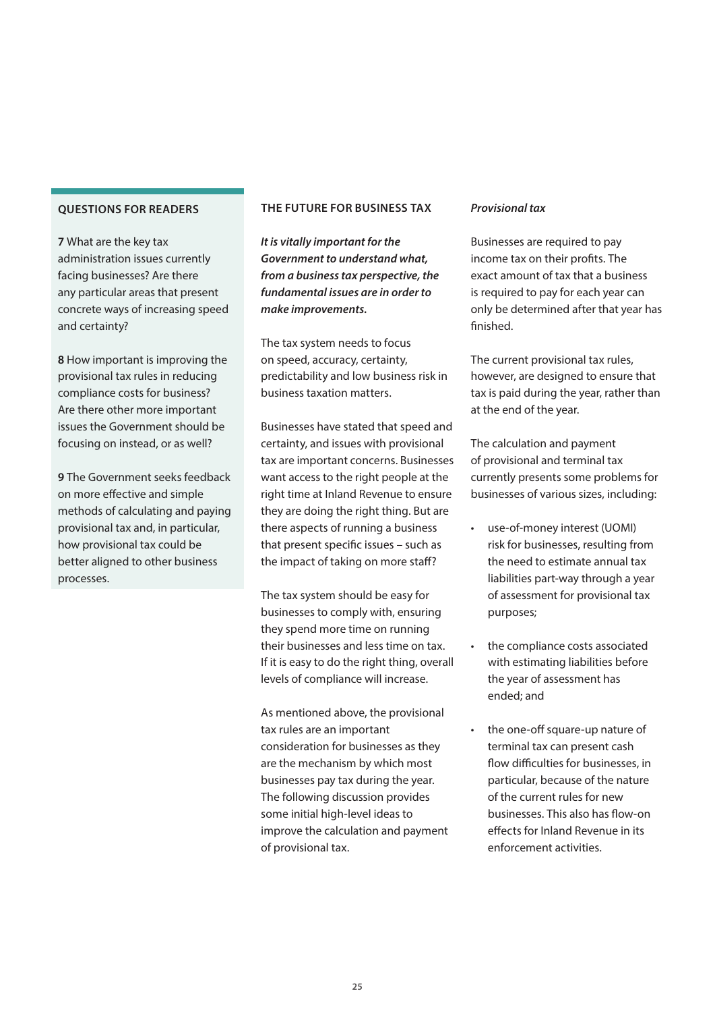<span id="page-24-0"></span>**7** What are the key tax administration issues currently facing businesses? Are there any particular areas that present concrete ways of increasing speed and certainty?

**8** How important is improving the provisional tax rules in reducing compliance costs for business? Are there other more important issues the Government should be focusing on instead, or as well?

**9** The Government seeks feedback on more effective and simple methods of calculating and paying provisional tax and, in particular, how provisional tax could be better aligned to other business processes.

### **THE FUTURE FOR BUSINESS TAX**

*It is vitally important for the Government to understand what, from a business tax perspective, the fundamental issues are in order to make improvements.*

The tax system needs to focus on speed, accuracy, certainty, predictability and low business risk in business taxation matters.

Businesses have stated that speed and certainty, and issues with provisional tax are important concerns. Businesses want access to the right people at the right time at Inland Revenue to ensure they are doing the right thing. But are there aspects of running a business that present specific issues – such as the impact of taking on more staff?

The tax system should be easy for businesses to comply with, ensuring they spend more time on running their businesses and less time on tax. If it is easy to do the right thing, overall levels of compliance will increase.

As mentioned above, the provisional tax rules are an important consideration for businesses as they are the mechanism by which most businesses pay tax during the year. The following discussion provides some initial high-level ideas to improve the calculation and payment of provisional tax.

### *Provisional tax*

Businesses are required to pay income tax on their profits. The exact amount of tax that a business is required to pay for each year can only be determined after that year has finished.

The current provisional tax rules, however, are designed to ensure that tax is paid during the year, rather than at the end of the year.

The calculation and payment of provisional and terminal tax currently presents some problems for businesses of various sizes, including:

- use-of-money interest (UOMI) risk for businesses, resulting from the need to estimate annual tax liabilities part-way through a year of assessment for provisional tax purposes;
- the compliance costs associated with estimating liabilities before the year of assessment has ended; and
- the one-off square-up nature of terminal tax can present cash flow difficulties for businesses, in particular, because of the nature of the current rules for new businesses. This also has flow-on effects for Inland Revenue in its enforcement activities.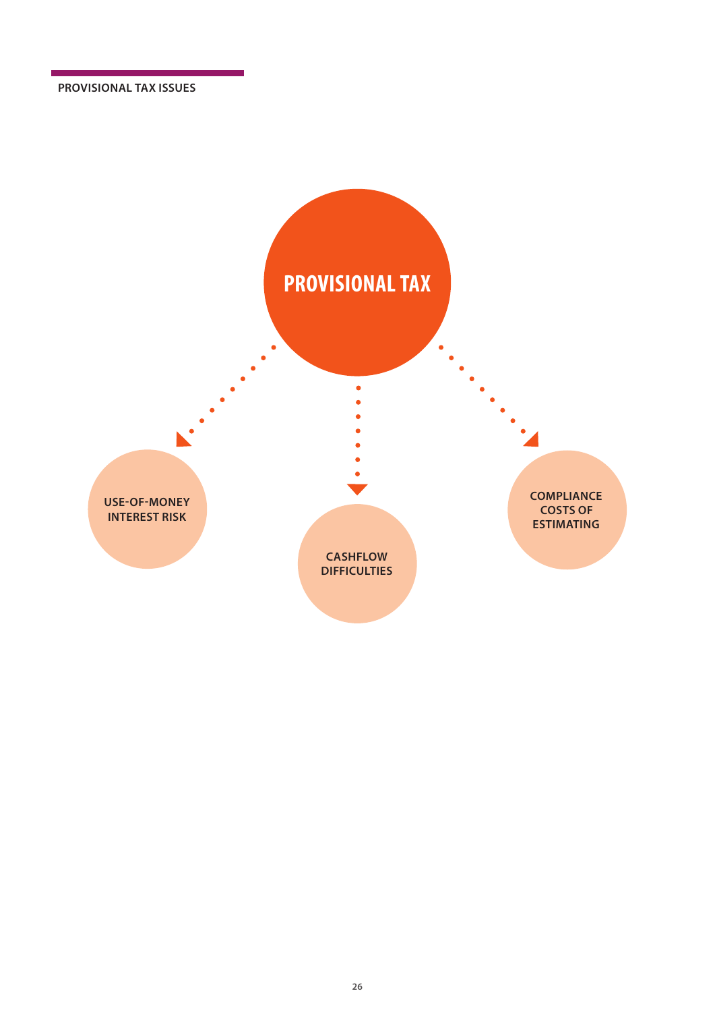**PROVISIONAL TAX ISSUES**

![](_page_25_Figure_1.jpeg)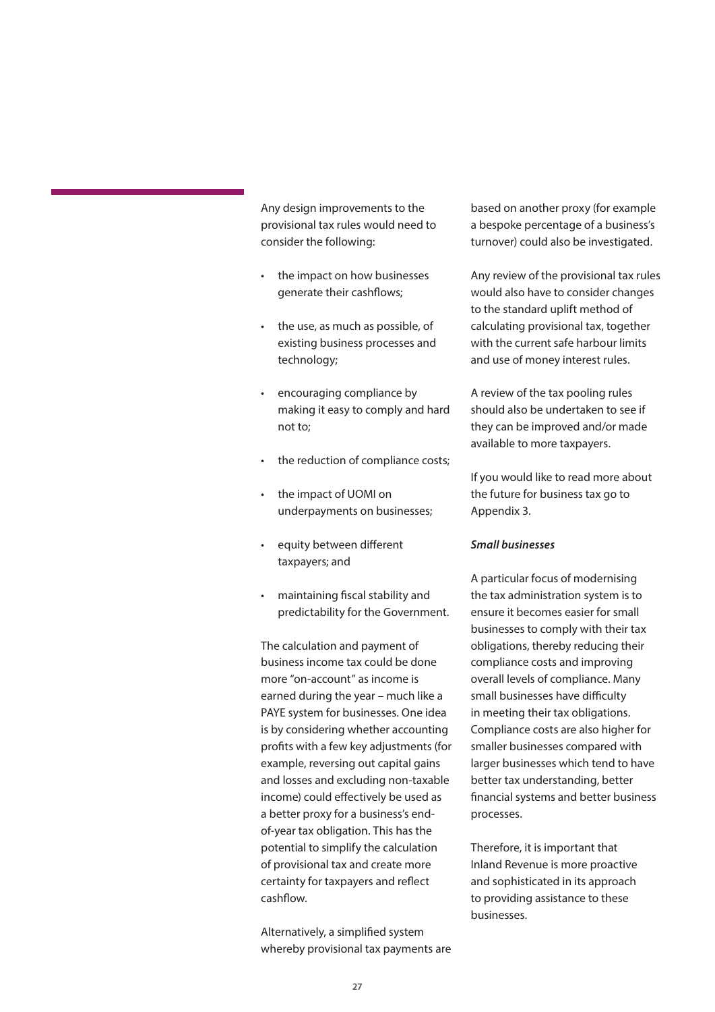Any design improvements to the provisional tax rules would need to consider the following:

- the impact on how businesses generate their cashflows;
- the use, as much as possible, of existing business processes and technology;
- encouraging compliance by making it easy to comply and hard not to;
- the reduction of compliance costs;
- the impact of UOMI on underpayments on businesses;
- equity between different taxpayers; and
- maintaining fiscal stability and predictability for the Government.

The calculation and payment of business income tax could be done more "on-account" as income is earned during the year – much like a PAYE system for businesses. One idea is by considering whether accounting profits with a few key adjustments (for example, reversing out capital gains and losses and excluding non-taxable income) could effectively be used as a better proxy for a business's endof-year tax obligation. This has the potential to simplify the calculation of provisional tax and create more certainty for taxpayers and reflect cashflow.

Alternatively, a simplified system whereby provisional tax payments are based on another proxy (for example a bespoke percentage of a business's turnover) could also be investigated.

Any review of the provisional tax rules would also have to consider changes to the standard uplift method of calculating provisional tax, together with the current safe harbour limits and use of money interest rules.

A review of the tax pooling rules should also be undertaken to see if they can be improved and/or made available to more taxpayers.

If you would like to read more about the future for business tax go to Appendix 3.

### *Small businesses*

A particular focus of modernising the tax administration system is to ensure it becomes easier for small businesses to comply with their tax obligations, thereby reducing their compliance costs and improving overall levels of compliance. Many small businesses have difficulty in meeting their tax obligations. Compliance costs are also higher for smaller businesses compared with larger businesses which tend to have better tax understanding, better financial systems and better business processes.

Therefore, it is important that Inland Revenue is more proactive and sophisticated in its approach to providing assistance to these businesses.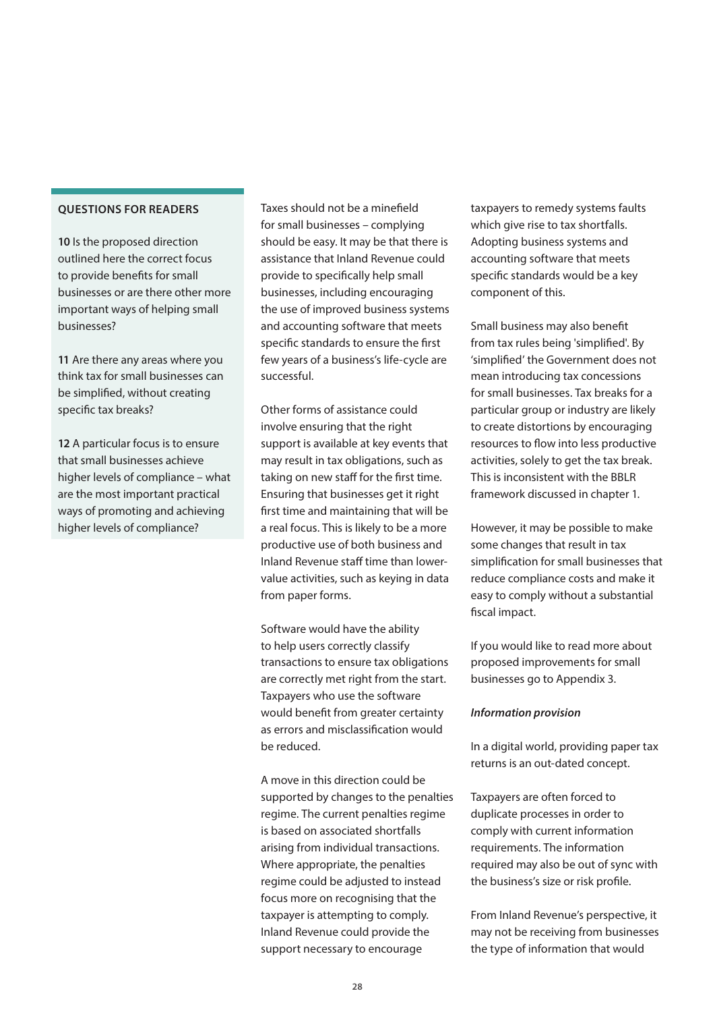**10** Is the proposed direction outlined here the correct focus to provide benefits for small businesses or are there other more important ways of helping small businesses?

**11** Are there any areas where you think tax for small businesses can be simplified, without creating specific tax breaks?

**12** A particular focus is to ensure that small businesses achieve higher levels of compliance – what are the most important practical ways of promoting and achieving higher levels of compliance?

Taxes should not be a minefield for small businesses – complying should be easy. It may be that there is assistance that Inland Revenue could provide to specifically help small businesses, including encouraging the use of improved business systems and accounting software that meets specific standards to ensure the first few years of a business's life-cycle are successful.

Other forms of assistance could involve ensuring that the right support is available at key events that may result in tax obligations, such as taking on new staff for the first time. Ensuring that businesses get it right first time and maintaining that will be a real focus. This is likely to be a more productive use of both business and Inland Revenue staff time than lowervalue activities, such as keying in data from paper forms.

Software would have the ability to help users correctly classify transactions to ensure tax obligations are correctly met right from the start. Taxpayers who use the software would benefit from greater certainty as errors and misclassification would be reduced.

A move in this direction could be supported by changes to the penalties regime. The current penalties regime is based on associated shortfalls arising from individual transactions. Where appropriate, the penalties regime could be adjusted to instead focus more on recognising that the taxpayer is attempting to comply. Inland Revenue could provide the support necessary to encourage

taxpayers to remedy systems faults which give rise to tax shortfalls. Adopting business systems and accounting software that meets specific standards would be a key component of this.

Small business may also benefit from tax rules being 'simplified'. By 'simplified' the Government does not mean introducing tax concessions for small businesses. Tax breaks for a particular group or industry are likely to create distortions by encouraging resources to flow into less productive activities, solely to get the tax break. This is inconsistent with the BBLR framework discussed in chapter 1.

However, it may be possible to make some changes that result in tax simplification for small businesses that reduce compliance costs and make it easy to comply without a substantial fiscal impact.

If you would like to read more about proposed improvements for small businesses go to Appendix 3.

#### *Information provision*

In a digital world, providing paper tax returns is an out-dated concept.

Taxpayers are often forced to duplicate processes in order to comply with current information requirements. The information required may also be out of sync with the business's size or risk profile.

From Inland Revenue's perspective, it may not be receiving from businesses the type of information that would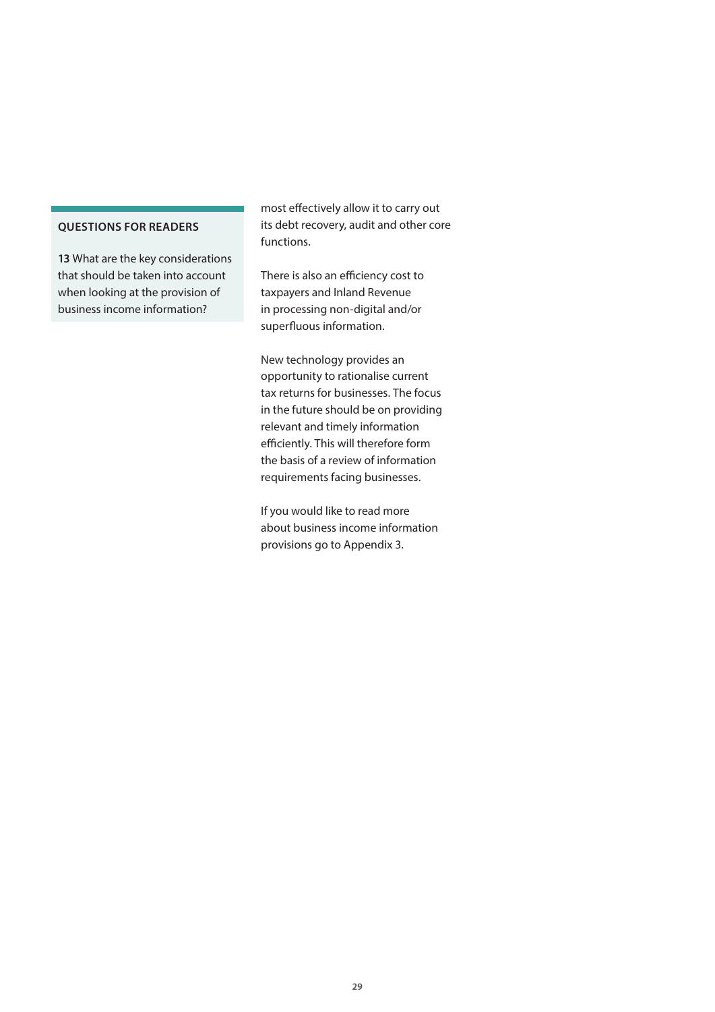**13** What are the key considerations that should be taken into account when looking at the provision of business income information?

most effectively allow it to carry out its debt recovery, audit and other core functions.

There is also an efficiency cost to taxpayers and Inland Revenue in processing non-digital and/or superfluous information.

New technology provides an opportunity to rationalise current tax returns for businesses. The focus in the future should be on providing relevant and timely information efficiently. This will therefore form the basis of a review of information requirements facing businesses.

If you would like to read more about business income information provisions go to Appendix 3.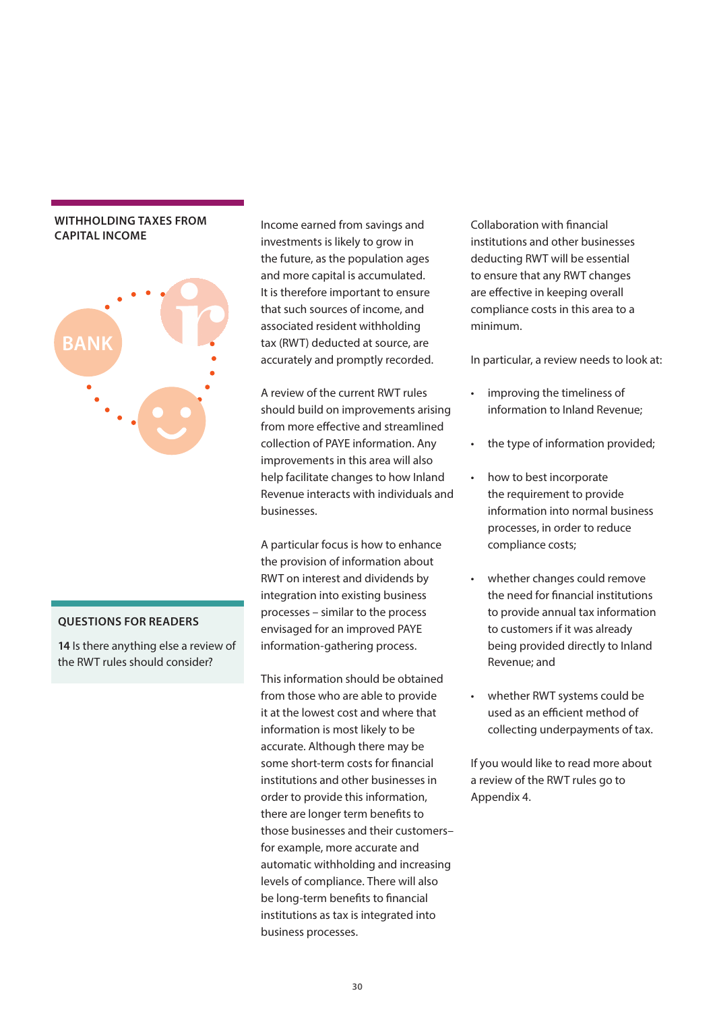### <span id="page-29-0"></span>**WITHHOLDING TAXES FROM CAPITAL INCOME**

![](_page_29_Figure_1.jpeg)

### **QUESTIONS FOR READERS**

**14** Is there anything else a review of the RWT rules should consider?

Income earned from savings and investments is likely to grow in the future, as the population ages and more capital is accumulated. It is therefore important to ensure that such sources of income, and associated resident withholding tax (RWT) deducted at source, are accurately and promptly recorded.

A review of the current RWT rules should build on improvements arising from more effective and streamlined collection of PAYE information. Any improvements in this area will also help facilitate changes to how Inland Revenue interacts with individuals and businesses.

A particular focus is how to enhance the provision of information about RWT on interest and dividends by integration into existing business processes – similar to the process envisaged for an improved PAYE information-gathering process.

This information should be obtained from those who are able to provide it at the lowest cost and where that information is most likely to be accurate. Although there may be some short-term costs for financial institutions and other businesses in order to provide this information, there are longer term benefits to those businesses and their customers– for example, more accurate and automatic withholding and increasing levels of compliance. There will also be long-term benefits to financial institutions as tax is integrated into business processes.

Collaboration with financial institutions and other businesses deducting RWT will be essential to ensure that any RWT changes are effective in keeping overall compliance costs in this area to a minimum.

In particular, a review needs to look at:

- improving the timeliness of information to Inland Revenue;
- the type of information provided;
- how to best incorporate the requirement to provide information into normal business processes, in order to reduce compliance costs;
- whether changes could remove the need for financial institutions to provide annual tax information to customers if it was already being provided directly to Inland Revenue; and
- whether RWT systems could be used as an efficient method of collecting underpayments of tax.

If you would like to read more about a review of the RWT rules go to Appendix 4.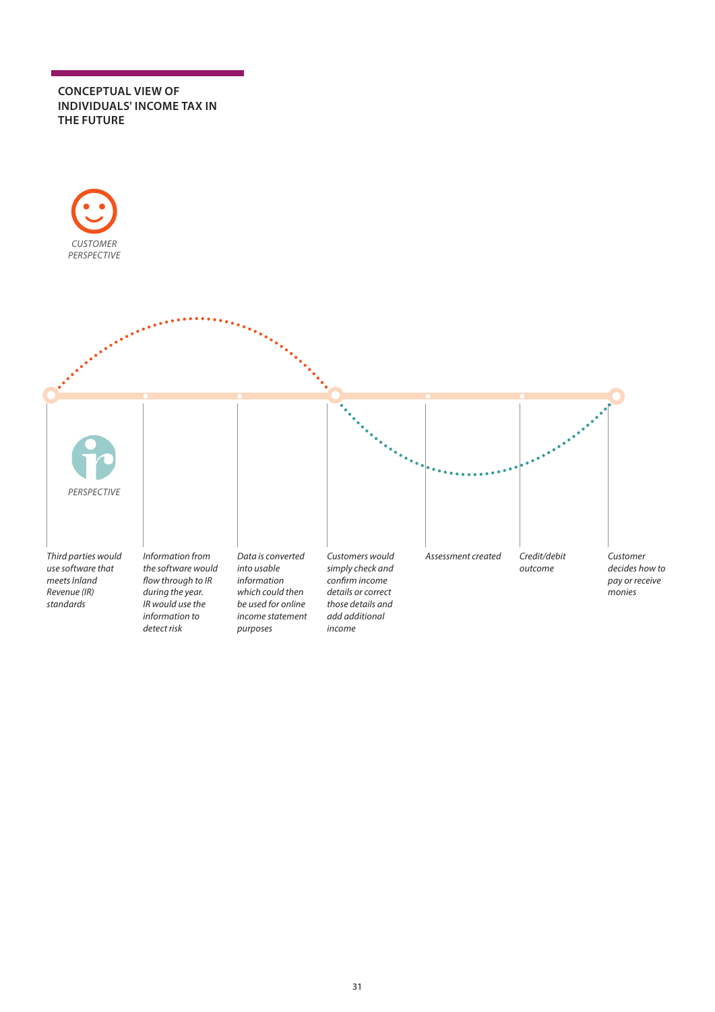### **CONCEPTUAL VIEW OF INDIVIDUALS' INCOME TAX IN THE FUTURE**

![](_page_30_Figure_1.jpeg)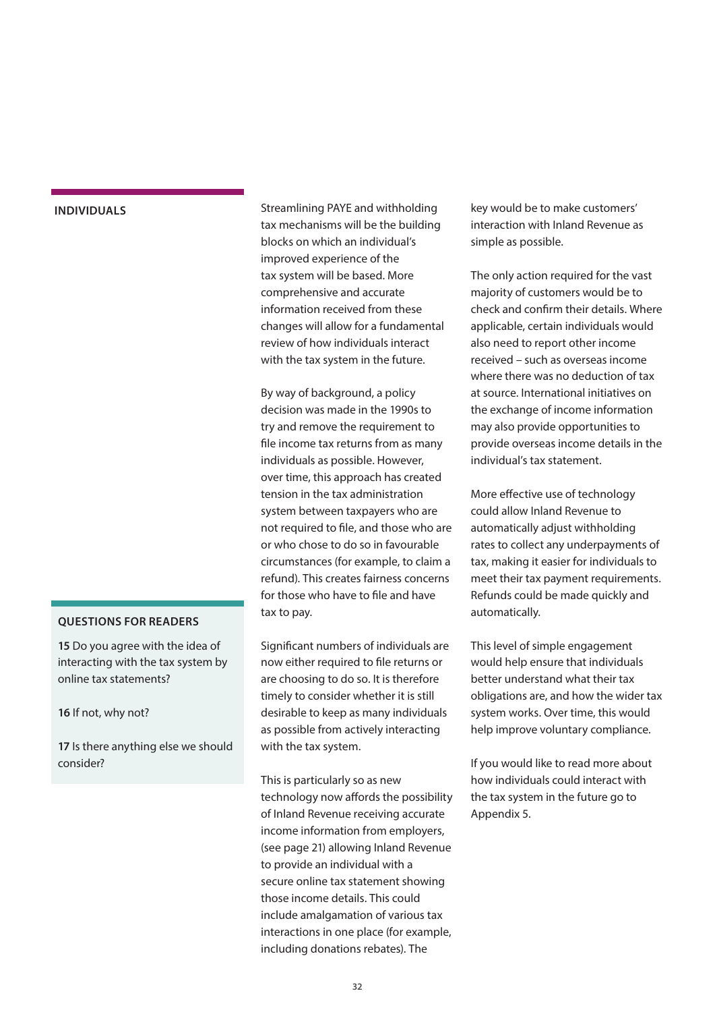### <span id="page-31-0"></span>**INDIVIDUALS**

### **QUESTIONS FOR READERS**

**15** Do you agree with the idea of interacting with the tax system by online tax statements?

**16** If not, why not?

**17** Is there anything else we should consider?

Streamlining PAYE and withholding tax mechanisms will be the building blocks on which an individual's improved experience of the tax system will be based. More comprehensive and accurate information received from these changes will allow for a fundamental review of how individuals interact with the tax system in the future.

By way of background, a policy decision was made in the 1990s to try and remove the requirement to file income tax returns from as many individuals as possible. However, over time, this approach has created tension in the tax administration system between taxpayers who are not required to file, and those who are or who chose to do so in favourable circumstances (for example, to claim a refund). This creates fairness concerns for those who have to file and have tax to pay.

Significant numbers of individuals are now either required to file returns or are choosing to do so. It is therefore timely to consider whether it is still desirable to keep as many individuals as possible from actively interacting with the tax system.

This is particularly so as new technology now affords the possibility of Inland Revenue receiving accurate income information from employers, (see page 21) allowing Inland Revenue to provide an individual with a secure online tax statement showing those income details. This could include amalgamation of various tax interactions in one place (for example, including donations rebates). The

key would be to make customers' interaction with Inland Revenue as simple as possible.

The only action required for the vast majority of customers would be to check and confirm their details. Where applicable, certain individuals would also need to report other income received – such as overseas income where there was no deduction of tax at source. International initiatives on the exchange of income information may also provide opportunities to provide overseas income details in the individual's tax statement.

More effective use of technology could allow Inland Revenue to automatically adjust withholding rates to collect any underpayments of tax, making it easier for individuals to meet their tax payment requirements. Refunds could be made quickly and automatically.

This level of simple engagement would help ensure that individuals better understand what their tax obligations are, and how the wider tax system works. Over time, this would help improve voluntary compliance.

If you would like to read more about how individuals could interact with the tax system in the future go to Appendix 5.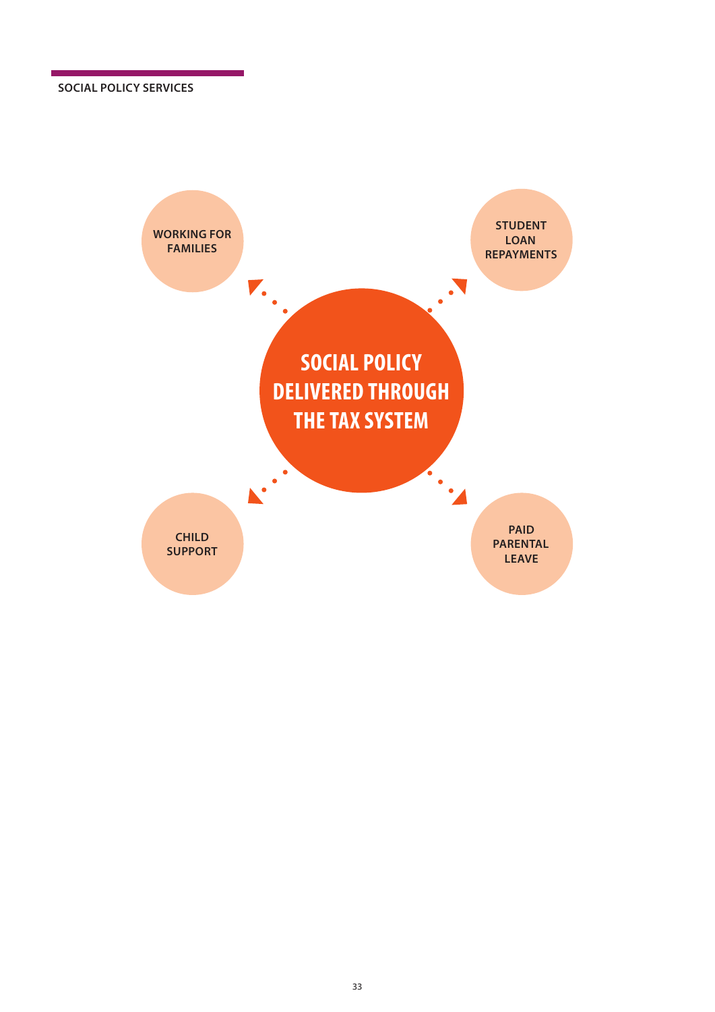<span id="page-32-0"></span>![](_page_32_Figure_1.jpeg)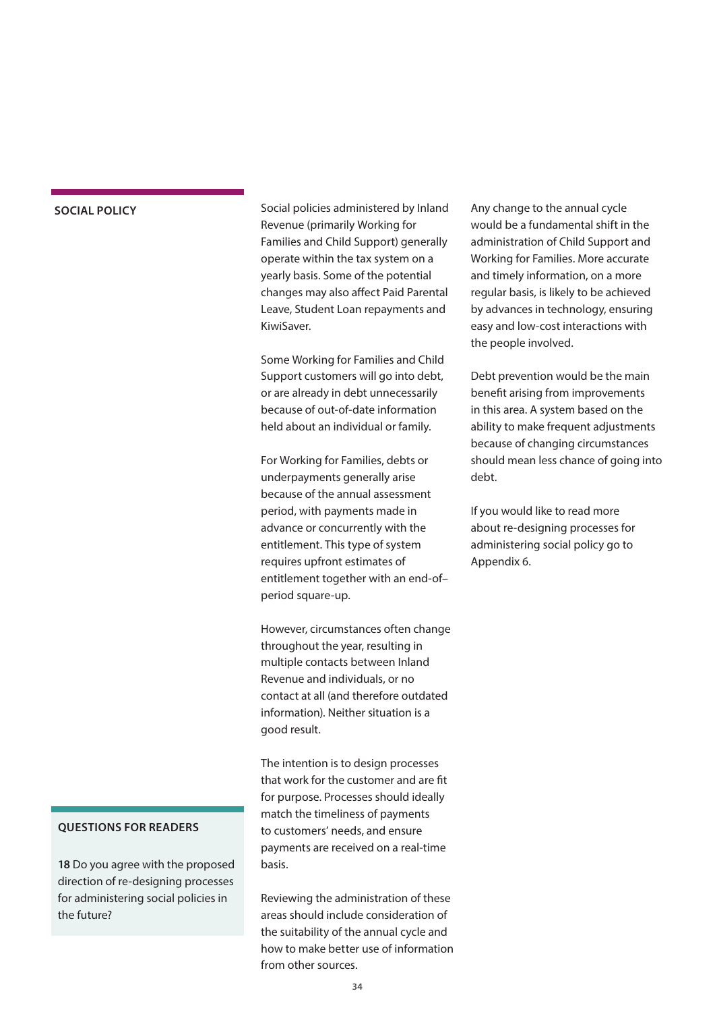### **SOCIAL POLICY**

Social policies administered by Inland Revenue (primarily Working for Families and Child Support) generally operate within the tax system on a yearly basis. Some of the potential changes may also affect Paid Parental Leave, Student Loan repayments and KiwiSaver.

Some Working for Families and Child Support customers will go into debt, or are already in debt unnecessarily because of out-of-date information held about an individual or family.

For Working for Families, debts or underpayments generally arise because of the annual assessment period, with payments made in advance or concurrently with the entitlement. This type of system requires upfront estimates of entitlement together with an end-of– period square-up.

However, circumstances often change throughout the year, resulting in multiple contacts between Inland Revenue and individuals, or no contact at all (and therefore outdated information). Neither situation is a good result.

The intention is to design processes that work for the customer and are fit for purpose. Processes should ideally match the timeliness of payments to customers' needs, and ensure payments are received on a real-time basis.

Reviewing the administration of these areas should include consideration of the suitability of the annual cycle and how to make better use of information from other sources.

Any change to the annual cycle would be a fundamental shift in the administration of Child Support and Working for Families. More accurate and timely information, on a more regular basis, is likely to be achieved by advances in technology, ensuring easy and low-cost interactions with the people involved.

Debt prevention would be the main benefit arising from improvements in this area. A system based on the ability to make frequent adjustments because of changing circumstances should mean less chance of going into debt.

If you would like to read more about re-designing processes for administering social policy go to Appendix 6.

### **QUESTIONS FOR READERS**

**18** Do you agree with the proposed direction of re-designing processes for administering social policies in the future?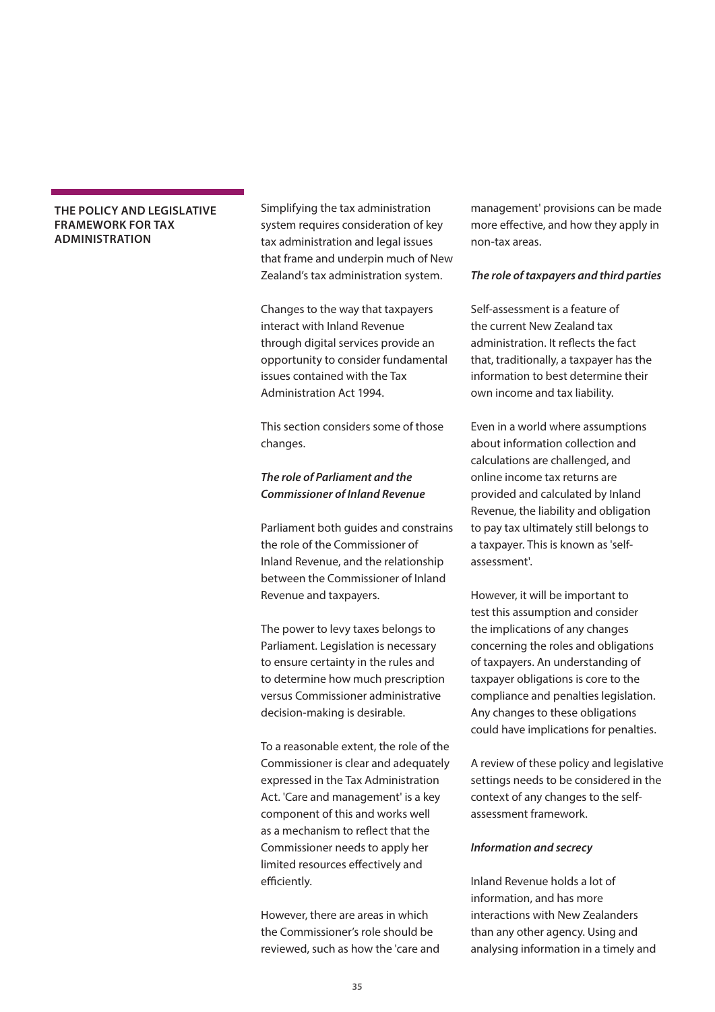### <span id="page-34-0"></span>**THE POLICY AND LEGISLATIVE FRAMEWORK FOR TAX ADMINISTRATION**

Simplifying the tax administration system requires consideration of key tax administration and legal issues that frame and underpin much of New Zealand's tax administration system.

Changes to the way that taxpayers interact with Inland Revenue through digital services provide an opportunity to consider fundamental issues contained with the Tax Administration Act 1994.

This section considers some of those changes.

### *The role of Parliament and the Commissioner of Inland Revenue*

Parliament both guides and constrains the role of the Commissioner of Inland Revenue, and the relationship between the Commissioner of Inland Revenue and taxpayers.

The power to levy taxes belongs to Parliament. Legislation is necessary to ensure certainty in the rules and to determine how much prescription versus Commissioner administrative decision-making is desirable.

To a reasonable extent, the role of the Commissioner is clear and adequately expressed in the Tax Administration Act. 'Care and management' is a key component of this and works well as a mechanism to reflect that the Commissioner needs to apply her limited resources effectively and efficiently.

However, there are areas in which the Commissioner's role should be reviewed, such as how the 'care and management' provisions can be made more effective, and how they apply in non-tax areas.

### *The role of taxpayers and third parties*

Self-assessment is a feature of the current New Zealand tax administration. It reflects the fact that, traditionally, a taxpayer has the information to best determine their own income and tax liability.

Even in a world where assumptions about information collection and calculations are challenged, and online income tax returns are provided and calculated by Inland Revenue, the liability and obligation to pay tax ultimately still belongs to a taxpayer. This is known as 'selfassessment'.

However, it will be important to test this assumption and consider the implications of any changes concerning the roles and obligations of taxpayers. An understanding of taxpayer obligations is core to the compliance and penalties legislation. Any changes to these obligations could have implications for penalties.

A review of these policy and legislative settings needs to be considered in the context of any changes to the selfassessment framework.

#### *Information and secrecy*

Inland Revenue holds a lot of information, and has more interactions with New Zealanders than any other agency. Using and analysing information in a timely and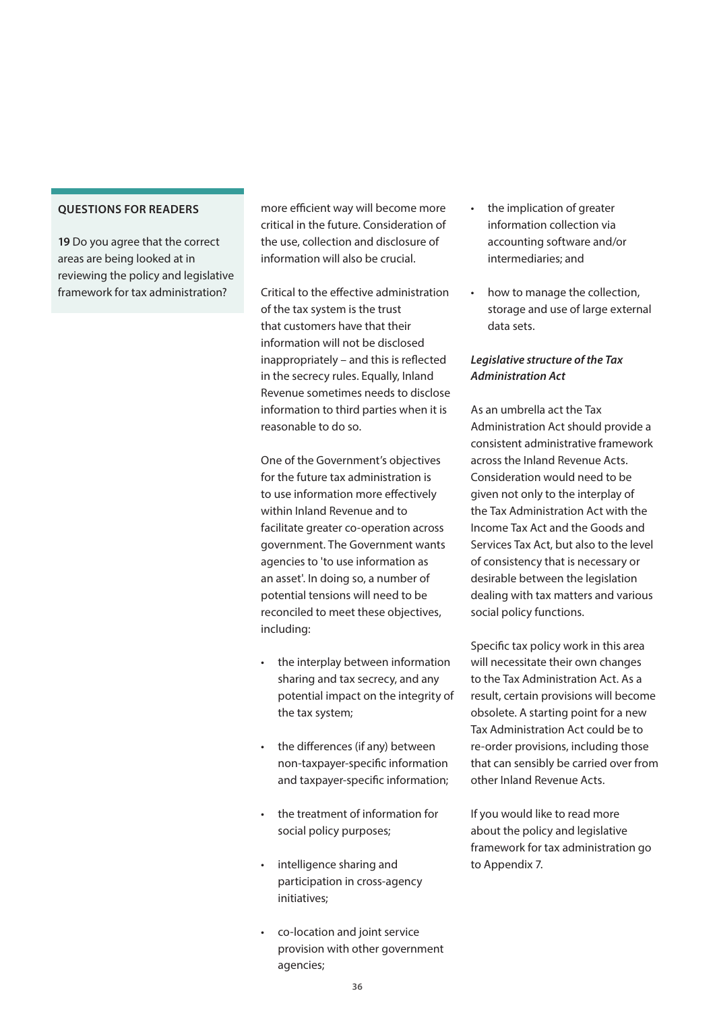**19** Do you agree that the correct areas are being looked at in reviewing the policy and legislative framework for tax administration?

more efficient way will become more critical in the future. Consideration of the use, collection and disclosure of information will also be crucial.

Critical to the effective administration of the tax system is the trust that customers have that their information will not be disclosed inappropriately – and this is reflected in the secrecy rules. Equally, Inland Revenue sometimes needs to disclose information to third parties when it is reasonable to do so.

One of the Government's objectives for the future tax administration is to use information more effectively within Inland Revenue and to facilitate greater co-operation across government. The Government wants agencies to 'to use information as an asset'. In doing so, a number of potential tensions will need to be reconciled to meet these objectives, including:

- the interplay between information sharing and tax secrecy, and any potential impact on the integrity of the tax system;
- the differences (if any) between non-taxpayer-specific information and taxpayer-specific information;
- the treatment of information for social policy purposes;
- intelligence sharing and participation in cross-agency initiatives;
- co-location and joint service provision with other government agencies;
- the implication of greater information collection via accounting software and/or intermediaries; and
- how to manage the collection, storage and use of large external data sets.

### *Legislative structure of the Tax Administration Act*

As an umbrella act the Tax Administration Act should provide a consistent administrative framework across the Inland Revenue Acts. Consideration would need to be given not only to the interplay of the Tax Administration Act with the Income Tax Act and the Goods and Services Tax Act, but also to the level of consistency that is necessary or desirable between the legislation dealing with tax matters and various social policy functions.

Specific tax policy work in this area will necessitate their own changes to the Tax Administration Act. As a result, certain provisions will become obsolete. A starting point for a new Tax Administration Act could be to re-order provisions, including those that can sensibly be carried over from other Inland Revenue Acts.

If you would like to read more about the policy and legislative framework for tax administration go to Appendix 7.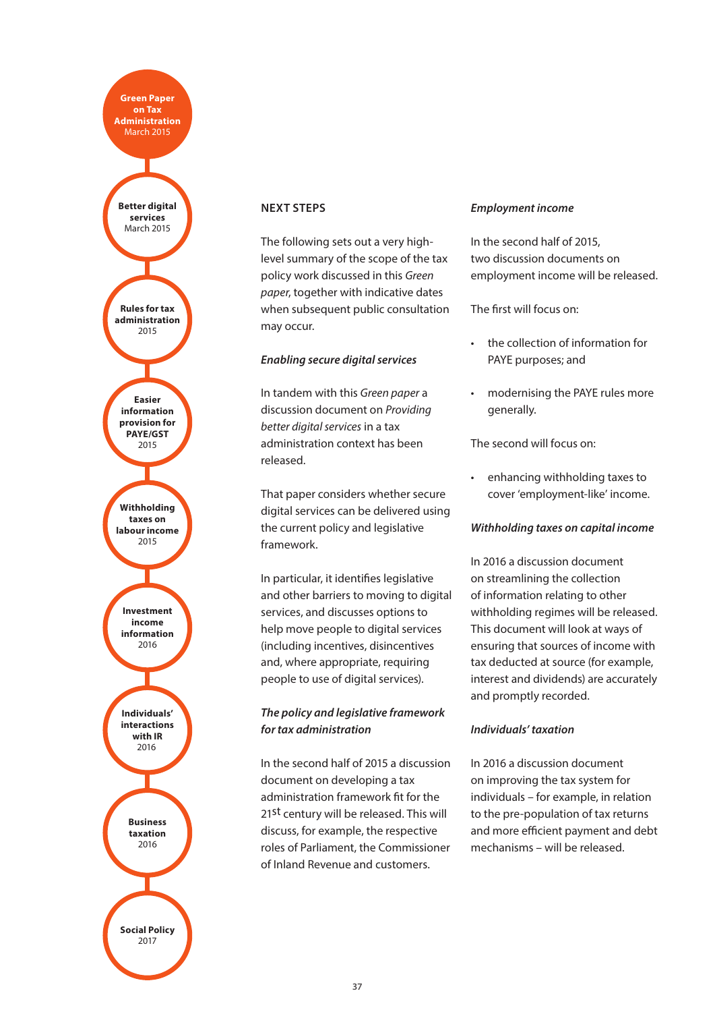<span id="page-36-0"></span>**Investment income information** 2016 **Better digital services** March 2015 **Business taxation** 2016 **Individuals' interactions with IR**  $2016$ **Rules for tax administration** 2015 **Easier information provision for PAYE/GST**  2015 **Withholding taxes on labour income** 2015 **Social Policy** 2017 **Green Paper on Tax Administration** March 2015

### **NEXT STEPS**

The following sets out a very highlevel summary of the scope of the tax policy work discussed in this *Green paper*, together with indicative dates when subsequent public consultation may occur.

### *Enabling secure digital services*

In tandem with this *Green paper* a discussion document on *Providing better digital services* in a tax administration context has been released.

That paper considers whether secure digital services can be delivered using the current policy and legislative framework.

In particular, it identifies legislative and other barriers to moving to digital services, and discusses options to help move people to digital services (including incentives, disincentives and, where appropriate, requiring people to use of digital services).

### *The policy and legislative framework for tax administration*

In the second half of 2015 a discussion document on developing a tax administration framework fit for the 21st century will be released. This will discuss, for example, the respective roles of Parliament, the Commissioner of Inland Revenue and customers.

### *Employment income*

In the second half of 2015, two discussion documents on employment income will be released.

The first will focus on:

- the collection of information for PAYE purposes; and
- modernising the PAYE rules more generally.

The second will focus on:

• enhancing withholding taxes to cover 'employment-like' income.

### *Withholding taxes on capital income*

In 2016 a discussion document on streamlining the collection of information relating to other withholding regimes will be released. This document will look at ways of ensuring that sources of income with tax deducted at source (for example, interest and dividends) are accurately and promptly recorded.

### *Individuals' taxation*

In 2016 a discussion document on improving the tax system for individuals – for example, in relation to the pre-population of tax returns and more efficient payment and debt mechanisms – will be released.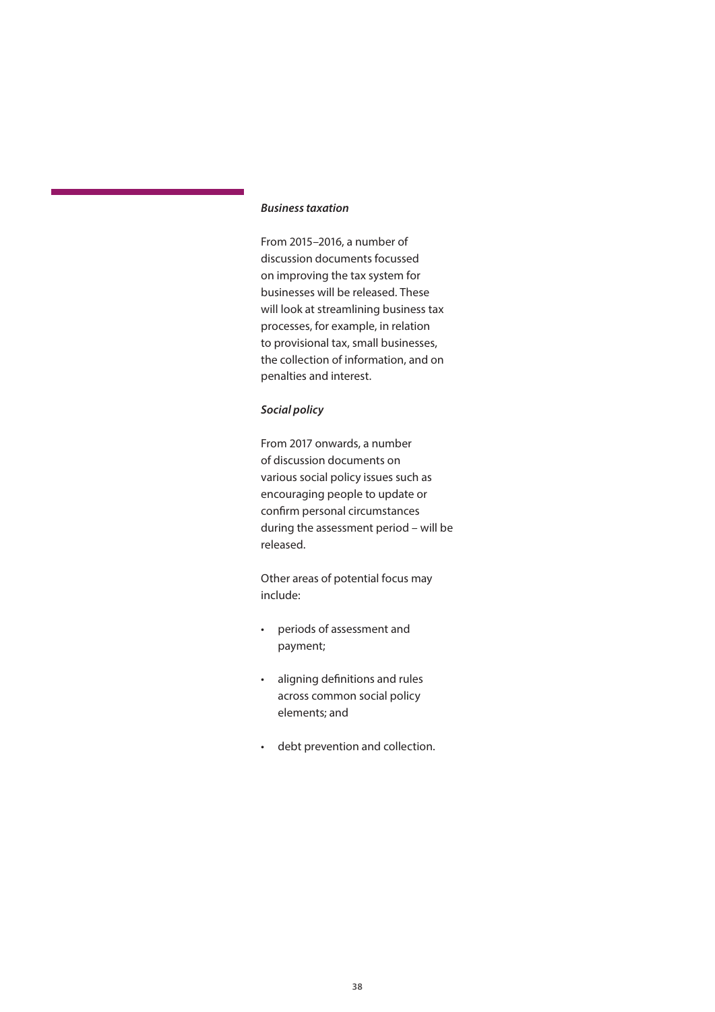### <span id="page-37-0"></span>*Business taxation*

From 2015–2016, a number of discussion documents focussed on improving the tax system for businesses will be released. These will look at streamlining business tax processes, for example, in relation to provisional tax, small businesses, the collection of information, and on penalties and interest.

### *Social policy*

From 2017 onwards, a number of discussion documents on various social policy issues such as encouraging people to update or confirm personal circumstances during the assessment period – will be released.

Other areas of potential focus may include:

- periods of assessment and payment;
- aligning definitions and rules across common social policy elements; and
- debt prevention and collection.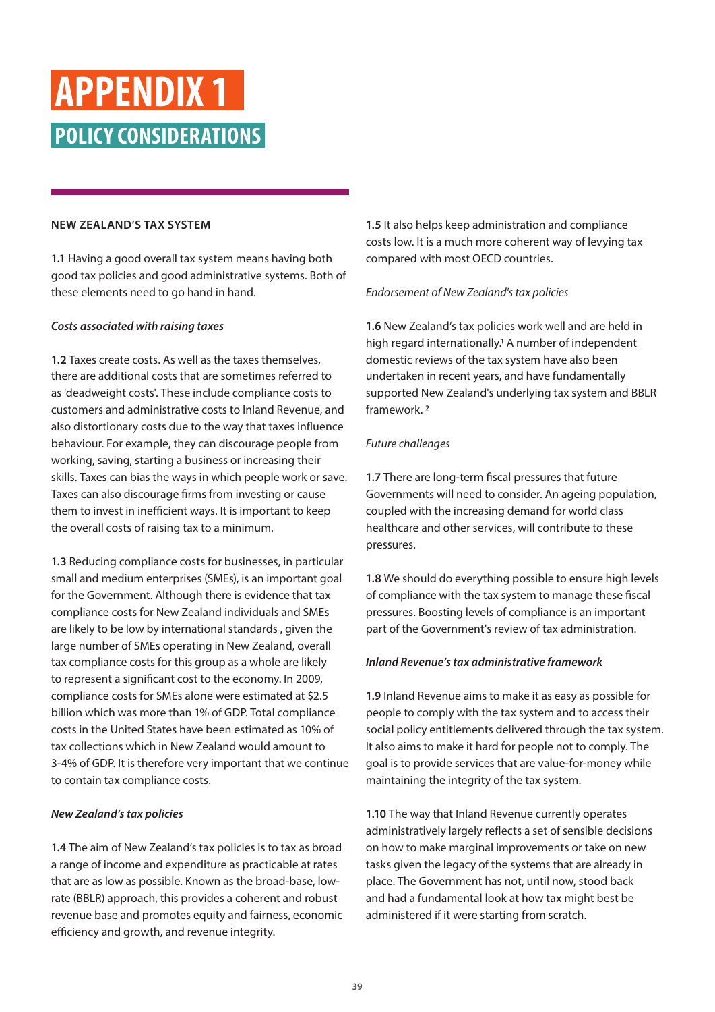### **APPENDIX 1 POLICY CONSIDERATIONS**

### **NEW ZEALAND'S TAX SYSTEM**

**1.1** Having a good overall tax system means having both good tax policies and good administrative systems. Both of these elements need to go hand in hand.

### *Costs associated with raising taxes*

**1.2** Taxes create costs. As well as the taxes themselves, there are additional costs that are sometimes referred to as 'deadweight costs'. These include compliance costs to customers and administrative costs to Inland Revenue, and also distortionary costs due to the way that taxes influence behaviour. For example, they can discourage people from working, saving, starting a business or increasing their skills. Taxes can bias the ways in which people work or save. Taxes can also discourage firms from investing or cause them to invest in inefficient ways. It is important to keep the overall costs of raising tax to a minimum.

**1.3** Reducing compliance costs for businesses, in particular small and medium enterprises (SMEs), is an important goal for the Government. Although there is evidence that tax compliance costs for New Zealand individuals and SMEs are likely to be low by international standards , given the large number of SMEs operating in New Zealand, overall tax compliance costs for this group as a whole are likely to represent a significant cost to the economy. In 2009, compliance costs for SMEs alone were estimated at \$2.5 billion which was more than 1% of GDP. Total compliance costs in the United States have been estimated as 10% of tax collections which in New Zealand would amount to 3-4% of GDP. It is therefore very important that we continue to contain tax compliance costs.

### *New Zealand's tax policies*

**1.4** The aim of New Zealand's tax policies is to tax as broad a range of income and expenditure as practicable at rates that are as low as possible. Known as the broad-base, lowrate (BBLR) approach, this provides a coherent and robust revenue base and promotes equity and fairness, economic efficiency and growth, and revenue integrity.

**1.5** It also helps keep administration and compliance costs low. It is a much more coherent way of levying tax compared with most OECD countries.

### *Endorsement of New Zealand's tax policies*

**1.6** New Zealand's tax policies work well and are held in high regard internationally.<sup>1</sup> A number of independent domestic reviews of the tax system have also been undertaken in recent years, and have fundamentally supported New Zealand's underlying tax system and BBLR framework. 2

### *Future challenges*

**1.7** There are long-term fiscal pressures that future Governments will need to consider. An ageing population, coupled with the increasing demand for world class healthcare and other services, will contribute to these pressures.

**1.8** We should do everything possible to ensure high levels of compliance with the tax system to manage these fiscal pressures. Boosting levels of compliance is an important part of the Government's review of tax administration.

### *Inland Revenue's tax administrative framework*

**1.9** Inland Revenue aims to make it as easy as possible for people to comply with the tax system and to access their social policy entitlements delivered through the tax system. It also aims to make it hard for people not to comply. The goal is to provide services that are value-for-money while maintaining the integrity of the tax system.

**1.10** The way that Inland Revenue currently operates administratively largely reflects a set of sensible decisions on how to make marginal improvements or take on new tasks given the legacy of the systems that are already in place. The Government has not, until now, stood back and had a fundamental look at how tax might best be administered if it were starting from scratch.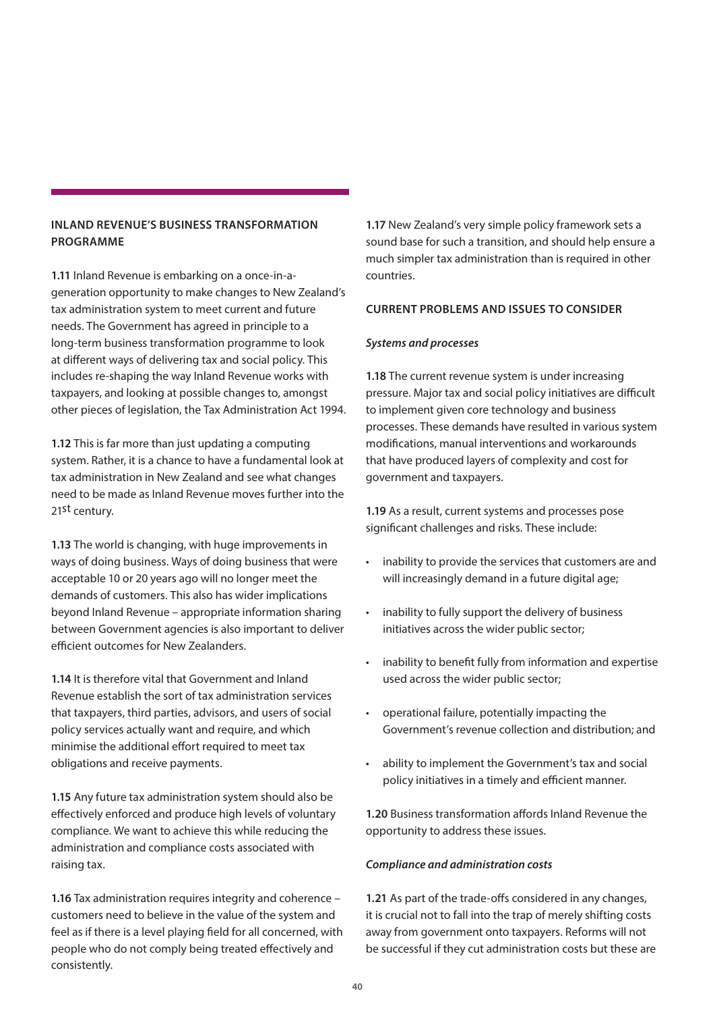### **INLAND REVENUE'S BUSINESS TRANSFORMATION PROGRAMME**

**1.11** Inland Revenue is embarking on a once-in-ageneration opportunity to make changes to New Zealand's tax administration system to meet current and future needs. The Government has agreed in principle to a long-term business transformation programme to look at different ways of delivering tax and social policy. This includes re-shaping the way Inland Revenue works with taxpayers, and looking at possible changes to, amongst other pieces of legislation, the Tax Administration Act 1994.

**1.12** This is far more than just updating a computing system. Rather, it is a chance to have a fundamental look at tax administration in New Zealand and see what changes need to be made as Inland Revenue moves further into the 21st century.

**1.13** The world is changing, with huge improvements in ways of doing business. Ways of doing business that were acceptable 10 or 20 years ago will no longer meet the demands of customers. This also has wider implications beyond Inland Revenue – appropriate information sharing between Government agencies is also important to deliver efficient outcomes for New Zealanders.

**1.14** It is therefore vital that Government and Inland Revenue establish the sort of tax administration services that taxpayers, third parties, advisors, and users of social policy services actually want and require, and which minimise the additional effort required to meet tax obligations and receive payments.

**1.15** Any future tax administration system should also be effectively enforced and produce high levels of voluntary compliance. We want to achieve this while reducing the administration and compliance costs associated with raising tax.

**1.16** Tax administration requires integrity and coherence – customers need to believe in the value of the system and feel as if there is a level playing field for all concerned, with people who do not comply being treated effectively and consistently.

**1.17** New Zealand's very simple policy framework sets a sound base for such a transition, and should help ensure a much simpler tax administration than is required in other countries.

### **CURRENT PROBLEMS AND ISSUES TO CONSIDER**

### *Systems and processes*

**1.18** The current revenue system is under increasing pressure. Major tax and social policy initiatives are difficult to implement given core technology and business processes. These demands have resulted in various system modifications, manual interventions and workarounds that have produced layers of complexity and cost for government and taxpayers.

**1.19** As a result, current systems and processes pose significant challenges and risks. These include:

- inability to provide the services that customers are and will increasingly demand in a future digital age;
- inability to fully support the delivery of business initiatives across the wider public sector;
- inability to benefit fully from information and expertise used across the wider public sector;
- operational failure, potentially impacting the Government's revenue collection and distribution; and
- ability to implement the Government's tax and social policy initiatives in a timely and efficient manner.

**1.20** Business transformation affords Inland Revenue the opportunity to address these issues.

### *Compliance and administration costs*

**1.21** As part of the trade-offs considered in any changes, it is crucial not to fall into the trap of merely shifting costs away from government onto taxpayers. Reforms will not be successful if they cut administration costs but these are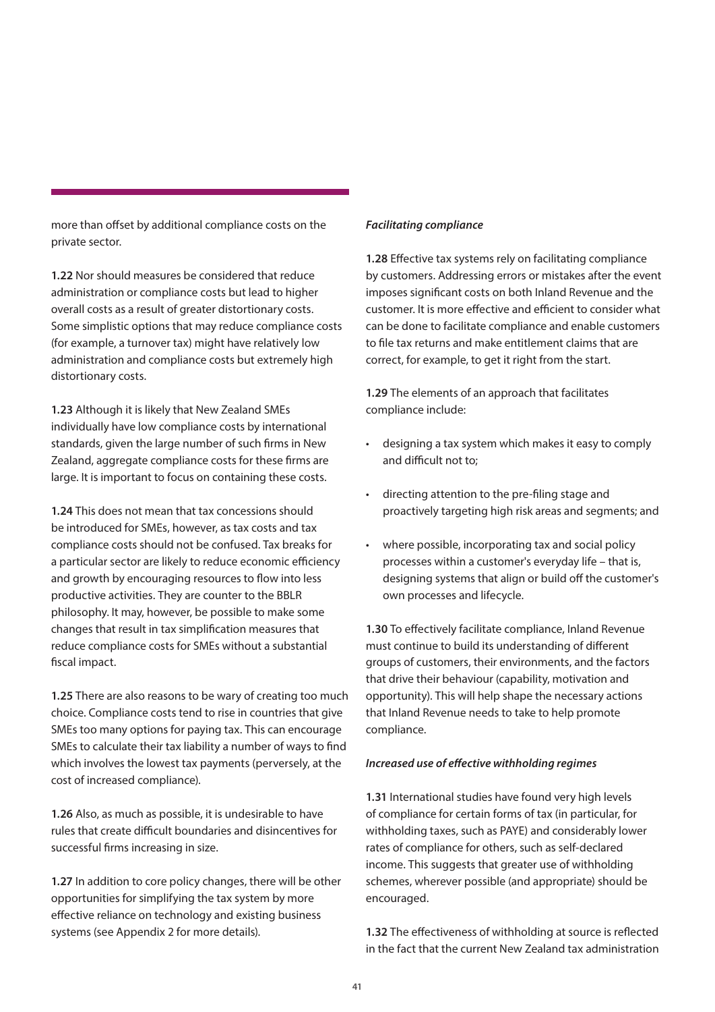more than offset by additional compliance costs on the private sector.

**1.22** Nor should measures be considered that reduce administration or compliance costs but lead to higher overall costs as a result of greater distortionary costs. Some simplistic options that may reduce compliance costs (for example, a turnover tax) might have relatively low administration and compliance costs but extremely high distortionary costs.

**1.23** Although it is likely that New Zealand SMEs individually have low compliance costs by international standards, given the large number of such firms in New Zealand, aggregate compliance costs for these firms are large. It is important to focus on containing these costs.

**1.24** This does not mean that tax concessions should be introduced for SMEs, however, as tax costs and tax compliance costs should not be confused. Tax breaks for a particular sector are likely to reduce economic efficiency and growth by encouraging resources to flow into less productive activities. They are counter to the BBLR philosophy. It may, however, be possible to make some changes that result in tax simplification measures that reduce compliance costs for SMEs without a substantial fiscal impact.

**1.25** There are also reasons to be wary of creating too much choice. Compliance costs tend to rise in countries that give SMEs too many options for paying tax. This can encourage SMEs to calculate their tax liability a number of ways to find which involves the lowest tax payments (perversely, at the cost of increased compliance).

**1.26** Also, as much as possible, it is undesirable to have rules that create difficult boundaries and disincentives for successful firms increasing in size.

**1.27** In addition to core policy changes, there will be other opportunities for simplifying the tax system by more effective reliance on technology and existing business systems (see Appendix 2 for more details).

### *Facilitating compliance*

**1.28** Effective tax systems rely on facilitating compliance by customers. Addressing errors or mistakes after the event imposes significant costs on both Inland Revenue and the customer. It is more effective and efficient to consider what can be done to facilitate compliance and enable customers to file tax returns and make entitlement claims that are correct, for example, to get it right from the start.

**1.29** The elements of an approach that facilitates compliance include:

- designing a tax system which makes it easy to comply and difficult not to;
- directing attention to the pre-filing stage and proactively targeting high risk areas and segments; and
- where possible, incorporating tax and social policy processes within a customer's everyday life – that is, designing systems that align or build off the customer's own processes and lifecycle.

**1.30** To effectively facilitate compliance, Inland Revenue must continue to build its understanding of different groups of customers, their environments, and the factors that drive their behaviour (capability, motivation and opportunity). This will help shape the necessary actions that Inland Revenue needs to take to help promote compliance.

#### *Increased use of effective withholding regimes*

**1.31** International studies have found very high levels of compliance for certain forms of tax (in particular, for withholding taxes, such as PAYE) and considerably lower rates of compliance for others, such as self-declared income. This suggests that greater use of withholding schemes, wherever possible (and appropriate) should be encouraged.

**1.32** The effectiveness of withholding at source is reflected in the fact that the current New Zealand tax administration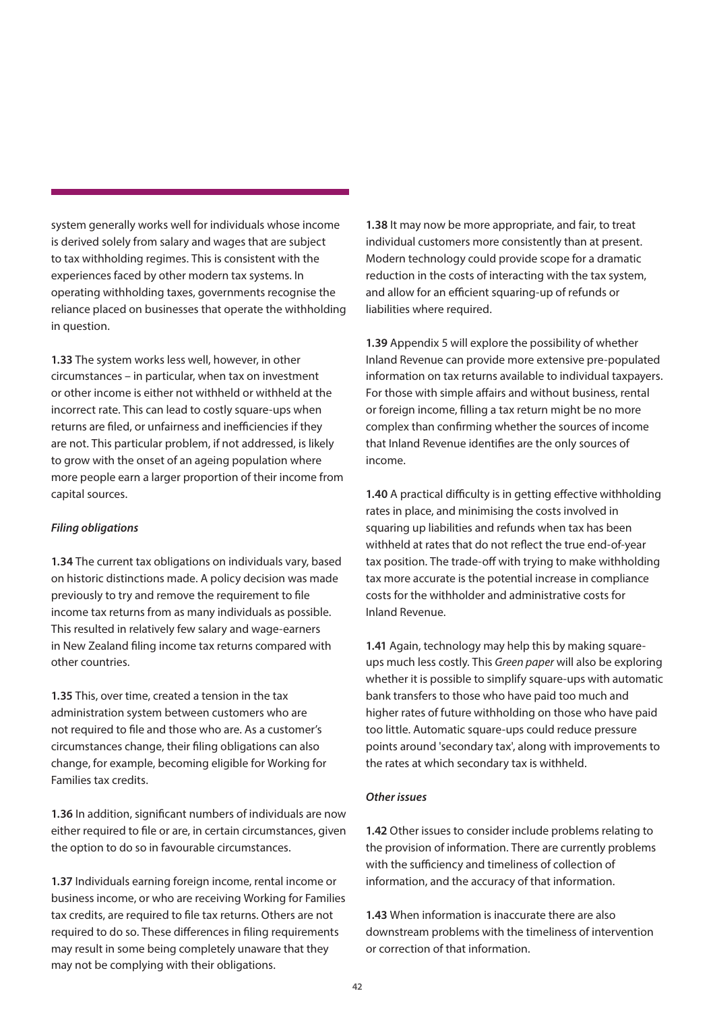system generally works well for individuals whose income is derived solely from salary and wages that are subject to tax withholding regimes. This is consistent with the experiences faced by other modern tax systems. In operating withholding taxes, governments recognise the reliance placed on businesses that operate the withholding in question.

**1.33** The system works less well, however, in other circumstances – in particular, when tax on investment or other income is either not withheld or withheld at the incorrect rate. This can lead to costly square-ups when returns are filed, or unfairness and inefficiencies if they are not. This particular problem, if not addressed, is likely to grow with the onset of an ageing population where more people earn a larger proportion of their income from capital sources.

### *Filing obligations*

**1.34** The current tax obligations on individuals vary, based on historic distinctions made. A policy decision was made previously to try and remove the requirement to file income tax returns from as many individuals as possible. This resulted in relatively few salary and wage-earners in New Zealand filing income tax returns compared with other countries.

**1.35** This, over time, created a tension in the tax administration system between customers who are not required to file and those who are. As a customer's circumstances change, their filing obligations can also change, for example, becoming eligible for Working for Families tax credits.

**1.36** In addition, significant numbers of individuals are now either required to file or are, in certain circumstances, given the option to do so in favourable circumstances.

**1.37** Individuals earning foreign income, rental income or business income, or who are receiving Working for Families tax credits, are required to file tax returns. Others are not required to do so. These differences in filing requirements may result in some being completely unaware that they may not be complying with their obligations.

**1.38** It may now be more appropriate, and fair, to treat individual customers more consistently than at present. Modern technology could provide scope for a dramatic reduction in the costs of interacting with the tax system, and allow for an efficient squaring-up of refunds or liabilities where required.

**1.39** Appendix 5 will explore the possibility of whether Inland Revenue can provide more extensive pre-populated information on tax returns available to individual taxpayers. For those with simple affairs and without business, rental or foreign income, filling a tax return might be no more complex than confirming whether the sources of income that Inland Revenue identifies are the only sources of income.

**1.40** A practical difficulty is in getting effective withholding rates in place, and minimising the costs involved in squaring up liabilities and refunds when tax has been withheld at rates that do not reflect the true end-of-year tax position. The trade-off with trying to make withholding tax more accurate is the potential increase in compliance costs for the withholder and administrative costs for Inland Revenue.

**1.41** Again, technology may help this by making squareups much less costly. This *Green paper* will also be exploring whether it is possible to simplify square-ups with automatic bank transfers to those who have paid too much and higher rates of future withholding on those who have paid too little. Automatic square-ups could reduce pressure points around 'secondary tax', along with improvements to the rates at which secondary tax is withheld.

### *Other issues*

**1.42** Other issues to consider include problems relating to the provision of information. There are currently problems with the sufficiency and timeliness of collection of information, and the accuracy of that information.

**1.43** When information is inaccurate there are also downstream problems with the timeliness of intervention or correction of that information.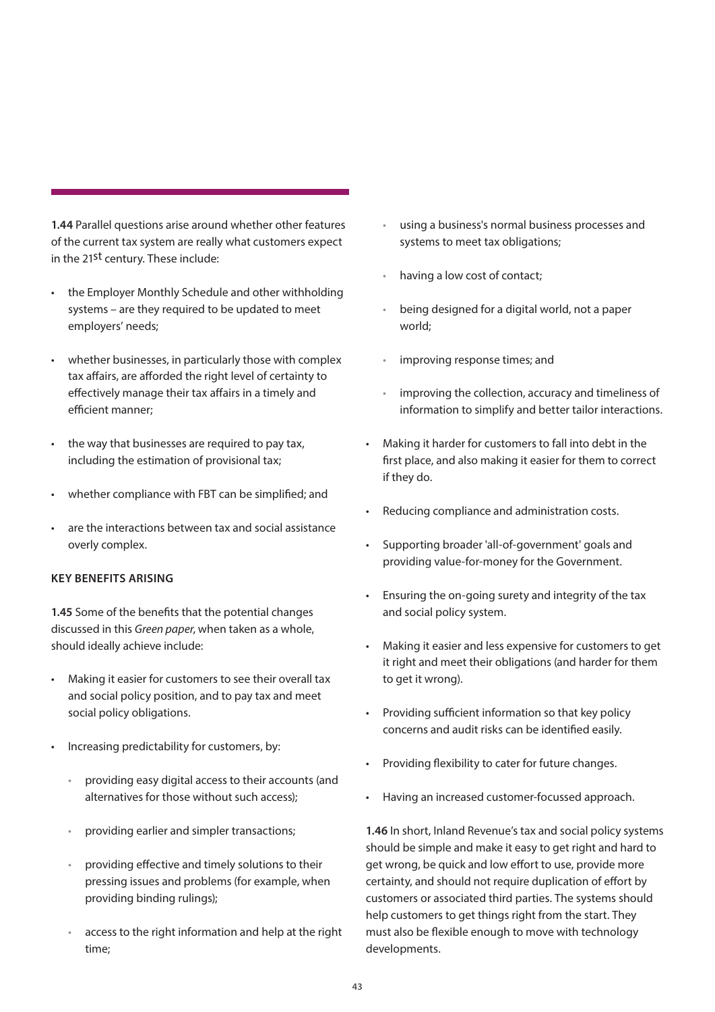**1.44** Parallel questions arise around whether other features of the current tax system are really what customers expect in the 21st century. These include:

- the Employer Monthly Schedule and other withholding systems – are they required to be updated to meet employers' needs;
- whether businesses, in particularly those with complex tax affairs, are afforded the right level of certainty to effectively manage their tax affairs in a timely and efficient manner;
- the way that businesses are required to pay tax, including the estimation of provisional tax;
- whether compliance with FBT can be simplified; and
- are the interactions between tax and social assistance overly complex.

### **KEY BENEFITS ARISING**

**1.45** Some of the benefits that the potential changes discussed in this *Green paper*, when taken as a whole, should ideally achieve include:

- Making it easier for customers to see their overall tax and social policy position, and to pay tax and meet social policy obligations.
- Increasing predictability for customers, by:
	- providing easy digital access to their accounts (and alternatives for those without such access);
	- providing earlier and simpler transactions;
	- providing effective and timely solutions to their pressing issues and problems (for example, when providing binding rulings);
	- access to the right information and help at the right time;
- using a business's normal business processes and systems to meet tax obligations;
- having a low cost of contact;
- being designed for a digital world, not a paper world;
- improving response times; and
- improving the collection, accuracy and timeliness of information to simplify and better tailor interactions.
- Making it harder for customers to fall into debt in the first place, and also making it easier for them to correct if they do.
- Reducing compliance and administration costs.
- Supporting broader 'all-of-government' goals and providing value-for-money for the Government.
- Ensuring the on-going surety and integrity of the tax and social policy system.
- Making it easier and less expensive for customers to get it right and meet their obligations (and harder for them to get it wrong).
- Providing sufficient information so that key policy concerns and audit risks can be identified easily.
- Providing flexibility to cater for future changes.
- Having an increased customer-focussed approach.

**1.46** In short, Inland Revenue's tax and social policy systems should be simple and make it easy to get right and hard to get wrong, be quick and low effort to use, provide more certainty, and should not require duplication of effort by customers or associated third parties. The systems should help customers to get things right from the start. They must also be flexible enough to move with technology developments.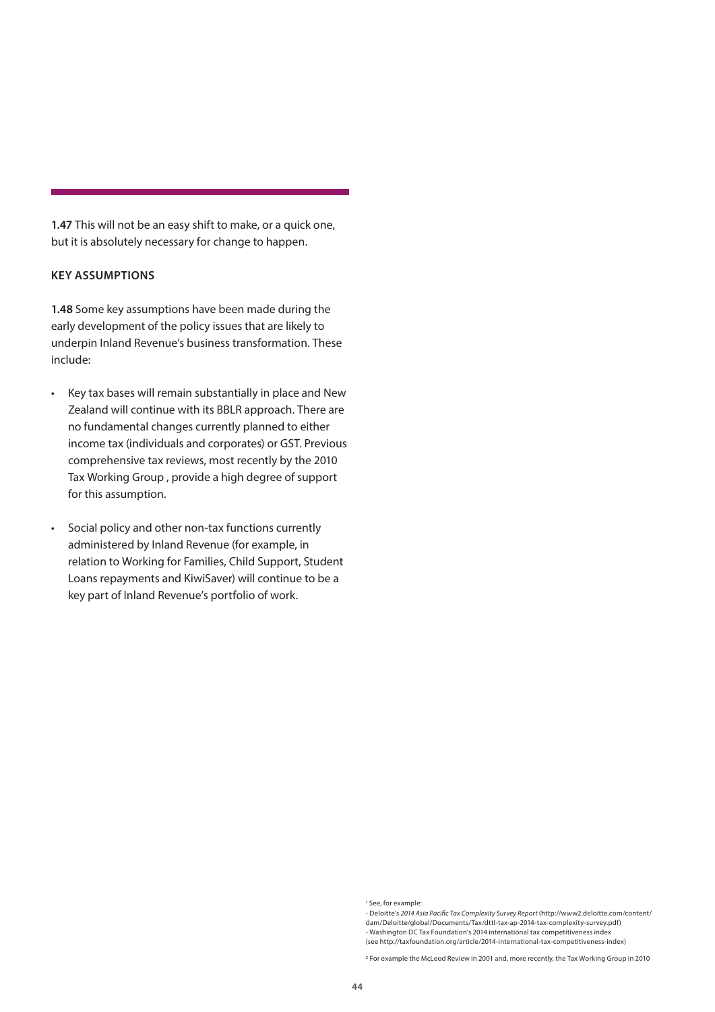<span id="page-43-0"></span>**1.47** This will not be an easy shift to make, or a quick one, but it is absolutely necessary for change to happen.

### **KEY ASSUMPTIONS**

**1.48** Some key assumptions have been made during the early development of the policy issues that are likely to underpin Inland Revenue's business transformation. These include:

- Key tax bases will remain substantially in place and New Zealand will continue with its BBLR approach. There are no fundamental changes currently planned to either income tax (individuals and corporates) or GST. Previous comprehensive tax reviews, most recently by the 2010 Tax Working Group , provide a high degree of support for this assumption.
- Social policy and other non-tax functions currently administered by Inland Revenue (for example, in relation to Working for Families, Child Support, Student Loans repayments and KiwiSaver) will continue to be a key part of Inland Revenue's portfolio of work.

<sup>1</sup> See, for example:

<sup>-</sup> Deloitte's *2014 Asia Pacific Tax Complexity Survey Report* (http://www2.deloitte.com/content/ dam/Deloitte/global/Documents/Tax/dttl-tax-ap-2014-tax-complexity-survey.pdf) - Washington DC Tax Foundation's 2014 international tax competitiveness index (see http://taxfoundation.org/article/2014-international-tax-competitiveness-index)

<sup>2</sup> For example the McLeod Review in 2001 and, more recently, the Tax Working Group in 2010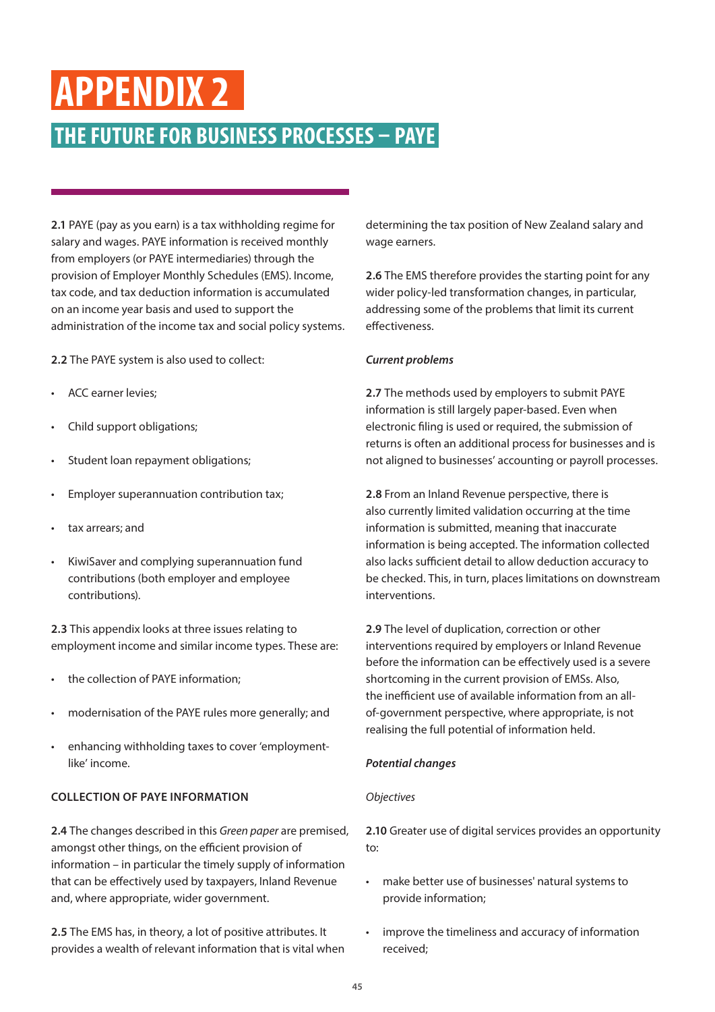## **APPENDIX 2**

### **THE FUTURE FOR BUSINESS PROCESSES – PAYE**

**2.1** PAYE (pay as you earn) is a tax withholding regime for salary and wages. PAYE information is received monthly from employers (or PAYE intermediaries) through the provision of Employer Monthly Schedules (EMS). Income, tax code, and tax deduction information is accumulated on an income year basis and used to support the administration of the income tax and social policy systems.

**2.2** The PAYE system is also used to collect:

- ACC earner levies;
- Child support obligations;
- Student loan repayment obligations;
- Employer superannuation contribution tax;
- tax arrears; and
- KiwiSaver and complying superannuation fund contributions (both employer and employee contributions).

**2.3** This appendix looks at three issues relating to employment income and similar income types. These are:

- the collection of PAYE information;
- modernisation of the PAYE rules more generally; and
- enhancing withholding taxes to cover 'employmentlike' income.

### **COLLECTION OF PAYE INFORMATION**

**2.4** The changes described in this *Green paper* are premised, amongst other things, on the efficient provision of information – in particular the timely supply of information that can be effectively used by taxpayers, Inland Revenue and, where appropriate, wider government.

**2.5** The EMS has, in theory, a lot of positive attributes. It provides a wealth of relevant information that is vital when

determining the tax position of New Zealand salary and wage earners.

**2.6** The EMS therefore provides the starting point for any wider policy-led transformation changes, in particular, addressing some of the problems that limit its current effectiveness.

### *Current problems*

**2.7** The methods used by employers to submit PAYE information is still largely paper-based. Even when electronic filing is used or required, the submission of returns is often an additional process for businesses and is not aligned to businesses' accounting or payroll processes.

**2.8** From an Inland Revenue perspective, there is also currently limited validation occurring at the time information is submitted, meaning that inaccurate information is being accepted. The information collected also lacks sufficient detail to allow deduction accuracy to be checked. This, in turn, places limitations on downstream interventions.

**2.9** The level of duplication, correction or other interventions required by employers or Inland Revenue before the information can be effectively used is a severe shortcoming in the current provision of EMSs. Also, the inefficient use of available information from an allof-government perspective, where appropriate, is not realising the full potential of information held.

### *Potential changes*

### *Objectives*

**2.10** Greater use of digital services provides an opportunity to:

- make better use of businesses' natural systems to provide information;
- improve the timeliness and accuracy of information received;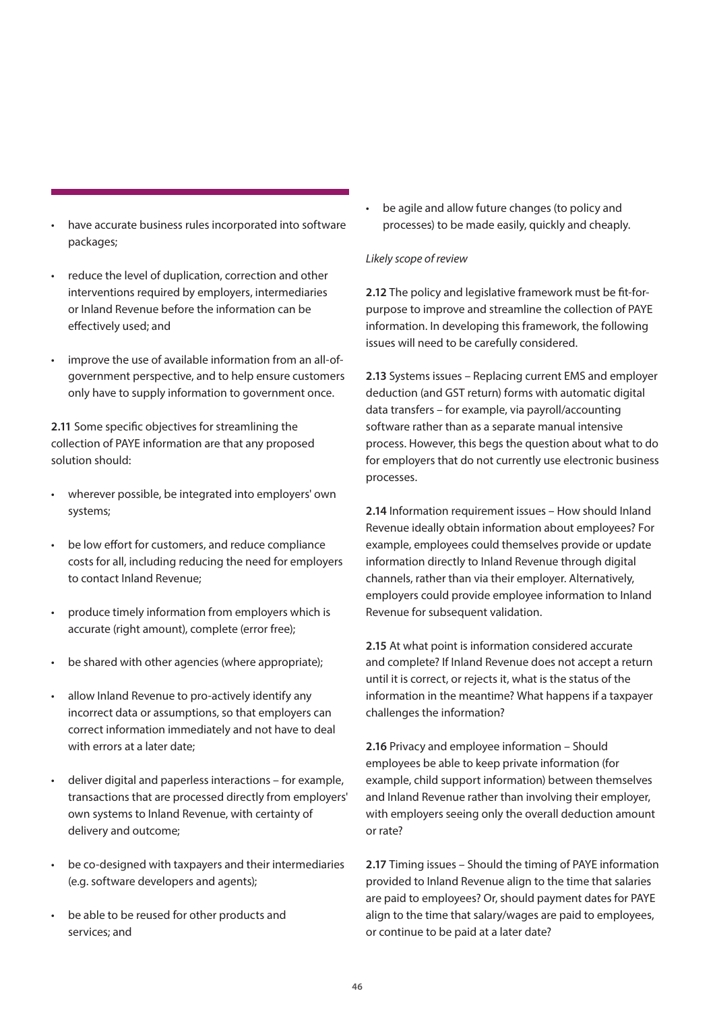- have accurate business rules incorporated into software packages;
- reduce the level of duplication, correction and other interventions required by employers, intermediaries or Inland Revenue before the information can be effectively used; and
- improve the use of available information from an all-ofgovernment perspective, and to help ensure customers only have to supply information to government once.

**2.11** Some specific objectives for streamlining the collection of PAYE information are that any proposed solution should:

- wherever possible, be integrated into employers' own systems;
- be low effort for customers, and reduce compliance costs for all, including reducing the need for employers to contact Inland Revenue;
- produce timely information from employers which is accurate (right amount), complete (error free);
- be shared with other agencies (where appropriate);
- allow Inland Revenue to pro-actively identify any incorrect data or assumptions, so that employers can correct information immediately and not have to deal with errors at a later date;
- deliver digital and paperless interactions for example, transactions that are processed directly from employers' own systems to Inland Revenue, with certainty of delivery and outcome;
- be co-designed with taxpayers and their intermediaries (e.g. software developers and agents);
- be able to be reused for other products and services; and

• be agile and allow future changes (to policy and processes) to be made easily, quickly and cheaply.

### *Likely scope of review*

**2.12** The policy and legislative framework must be fit-forpurpose to improve and streamline the collection of PAYE information. In developing this framework, the following issues will need to be carefully considered.

**2.13** Systems issues – Replacing current EMS and employer deduction (and GST return) forms with automatic digital data transfers – for example, via payroll/accounting software rather than as a separate manual intensive process. However, this begs the question about what to do for employers that do not currently use electronic business processes.

**2.14** Information requirement issues – How should Inland Revenue ideally obtain information about employees? For example, employees could themselves provide or update information directly to Inland Revenue through digital channels, rather than via their employer. Alternatively, employers could provide employee information to Inland Revenue for subsequent validation.

**2.15** At what point is information considered accurate and complete? If Inland Revenue does not accept a return until it is correct, or rejects it, what is the status of the information in the meantime? What happens if a taxpayer challenges the information?

**2.16** Privacy and employee information – Should employees be able to keep private information (for example, child support information) between themselves and Inland Revenue rather than involving their employer, with employers seeing only the overall deduction amount or rate?

**2.17** Timing issues – Should the timing of PAYE information provided to Inland Revenue align to the time that salaries are paid to employees? Or, should payment dates for PAYE align to the time that salary/wages are paid to employees, or continue to be paid at a later date?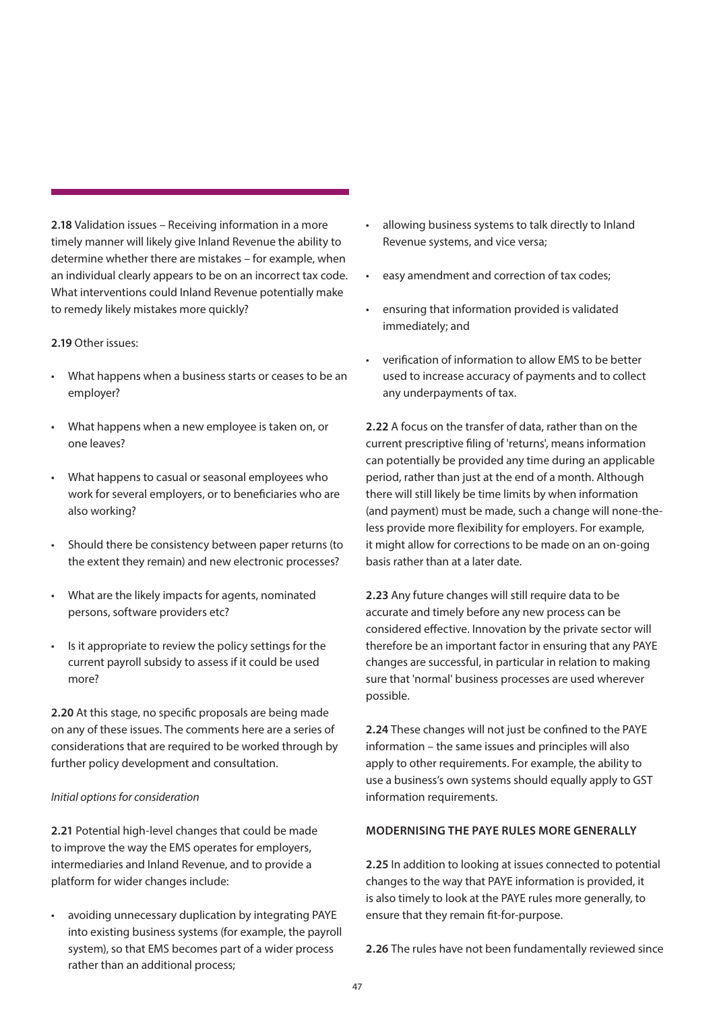**2.18** Validation issues – Receiving information in a more timely manner will likely give Inland Revenue the ability to determine whether there are mistakes – for example, when an individual clearly appears to be on an incorrect tax code. What interventions could Inland Revenue potentially make to remedy likely mistakes more quickly?

### **2.19** Other issues:

- What happens when a business starts or ceases to be an employer?
- What happens when a new employee is taken on, or one leaves?
- What happens to casual or seasonal employees who work for several employers, or to beneficiaries who are also working?
- Should there be consistency between paper returns (to the extent they remain) and new electronic processes?
- What are the likely impacts for agents, nominated persons, software providers etc?
- Is it appropriate to review the policy settings for the current payroll subsidy to assess if it could be used more?

**2.20** At this stage, no specific proposals are being made on any of these issues. The comments here are a series of considerations that are required to be worked through by further policy development and consultation.

### *Initial options for consideration*

**2.21** Potential high-level changes that could be made to improve the way the EMS operates for employers, intermediaries and Inland Revenue, and to provide a platform for wider changes include:

avoiding unnecessary duplication by integrating PAYE into existing business systems (for example, the payroll system), so that EMS becomes part of a wider process rather than an additional process;

- allowing business systems to talk directly to Inland Revenue systems, and vice versa;
- easy amendment and correction of tax codes;
- ensuring that information provided is validated immediately; and
- verification of information to allow EMS to be better used to increase accuracy of payments and to collect any underpayments of tax.

**2.22** A focus on the transfer of data, rather than on the current prescriptive filing of 'returns', means information can potentially be provided any time during an applicable period, rather than just at the end of a month. Although there will still likely be time limits by when information (and payment) must be made, such a change will none-theless provide more flexibility for employers. For example, it might allow for corrections to be made on an on-going basis rather than at a later date.

**2.23** Any future changes will still require data to be accurate and timely before any new process can be considered effective. Innovation by the private sector will therefore be an important factor in ensuring that any PAYE changes are successful, in particular in relation to making sure that 'normal' business processes are used wherever possible.

**2.24** These changes will not just be confined to the PAYE information – the same issues and principles will also apply to other requirements. For example, the ability to use a business's own systems should equally apply to GST information requirements.

### **MODERNISING THE PAYE RULES MORE GENERALLY**

**2.25** In addition to looking at issues connected to potential changes to the way that PAYE information is provided, it is also timely to look at the PAYE rules more generally, to ensure that they remain fit-for-purpose.

**2.26** The rules have not been fundamentally reviewed since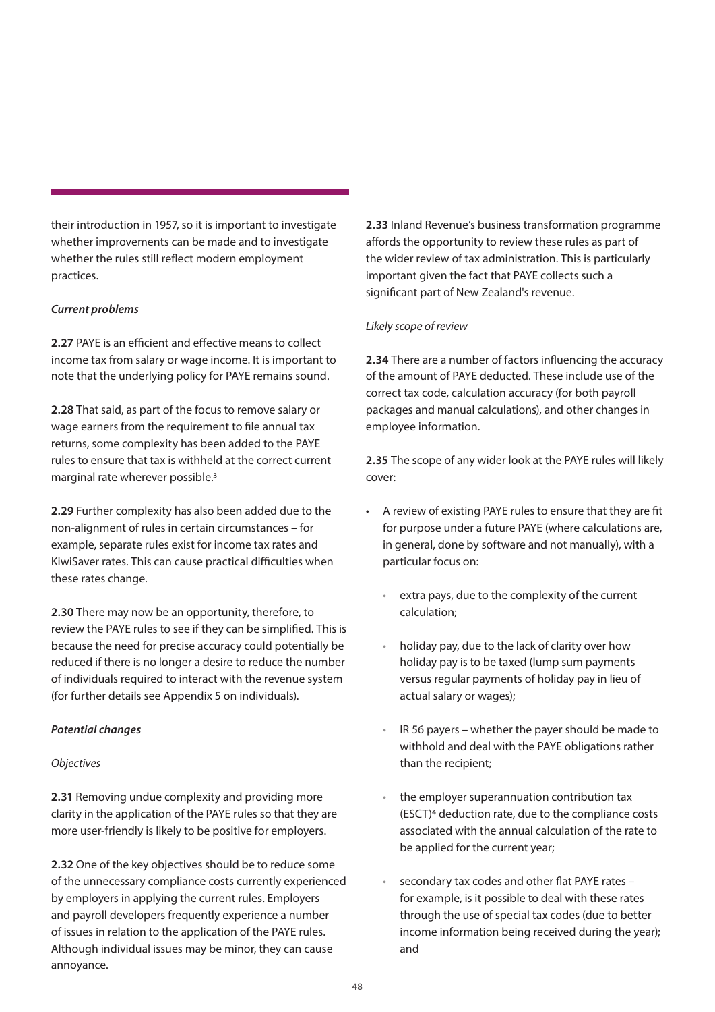their introduction in 1957, so it is important to investigate whether improvements can be made and to investigate whether the rules still reflect modern employment practices.

### *Current problems*

**2.27** PAYE is an efficient and effective means to collect income tax from salary or wage income. It is important to note that the underlying policy for PAYE remains sound.

**2.28** That said, as part of the focus to remove salary or wage earners from the requirement to file annual tax returns, some complexity has been added to the PAYE rules to ensure that tax is withheld at the correct current marginal rate wherever possible.3

**2.29** Further complexity has also been added due to the non-alignment of rules in certain circumstances – for example, separate rules exist for income tax rates and KiwiSaver rates. This can cause practical difficulties when these rates change.

**2.30** There may now be an opportunity, therefore, to review the PAYE rules to see if they can be simplified. This is because the need for precise accuracy could potentially be reduced if there is no longer a desire to reduce the number of individuals required to interact with the revenue system (for further details see Appendix 5 on individuals).

### *Potential changes*

### *Objectives*

**2.31** Removing undue complexity and providing more clarity in the application of the PAYE rules so that they are more user-friendly is likely to be positive for employers.

**2.32** One of the key objectives should be to reduce some of the unnecessary compliance costs currently experienced by employers in applying the current rules. Employers and payroll developers frequently experience a number of issues in relation to the application of the PAYE rules. Although individual issues may be minor, they can cause annoyance.

**2.33** Inland Revenue's business transformation programme affords the opportunity to review these rules as part of the wider review of tax administration. This is particularly important given the fact that PAYE collects such a significant part of New Zealand's revenue.

### *Likely scope of review*

**2.34** There are a number of factors influencing the accuracy of the amount of PAYE deducted. These include use of the correct tax code, calculation accuracy (for both payroll packages and manual calculations), and other changes in employee information.

**2.35** The scope of any wider look at the PAYE rules will likely cover:

- A review of existing PAYE rules to ensure that they are fit for purpose under a future PAYE (where calculations are, in general, done by software and not manually), with a particular focus on:
	- extra pays, due to the complexity of the current calculation;
	- holiday pay, due to the lack of clarity over how holiday pay is to be taxed (lump sum payments versus regular payments of holiday pay in lieu of actual salary or wages);
	- IR 56 payers whether the payer should be made to withhold and deal with the PAYE obligations rather than the recipient;
	- the employer superannuation contribution tax (ESCT)4 deduction rate, due to the compliance costs associated with the annual calculation of the rate to be applied for the current year;
	- secondary tax codes and other flat PAYE rates for example, is it possible to deal with these rates through the use of special tax codes (due to better income information being received during the year); and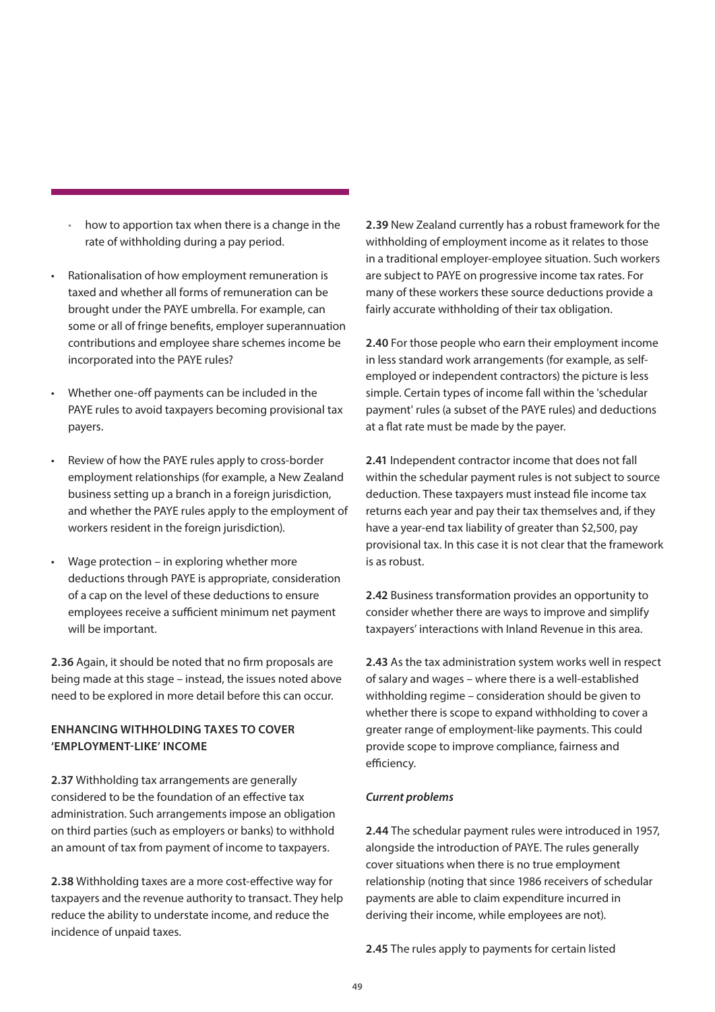- how to apportion tax when there is a change in the rate of withholding during a pay period.
- Rationalisation of how employment remuneration is taxed and whether all forms of remuneration can be brought under the PAYE umbrella. For example, can some or all of fringe benefits, employer superannuation contributions and employee share schemes income be incorporated into the PAYE rules?
- Whether one-off payments can be included in the PAYE rules to avoid taxpayers becoming provisional tax payers.
- Review of how the PAYE rules apply to cross-border employment relationships (for example, a New Zealand business setting up a branch in a foreign jurisdiction, and whether the PAYE rules apply to the employment of workers resident in the foreign jurisdiction).
- Wage protection in exploring whether more deductions through PAYE is appropriate, consideration of a cap on the level of these deductions to ensure employees receive a sufficient minimum net payment will be important.

**2.36** Again, it should be noted that no firm proposals are being made at this stage – instead, the issues noted above need to be explored in more detail before this can occur.

### **ENHANCING WITHHOLDING TAXES TO COVER 'EMPLOYMENT-LIKE' INCOME**

**2.37** Withholding tax arrangements are generally considered to be the foundation of an effective tax administration. Such arrangements impose an obligation on third parties (such as employers or banks) to withhold an amount of tax from payment of income to taxpayers.

**2.38** Withholding taxes are a more cost-effective way for taxpayers and the revenue authority to transact. They help reduce the ability to understate income, and reduce the incidence of unpaid taxes.

**2.39** New Zealand currently has a robust framework for the withholding of employment income as it relates to those in a traditional employer-employee situation. Such workers are subject to PAYE on progressive income tax rates. For many of these workers these source deductions provide a fairly accurate withholding of their tax obligation.

**2.40** For those people who earn their employment income in less standard work arrangements (for example, as selfemployed or independent contractors) the picture is less simple. Certain types of income fall within the 'schedular payment' rules (a subset of the PAYE rules) and deductions at a flat rate must be made by the payer.

**2.41** Independent contractor income that does not fall within the schedular payment rules is not subject to source deduction. These taxpayers must instead file income tax returns each year and pay their tax themselves and, if they have a year-end tax liability of greater than \$2,500, pay provisional tax. In this case it is not clear that the framework is as robust.

**2.42** Business transformation provides an opportunity to consider whether there are ways to improve and simplify taxpayers' interactions with Inland Revenue in this area.

**2.43** As the tax administration system works well in respect of salary and wages – where there is a well-established withholding regime – consideration should be given to whether there is scope to expand withholding to cover a greater range of employment-like payments. This could provide scope to improve compliance, fairness and efficiency.

### *Current problems*

**2.44** The schedular payment rules were introduced in 1957, alongside the introduction of PAYE. The rules generally cover situations when there is no true employment relationship (noting that since 1986 receivers of schedular payments are able to claim expenditure incurred in deriving their income, while employees are not).

**2.45** The rules apply to payments for certain listed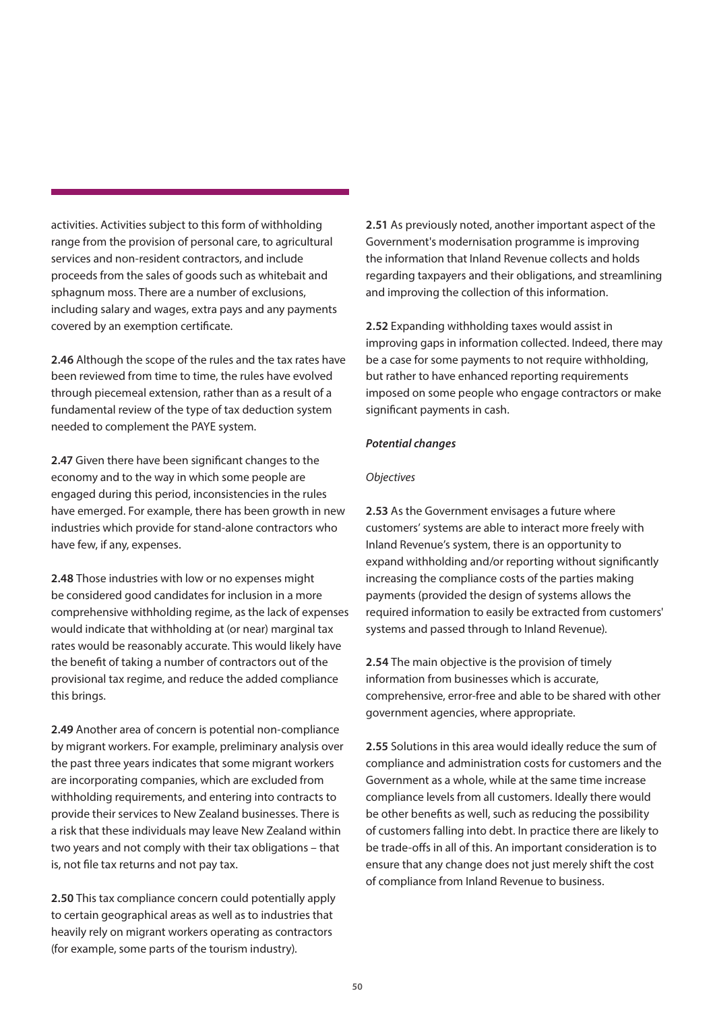activities. Activities subject to this form of withholding range from the provision of personal care, to agricultural services and non-resident contractors, and include proceeds from the sales of goods such as whitebait and sphagnum moss. There are a number of exclusions, including salary and wages, extra pays and any payments covered by an exemption certificate.

**2.46** Although the scope of the rules and the tax rates have been reviewed from time to time, the rules have evolved through piecemeal extension, rather than as a result of a fundamental review of the type of tax deduction system needed to complement the PAYE system.

**2.47** Given there have been significant changes to the economy and to the way in which some people are engaged during this period, inconsistencies in the rules have emerged. For example, there has been growth in new industries which provide for stand-alone contractors who have few, if any, expenses.

**2.48** Those industries with low or no expenses might be considered good candidates for inclusion in a more comprehensive withholding regime, as the lack of expenses would indicate that withholding at (or near) marginal tax rates would be reasonably accurate. This would likely have the benefit of taking a number of contractors out of the provisional tax regime, and reduce the added compliance this brings.

**2.49** Another area of concern is potential non-compliance by migrant workers. For example, preliminary analysis over the past three years indicates that some migrant workers are incorporating companies, which are excluded from withholding requirements, and entering into contracts to provide their services to New Zealand businesses. There is a risk that these individuals may leave New Zealand within two years and not comply with their tax obligations – that is, not file tax returns and not pay tax.

**2.50** This tax compliance concern could potentially apply to certain geographical areas as well as to industries that heavily rely on migrant workers operating as contractors (for example, some parts of the tourism industry).

**2.51** As previously noted, another important aspect of the Government's modernisation programme is improving the information that Inland Revenue collects and holds regarding taxpayers and their obligations, and streamlining and improving the collection of this information.

**2.52** Expanding withholding taxes would assist in improving gaps in information collected. Indeed, there may be a case for some payments to not require withholding, but rather to have enhanced reporting requirements imposed on some people who engage contractors or make significant payments in cash.

### *Potential changes*

### *Objectives*

**2.53** As the Government envisages a future where customers' systems are able to interact more freely with Inland Revenue's system, there is an opportunity to expand withholding and/or reporting without significantly increasing the compliance costs of the parties making payments (provided the design of systems allows the required information to easily be extracted from customers' systems and passed through to Inland Revenue).

**2.54** The main objective is the provision of timely information from businesses which is accurate, comprehensive, error-free and able to be shared with other government agencies, where appropriate.

**2.55** Solutions in this area would ideally reduce the sum of compliance and administration costs for customers and the Government as a whole, while at the same time increase compliance levels from all customers. Ideally there would be other benefits as well, such as reducing the possibility of customers falling into debt. In practice there are likely to be trade-offs in all of this. An important consideration is to ensure that any change does not just merely shift the cost of compliance from Inland Revenue to business.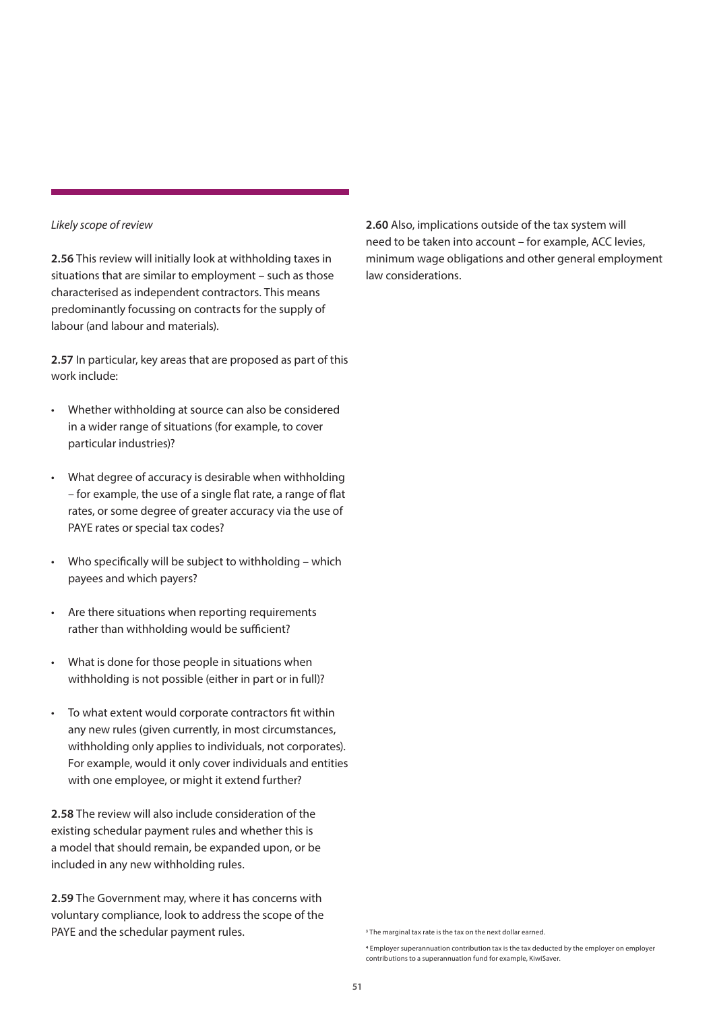### *Likely scope of review*

**2.56** This review will initially look at withholding taxes in situations that are similar to employment – such as those characterised as independent contractors. This means predominantly focussing on contracts for the supply of labour (and labour and materials).

**2.57** In particular, key areas that are proposed as part of this work include:

- Whether withholding at source can also be considered in a wider range of situations (for example, to cover particular industries)?
- What degree of accuracy is desirable when withholding – for example, the use of a single flat rate, a range of flat rates, or some degree of greater accuracy via the use of PAYE rates or special tax codes?
- Who specifically will be subject to withholding which payees and which payers?
- Are there situations when reporting requirements rather than withholding would be sufficient?
- What is done for those people in situations when withholding is not possible (either in part or in full)?
- To what extent would corporate contractors fit within any new rules (given currently, in most circumstances, withholding only applies to individuals, not corporates). For example, would it only cover individuals and entities with one employee, or might it extend further?

**2.58** The review will also include consideration of the existing schedular payment rules and whether this is a model that should remain, be expanded upon, or be included in any new withholding rules.

**2.59** The Government may, where it has concerns with voluntary compliance, look to address the scope of the PAYE and the schedular payment rules.

**2.60** Also, implications outside of the tax system will need to be taken into account – for example, ACC levies, minimum wage obligations and other general employment law considerations.

<sup>3</sup> The marginal tax rate is the tax on the next dollar earned.

<sup>4</sup> Employer superannuation contribution tax is the tax deducted by the employer on employer contributions to a superannuation fund for example, KiwiSaver.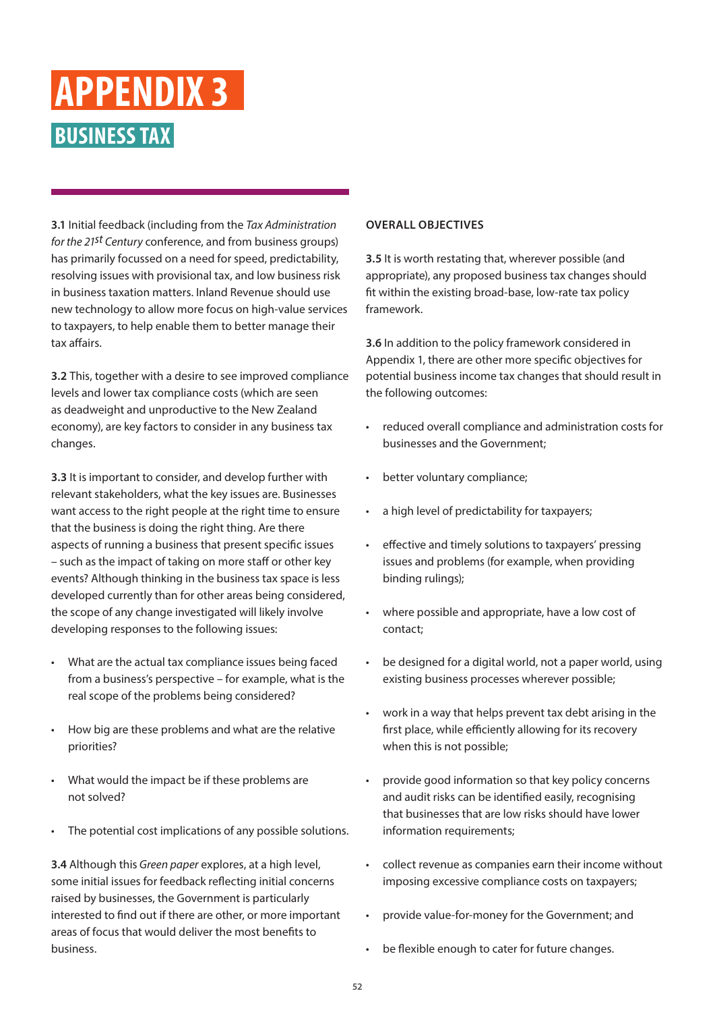### <span id="page-51-0"></span>**BUSINESS TAX APPENDIX 3**

**3.1** Initial feedback (including from the *Tax Administration for the 21st Century* conference, and from business groups) has primarily focussed on a need for speed, predictability, resolving issues with provisional tax, and low business risk in business taxation matters. Inland Revenue should use new technology to allow more focus on high-value services to taxpayers, to help enable them to better manage their tax affairs.

**3.2** This, together with a desire to see improved compliance levels and lower tax compliance costs (which are seen as deadweight and unproductive to the New Zealand economy), are key factors to consider in any business tax changes.

**3.3** It is important to consider, and develop further with relevant stakeholders, what the key issues are. Businesses want access to the right people at the right time to ensure that the business is doing the right thing. Are there aspects of running a business that present specific issues – such as the impact of taking on more staff or other key events? Although thinking in the business tax space is less developed currently than for other areas being considered, the scope of any change investigated will likely involve developing responses to the following issues:

- What are the actual tax compliance issues being faced from a business's perspective – for example, what is the real scope of the problems being considered?
- How big are these problems and what are the relative priorities?
- What would the impact be if these problems are not solved?
- The potential cost implications of any possible solutions.

**3.4** Although this *Green paper* explores, at a high level, some initial issues for feedback reflecting initial concerns raised by businesses, the Government is particularly interested to find out if there are other, or more important areas of focus that would deliver the most benefits to business.

### **OVERALL OBJECTIVES**

**3.5** It is worth restating that, wherever possible (and appropriate), any proposed business tax changes should fit within the existing broad-base, low-rate tax policy framework.

**3.6** In addition to the policy framework considered in Appendix 1, there are other more specific objectives for potential business income tax changes that should result in the following outcomes:

- reduced overall compliance and administration costs for businesses and the Government;
- better voluntary compliance;
- a high level of predictability for taxpayers;
- effective and timely solutions to taxpayers' pressing issues and problems (for example, when providing binding rulings);
- where possible and appropriate, have a low cost of contact;
- be designed for a digital world, not a paper world, using existing business processes wherever possible;
- work in a way that helps prevent tax debt arising in the first place, while efficiently allowing for its recovery when this is not possible;
- provide good information so that key policy concerns and audit risks can be identified easily, recognising that businesses that are low risks should have lower information requirements:
- collect revenue as companies earn their income without imposing excessive compliance costs on taxpayers;
- provide value-for-money for the Government; and
- be flexible enough to cater for future changes.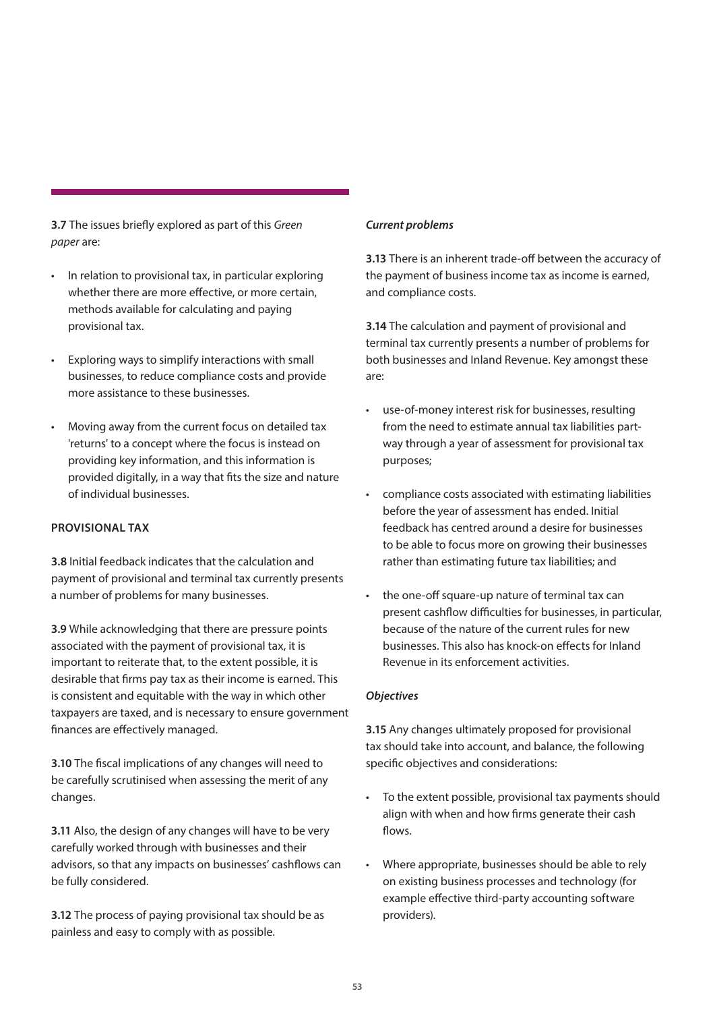**3.7** The issues briefly explored as part of this *Green paper* are:

- In relation to provisional tax, in particular exploring whether there are more effective, or more certain, methods available for calculating and paying provisional tax.
- Exploring ways to simplify interactions with small businesses, to reduce compliance costs and provide more assistance to these businesses.
- Moving away from the current focus on detailed tax 'returns' to a concept where the focus is instead on providing key information, and this information is provided digitally, in a way that fits the size and nature of individual businesses.

### **PROVISIONAL TAX**

**3.8** Initial feedback indicates that the calculation and payment of provisional and terminal tax currently presents a number of problems for many businesses.

**3.9** While acknowledging that there are pressure points associated with the payment of provisional tax, it is important to reiterate that, to the extent possible, it is desirable that firms pay tax as their income is earned. This is consistent and equitable with the way in which other taxpayers are taxed, and is necessary to ensure government finances are effectively managed.

**3.10** The fiscal implications of any changes will need to be carefully scrutinised when assessing the merit of any changes.

**3.11** Also, the design of any changes will have to be very carefully worked through with businesses and their advisors, so that any impacts on businesses' cashflows can be fully considered.

**3.12** The process of paying provisional tax should be as painless and easy to comply with as possible.

### *Current problems*

**3.13** There is an inherent trade-off between the accuracy of the payment of business income tax as income is earned, and compliance costs.

**3.14** The calculation and payment of provisional and terminal tax currently presents a number of problems for both businesses and Inland Revenue. Key amongst these are:

- use-of-money interest risk for businesses, resulting from the need to estimate annual tax liabilities partway through a year of assessment for provisional tax purposes;
- compliance costs associated with estimating liabilities before the year of assessment has ended. Initial feedback has centred around a desire for businesses to be able to focus more on growing their businesses rather than estimating future tax liabilities; and
- the one-off square-up nature of terminal tax can present cashflow difficulties for businesses, in particular, because of the nature of the current rules for new businesses. This also has knock-on effects for Inland Revenue in its enforcement activities.

### *Objectives*

**3.15** Any changes ultimately proposed for provisional tax should take into account, and balance, the following specific objectives and considerations:

- To the extent possible, provisional tax payments should align with when and how firms generate their cash flows.
- Where appropriate, businesses should be able to rely on existing business processes and technology (for example effective third-party accounting software providers).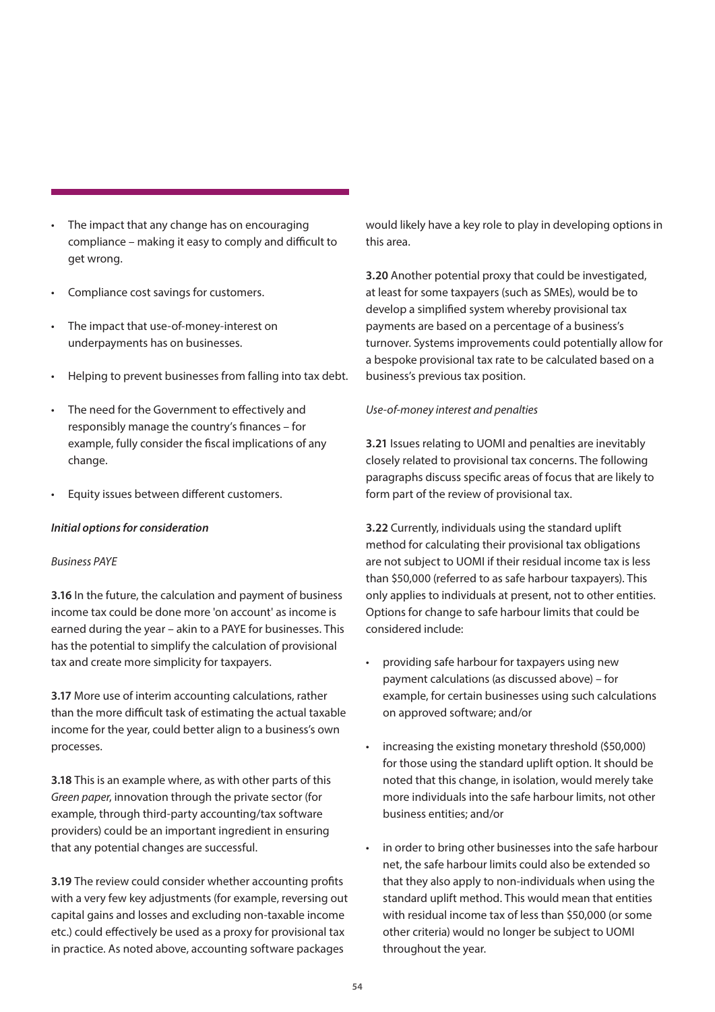- The impact that any change has on encouraging compliance – making it easy to comply and difficult to get wrong.
- Compliance cost savings for customers.
- The impact that use-of-money-interest on underpayments has on businesses.
- Helping to prevent businesses from falling into tax debt.
- The need for the Government to effectively and responsibly manage the country's finances – for example, fully consider the fiscal implications of any change.
- Equity issues between different customers.

### *Initial options for consideration*

### *Business PAYE*

**3.16** In the future, the calculation and payment of business income tax could be done more 'on account' as income is earned during the year – akin to a PAYE for businesses. This has the potential to simplify the calculation of provisional tax and create more simplicity for taxpayers.

**3.17** More use of interim accounting calculations, rather than the more difficult task of estimating the actual taxable income for the year, could better align to a business's own processes.

**3.18** This is an example where, as with other parts of this *Green paper*, innovation through the private sector (for example, through third-party accounting/tax software providers) could be an important ingredient in ensuring that any potential changes are successful.

**3.19** The review could consider whether accounting profits with a very few key adjustments (for example, reversing out capital gains and losses and excluding non-taxable income etc.) could effectively be used as a proxy for provisional tax in practice. As noted above, accounting software packages

would likely have a key role to play in developing options in this area.

**3.20** Another potential proxy that could be investigated, at least for some taxpayers (such as SMEs), would be to develop a simplified system whereby provisional tax payments are based on a percentage of a business's turnover. Systems improvements could potentially allow for a bespoke provisional tax rate to be calculated based on a business's previous tax position.

### *Use-of-money interest and penalties*

**3.21** Issues relating to UOMI and penalties are inevitably closely related to provisional tax concerns. The following paragraphs discuss specific areas of focus that are likely to form part of the review of provisional tax.

**3.22** Currently, individuals using the standard uplift method for calculating their provisional tax obligations are not subject to UOMI if their residual income tax is less than \$50,000 (referred to as safe harbour taxpayers). This only applies to individuals at present, not to other entities. Options for change to safe harbour limits that could be considered include:

- providing safe harbour for taxpayers using new payment calculations (as discussed above) – for example, for certain businesses using such calculations on approved software; and/or
- increasing the existing monetary threshold (\$50,000) for those using the standard uplift option. It should be noted that this change, in isolation, would merely take more individuals into the safe harbour limits, not other business entities; and/or
- in order to bring other businesses into the safe harbour net, the safe harbour limits could also be extended so that they also apply to non-individuals when using the standard uplift method. This would mean that entities with residual income tax of less than \$50,000 (or some other criteria) would no longer be subject to UOMI throughout the year.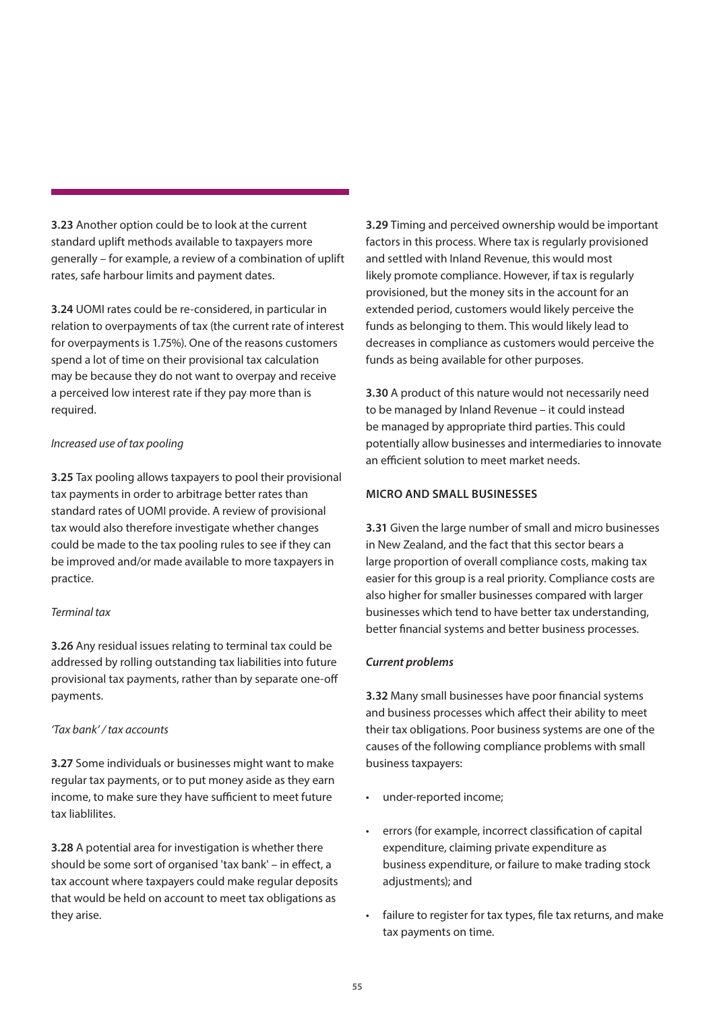**3.23** Another option could be to look at the current standard uplift methods available to taxpayers more generally – for example, a review of a combination of uplift rates, safe harbour limits and payment dates.

**3.24** UOMI rates could be re-considered, in particular in relation to overpayments of tax (the current rate of interest for overpayments is 1.75%). One of the reasons customers spend a lot of time on their provisional tax calculation may be because they do not want to overpay and receive a perceived low interest rate if they pay more than is required.

### *Increased use of tax pooling*

**3.25** Tax pooling allows taxpayers to pool their provisional tax payments in order to arbitrage better rates than standard rates of UOMI provide. A review of provisional tax would also therefore investigate whether changes could be made to the tax pooling rules to see if they can be improved and/or made available to more taxpayers in practice.

### *Terminal tax*

**3.26** Any residual issues relating to terminal tax could be addressed by rolling outstanding tax liabilities into future provisional tax payments, rather than by separate one-off payments.

### *'Tax bank' / tax accounts*

**3.27** Some individuals or businesses might want to make regular tax payments, or to put money aside as they earn income, to make sure they have sufficient to meet future tax liablilites.

**3.28** A potential area for investigation is whether there should be some sort of organised 'tax bank' – in effect, a tax account where taxpayers could make regular deposits that would be held on account to meet tax obligations as they arise.

**3.29** Timing and perceived ownership would be important factors in this process. Where tax is regularly provisioned and settled with Inland Revenue, this would most likely promote compliance. However, if tax is regularly provisioned, but the money sits in the account for an extended period, customers would likely perceive the funds as belonging to them. This would likely lead to decreases in compliance as customers would perceive the funds as being available for other purposes.

**3.30** A product of this nature would not necessarily need to be managed by Inland Revenue – it could instead be managed by appropriate third parties. This could potentially allow businesses and intermediaries to innovate an efficient solution to meet market needs.

### **MICRO AND SMALL BUSINESSES**

**3.31** Given the large number of small and micro businesses in New Zealand, and the fact that this sector bears a large proportion of overall compliance costs, making tax easier for this group is a real priority. Compliance costs are also higher for smaller businesses compared with larger businesses which tend to have better tax understanding, better financial systems and better business processes.

### *Current problems*

**3.32** Many small businesses have poor financial systems and business processes which affect their ability to meet their tax obligations. Poor business systems are one of the causes of the following compliance problems with small business taxpayers:

- under-reported income;
- errors (for example, incorrect classification of capital expenditure, claiming private expenditure as business expenditure, or failure to make trading stock adiustments); and
- failure to register for tax types, file tax returns, and make tax payments on time.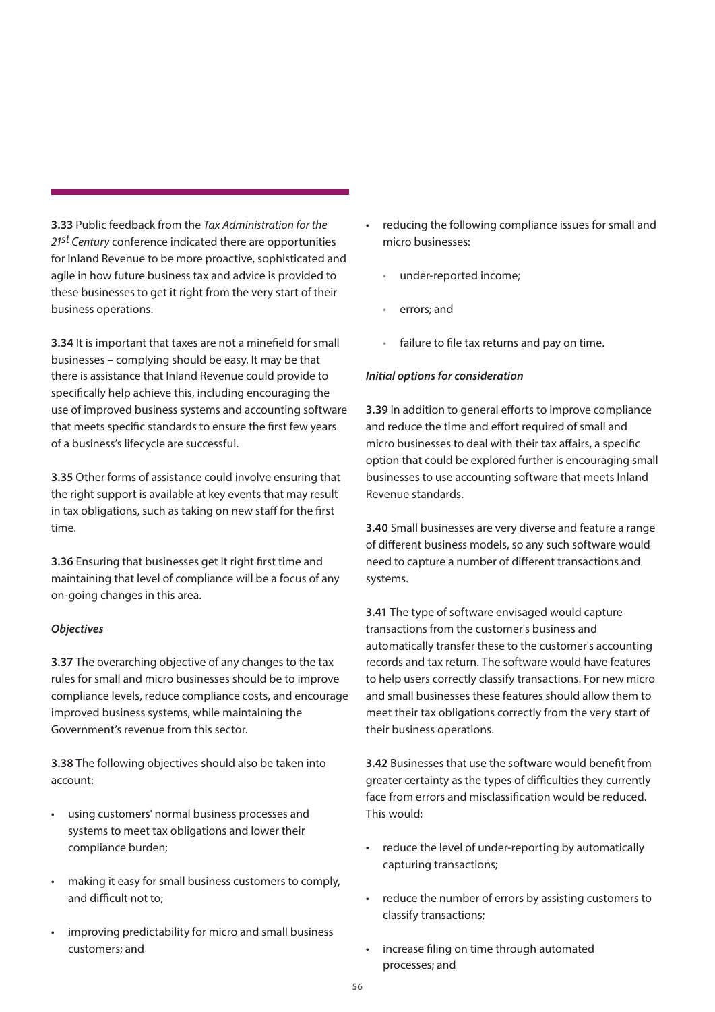**3.33** Public feedback from the *Tax Administration for the 21st Century* conference indicated there are opportunities for Inland Revenue to be more proactive, sophisticated and agile in how future business tax and advice is provided to these businesses to get it right from the very start of their business operations.

**3.34** It is important that taxes are not a minefield for small businesses – complying should be easy. It may be that there is assistance that Inland Revenue could provide to specifically help achieve this, including encouraging the use of improved business systems and accounting software that meets specific standards to ensure the first few years of a business's lifecycle are successful.

**3.35** Other forms of assistance could involve ensuring that the right support is available at key events that may result in tax obligations, such as taking on new staff for the first time.

**3.36** Ensuring that businesses get it right first time and maintaining that level of compliance will be a focus of any on-going changes in this area.

### *Objectives*

**3.37** The overarching objective of any changes to the tax rules for small and micro businesses should be to improve compliance levels, reduce compliance costs, and encourage improved business systems, while maintaining the Government's revenue from this sector.

**3.38** The following objectives should also be taken into account:

- using customers' normal business processes and systems to meet tax obligations and lower their compliance burden;
- making it easy for small business customers to comply, and difficult not to;
- improving predictability for micro and small business customers; and
- reducing the following compliance issues for small and micro businesses:
	- under-reported income;
	- errors; and
	- failure to file tax returns and pay on time.

### *Initial options for consideration*

**3.39** In addition to general efforts to improve compliance and reduce the time and effort required of small and micro businesses to deal with their tax affairs, a specific option that could be explored further is encouraging small businesses to use accounting software that meets Inland Revenue standards.

**3.40** Small businesses are very diverse and feature a range of different business models, so any such software would need to capture a number of different transactions and systems.

**3.41** The type of software envisaged would capture transactions from the customer's business and automatically transfer these to the customer's accounting records and tax return. The software would have features to help users correctly classify transactions. For new micro and small businesses these features should allow them to meet their tax obligations correctly from the very start of their business operations.

**3.42** Businesses that use the software would benefit from greater certainty as the types of difficulties they currently face from errors and misclassification would be reduced. This would:

- reduce the level of under-reporting by automatically capturing transactions;
- reduce the number of errors by assisting customers to classify transactions;
- increase filing on time through automated processes; and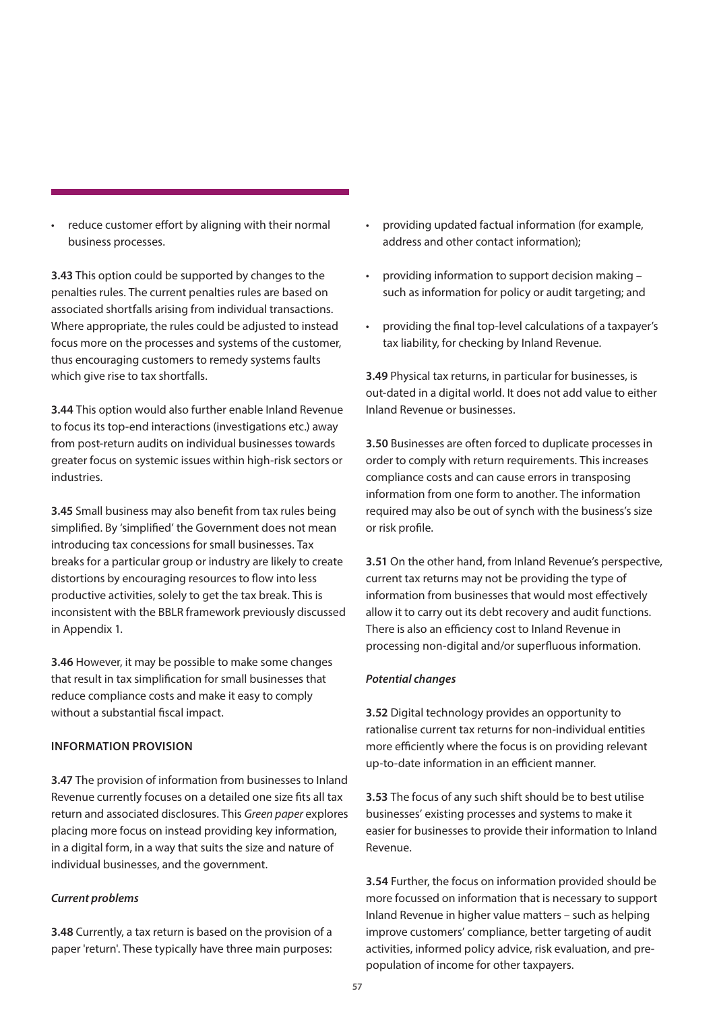• reduce customer effort by aligning with their normal business processes.

**3.43** This option could be supported by changes to the penalties rules. The current penalties rules are based on associated shortfalls arising from individual transactions. Where appropriate, the rules could be adjusted to instead focus more on the processes and systems of the customer, thus encouraging customers to remedy systems faults which give rise to tax shortfalls.

**3.44** This option would also further enable Inland Revenue to focus its top-end interactions (investigations etc.) away from post-return audits on individual businesses towards greater focus on systemic issues within high-risk sectors or industries.

**3.45** Small business may also benefit from tax rules being simplified. By 'simplified' the Government does not mean introducing tax concessions for small businesses. Tax breaks for a particular group or industry are likely to create distortions by encouraging resources to flow into less productive activities, solely to get the tax break. This is inconsistent with the BBLR framework previously discussed in Appendix 1.

**3.46** However, it may be possible to make some changes that result in tax simplification for small businesses that reduce compliance costs and make it easy to comply without a substantial fiscal impact.

### **INFORMATION PROVISION**

**3.47** The provision of information from businesses to Inland Revenue currently focuses on a detailed one size fits all tax return and associated disclosures. This *Green paper* explores placing more focus on instead providing key information, in a digital form, in a way that suits the size and nature of individual businesses, and the government.

### *Current problems*

**3.48** Currently, a tax return is based on the provision of a paper 'return'. These typically have three main purposes:

- providing updated factual information (for example, address and other contact information);
- providing information to support decision making such as information for policy or audit targeting; and
- providing the final top-level calculations of a taxpayer's tax liability, for checking by Inland Revenue.

**3.49** Physical tax returns, in particular for businesses, is out-dated in a digital world. It does not add value to either Inland Revenue or businesses.

**3.50** Businesses are often forced to duplicate processes in order to comply with return requirements. This increases compliance costs and can cause errors in transposing information from one form to another. The information required may also be out of synch with the business's size or risk profile.

**3.51** On the other hand, from Inland Revenue's perspective, current tax returns may not be providing the type of information from businesses that would most effectively allow it to carry out its debt recovery and audit functions. There is also an efficiency cost to Inland Revenue in processing non-digital and/or superfluous information.

### *Potential changes*

**3.52** Digital technology provides an opportunity to rationalise current tax returns for non-individual entities more efficiently where the focus is on providing relevant up-to-date information in an efficient manner.

**3.53** The focus of any such shift should be to best utilise businesses' existing processes and systems to make it easier for businesses to provide their information to Inland Revenue.

**3.54** Further, the focus on information provided should be more focussed on information that is necessary to support Inland Revenue in higher value matters – such as helping improve customers' compliance, better targeting of audit activities, informed policy advice, risk evaluation, and prepopulation of income for other taxpayers.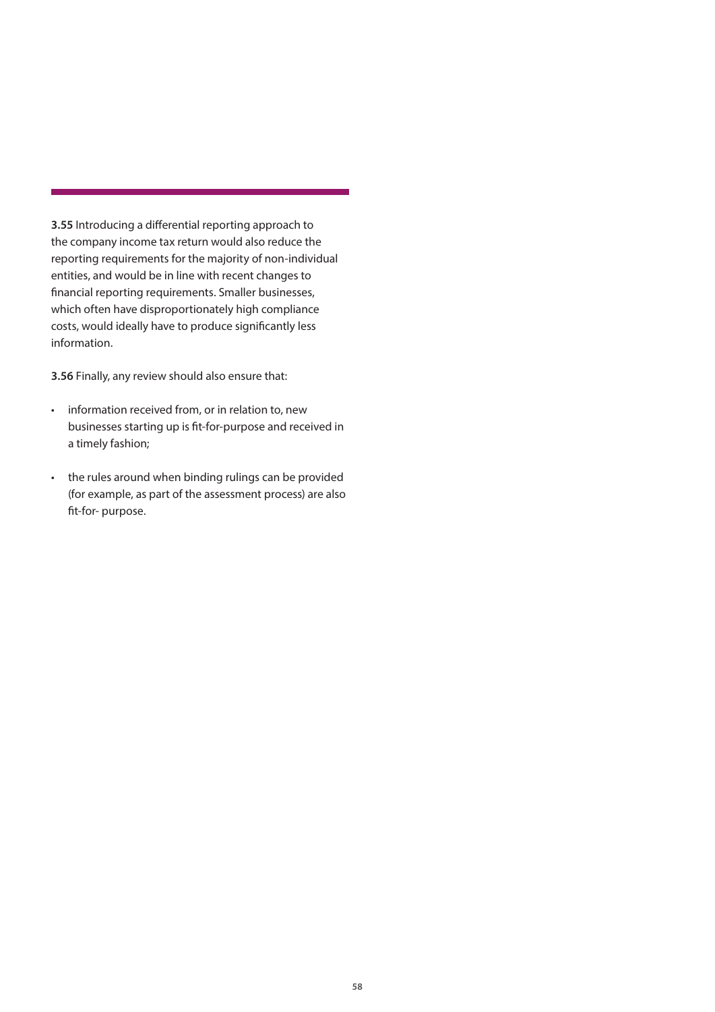<span id="page-57-0"></span>**3.55** Introducing a differential reporting approach to the company income tax return would also reduce the reporting requirements for the majority of non-individual entities, and would be in line with recent changes to financial reporting requirements. Smaller businesses, which often have disproportionately high compliance costs, would ideally have to produce significantly less information.

**3.56** Finally, any review should also ensure that:

- information received from, or in relation to, new businesses starting up is fit-for-purpose and received in a timely fashion;
- the rules around when binding rulings can be provided (for example, as part of the assessment process) are also fit-for- purpose.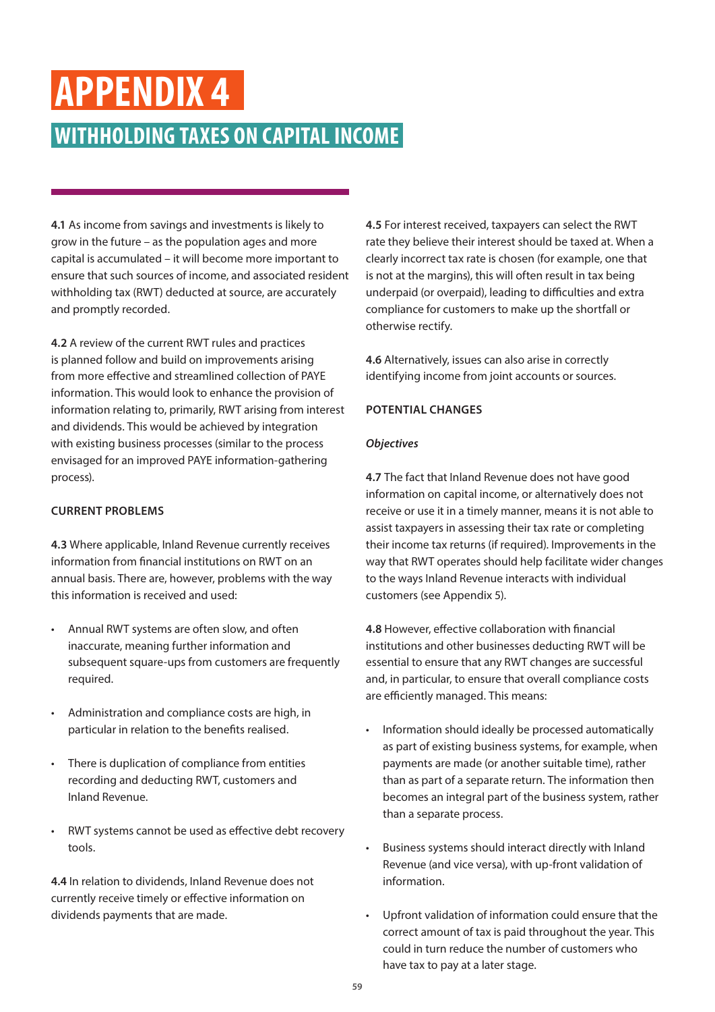## **APPENDIX 4**

### **WITHHOLDING TAXES ON CAPITAL INCOME**

**4.1** As income from savings and investments is likely to grow in the future – as the population ages and more capital is accumulated – it will become more important to ensure that such sources of income, and associated resident withholding tax (RWT) deducted at source, are accurately and promptly recorded.

**4.2** A review of the current RWT rules and practices is planned follow and build on improvements arising from more effective and streamlined collection of PAYE information. This would look to enhance the provision of information relating to, primarily, RWT arising from interest and dividends. This would be achieved by integration with existing business processes (similar to the process envisaged for an improved PAYE information-gathering process).

### **CURRENT PROBLEMS**

**4.3** Where applicable, Inland Revenue currently receives information from financial institutions on RWT on an annual basis. There are, however, problems with the way this information is received and used:

- Annual RWT systems are often slow, and often inaccurate, meaning further information and subsequent square-ups from customers are frequently required.
- Administration and compliance costs are high, in particular in relation to the benefits realised.
- There is duplication of compliance from entities recording and deducting RWT, customers and Inland Revenue.
- RWT systems cannot be used as effective debt recovery tools.

**4.4** In relation to dividends, Inland Revenue does not currently receive timely or effective information on dividends payments that are made.

**4.5** For interest received, taxpayers can select the RWT rate they believe their interest should be taxed at. When a clearly incorrect tax rate is chosen (for example, one that is not at the margins), this will often result in tax being underpaid (or overpaid), leading to difficulties and extra compliance for customers to make up the shortfall or otherwise rectify.

**4.6** Alternatively, issues can also arise in correctly identifying income from joint accounts or sources.

### **POTENTIAL CHANGES**

### *Objectives*

**4.7** The fact that Inland Revenue does not have good information on capital income, or alternatively does not receive or use it in a timely manner, means it is not able to assist taxpayers in assessing their tax rate or completing their income tax returns (if required). Improvements in the way that RWT operates should help facilitate wider changes to the ways Inland Revenue interacts with individual customers (see Appendix 5).

**4.8** However, effective collaboration with financial institutions and other businesses deducting RWT will be essential to ensure that any RWT changes are successful and, in particular, to ensure that overall compliance costs are efficiently managed. This means:

- Information should ideally be processed automatically as part of existing business systems, for example, when payments are made (or another suitable time), rather than as part of a separate return. The information then becomes an integral part of the business system, rather than a separate process.
- Business systems should interact directly with Inland Revenue (and vice versa), with up-front validation of information.
- Upfront validation of information could ensure that the correct amount of tax is paid throughout the year. This could in turn reduce the number of customers who have tax to pay at a later stage.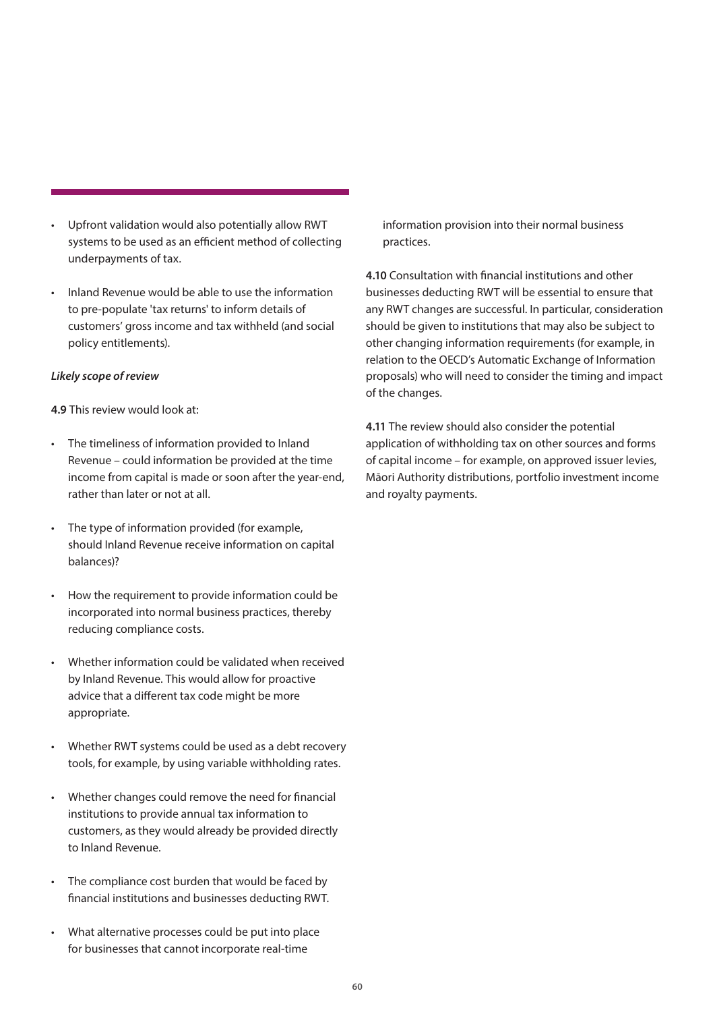- Upfront validation would also potentially allow RWT systems to be used as an efficient method of collecting underpayments of tax.
- Inland Revenue would be able to use the information to pre-populate 'tax returns' to inform details of customers' gross income and tax withheld (and social policy entitlements).

### *Likely scope of review*

**4.9** This review would look at:

- The timeliness of information provided to Inland Revenue – could information be provided at the time income from capital is made or soon after the year-end, rather than later or not at all.
- The type of information provided (for example, should Inland Revenue receive information on capital balances)?
- How the requirement to provide information could be incorporated into normal business practices, thereby reducing compliance costs.
- Whether information could be validated when received by Inland Revenue. This would allow for proactive advice that a different tax code might be more appropriate.
- Whether RWT systems could be used as a debt recovery tools, for example, by using variable withholding rates.
- Whether changes could remove the need for financial institutions to provide annual tax information to customers, as they would already be provided directly to Inland Revenue.
- The compliance cost burden that would be faced by financial institutions and businesses deducting RWT.
- What alternative processes could be put into place for businesses that cannot incorporate real-time

information provision into their normal business practices.

**4.10** Consultation with financial institutions and other businesses deducting RWT will be essential to ensure that any RWT changes are successful. In particular, consideration should be given to institutions that may also be subject to other changing information requirements (for example, in relation to the OECD's Automatic Exchange of Information proposals) who will need to consider the timing and impact of the changes.

**4.11** The review should also consider the potential application of withholding tax on other sources and forms of capital income – for example, on approved issuer levies, Māori Authority distributions, portfolio investment income and royalty payments.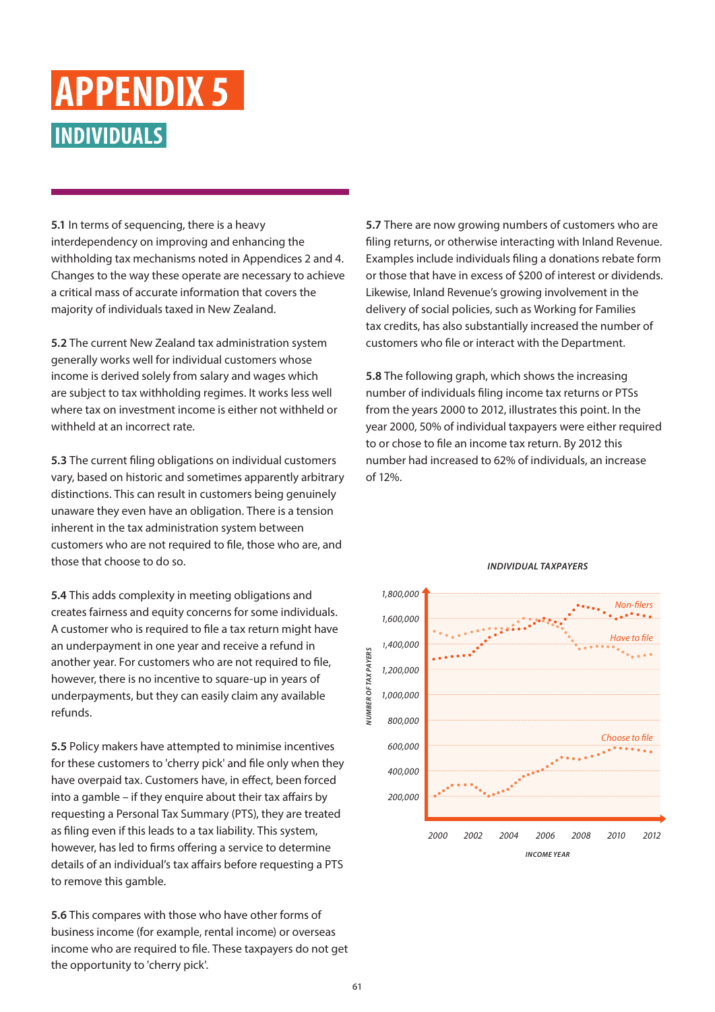### <span id="page-60-0"></span>**INDIVIDUALS APPENDIX 5**

**5.1** In terms of sequencing, there is a heavy interdependency on improving and enhancing the withholding tax mechanisms noted in Appendices 2 and 4. Changes to the way these operate are necessary to achieve a critical mass of accurate information that covers the majority of individuals taxed in New Zealand.

**5.2** The current New Zealand tax administration system generally works well for individual customers whose income is derived solely from salary and wages which are subject to tax withholding regimes. It works less well where tax on investment income is either not withheld or withheld at an incorrect rate.

**5.3** The current filing obligations on individual customers vary, based on historic and sometimes apparently arbitrary distinctions. This can result in customers being genuinely unaware they even have an obligation. There is a tension inherent in the tax administration system between customers who are not required to file, those who are, and those that choose to do so.

**5.4** This adds complexity in meeting obligations and creates fairness and equity concerns for some individuals. A customer who is required to file a tax return might have an underpayment in one year and receive a refund in another year. For customers who are not required to file, however, there is no incentive to square-up in years of underpayments, but they can easily claim any available refunds.

**5.5** Policy makers have attempted to minimise incentives for these customers to 'cherry pick' and file only when they have overpaid tax. Customers have, in effect, been forced into a gamble – if they enquire about their tax affairs by requesting a Personal Tax Summary (PTS), they are treated as filing even if this leads to a tax liability. This system, however, has led to firms offering a service to determine details of an individual's tax affairs before requesting a PTS to remove this gamble.

**5.6** This compares with those who have other forms of business income (for example, rental income) or overseas income who are required to file. These taxpayers do not get the opportunity to 'cherry pick'.

**5.7** There are now growing numbers of customers who are filing returns, or otherwise interacting with Inland Revenue. Examples include individuals filing a donations rebate form or those that have in excess of \$200 of interest or dividends. Likewise, Inland Revenue's growing involvement in the delivery of social policies, such as Working for Families tax credits, has also substantially increased the number of customers who file or interact with the Department.

**5.8** The following graph, which shows the increasing number of individuals filing income tax returns or PTSs from the years 2000 to 2012, illustrates this point. In the year 2000, 50% of individual taxpayers were either required to or chose to file an income tax return. By 2012 this number had increased to 62% of individuals, an increase of 12%.

![](_page_60_Figure_9.jpeg)

### *INDIVIDUAL TAXPAYERS*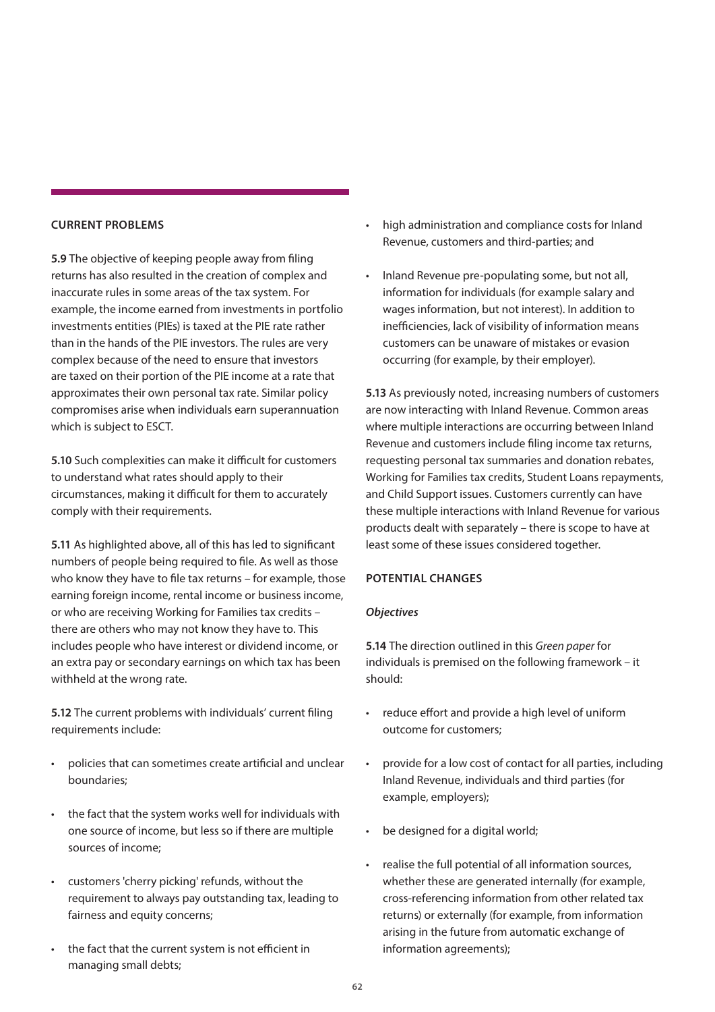### **CURRENT PROBLEMS**

**5.9** The objective of keeping people away from filing returns has also resulted in the creation of complex and inaccurate rules in some areas of the tax system. For example, the income earned from investments in portfolio investments entities (PIEs) is taxed at the PIE rate rather than in the hands of the PIE investors. The rules are very complex because of the need to ensure that investors are taxed on their portion of the PIE income at a rate that approximates their own personal tax rate. Similar policy compromises arise when individuals earn superannuation which is subject to ESCT.

**5.10** Such complexities can make it difficult for customers to understand what rates should apply to their circumstances, making it difficult for them to accurately comply with their requirements.

**5.11** As highlighted above, all of this has led to significant numbers of people being required to file. As well as those who know they have to file tax returns – for example, those earning foreign income, rental income or business income, or who are receiving Working for Families tax credits – there are others who may not know they have to. This includes people who have interest or dividend income, or an extra pay or secondary earnings on which tax has been withheld at the wrong rate.

**5.12** The current problems with individuals' current filing requirements include:

- policies that can sometimes create artificial and unclear boundaries;
- the fact that the system works well for individuals with one source of income, but less so if there are multiple sources of income;
- customers 'cherry picking' refunds, without the requirement to always pay outstanding tax, leading to fairness and equity concerns;
- the fact that the current system is not efficient in managing small debts;
- high administration and compliance costs for Inland Revenue, customers and third-parties; and
- Inland Revenue pre-populating some, but not all, information for individuals (for example salary and wages information, but not interest). In addition to inefficiencies, lack of visibility of information means customers can be unaware of mistakes or evasion occurring (for example, by their employer).

**5.13** As previously noted, increasing numbers of customers are now interacting with Inland Revenue. Common areas where multiple interactions are occurring between Inland Revenue and customers include filing income tax returns, requesting personal tax summaries and donation rebates, Working for Families tax credits, Student Loans repayments, and Child Support issues. Customers currently can have these multiple interactions with Inland Revenue for various products dealt with separately – there is scope to have at least some of these issues considered together.

### **POTENTIAL CHANGES**

### *Objectives*

**5.14** The direction outlined in this *Green paper* for individuals is premised on the following framework – it should:

- reduce effort and provide a high level of uniform outcome for customers;
- provide for a low cost of contact for all parties, including Inland Revenue, individuals and third parties (for example, employers);
- be designed for a digital world;
- realise the full potential of all information sources, whether these are generated internally (for example, cross-referencing information from other related tax returns) or externally (for example, from information arising in the future from automatic exchange of information agreements);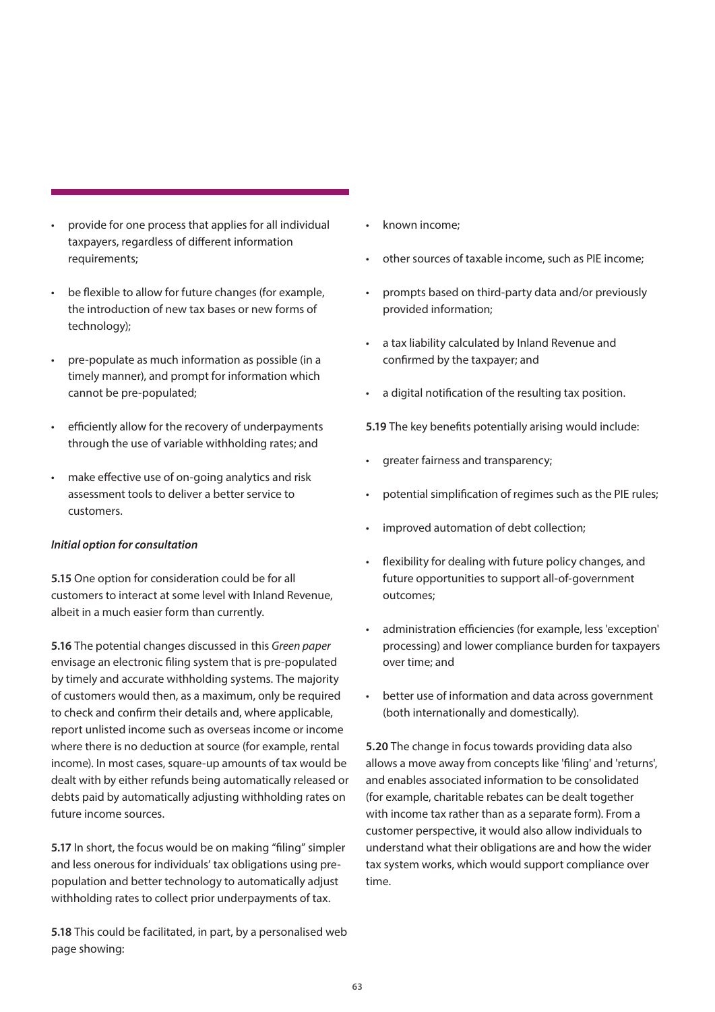- provide for one process that applies for all individual taxpayers, regardless of different information requirements:
- be flexible to allow for future changes (for example, the introduction of new tax bases or new forms of technology);
- pre-populate as much information as possible (in a timely manner), and prompt for information which cannot be pre-populated;
- efficiently allow for the recovery of underpayments through the use of variable withholding rates; and
- make effective use of on-going analytics and risk assessment tools to deliver a better service to customers.

### *Initial option for consultation*

**5.15** One option for consideration could be for all customers to interact at some level with Inland Revenue, albeit in a much easier form than currently.

**5.16** The potential changes discussed in this *Green paper* envisage an electronic filing system that is pre-populated by timely and accurate withholding systems. The majority of customers would then, as a maximum, only be required to check and confirm their details and, where applicable, report unlisted income such as overseas income or income where there is no deduction at source (for example, rental income). In most cases, square-up amounts of tax would be dealt with by either refunds being automatically released or debts paid by automatically adjusting withholding rates on future income sources.

**5.17** In short, the focus would be on making "filing" simpler and less onerous for individuals' tax obligations using prepopulation and better technology to automatically adjust withholding rates to collect prior underpayments of tax.

**5.18** This could be facilitated, in part, by a personalised web page showing:

- known income:
- other sources of taxable income, such as PIE income;
- prompts based on third-party data and/or previously provided information;
- a tax liability calculated by Inland Revenue and confirmed by the taxpayer; and
- a digital notification of the resulting tax position.

**5.19** The key benefits potentially arising would include:

- greater fairness and transparency;
- potential simplification of regimes such as the PIE rules;
- improved automation of debt collection;
- flexibility for dealing with future policy changes, and future opportunities to support all-of-government outcomes;
- administration efficiencies (for example, less 'exception' processing) and lower compliance burden for taxpayers over time; and
- better use of information and data across government (both internationally and domestically).

**5.20** The change in focus towards providing data also allows a move away from concepts like 'filing' and 'returns', and enables associated information to be consolidated (for example, charitable rebates can be dealt together with income tax rather than as a separate form). From a customer perspective, it would also allow individuals to understand what their obligations are and how the wider tax system works, which would support compliance over time.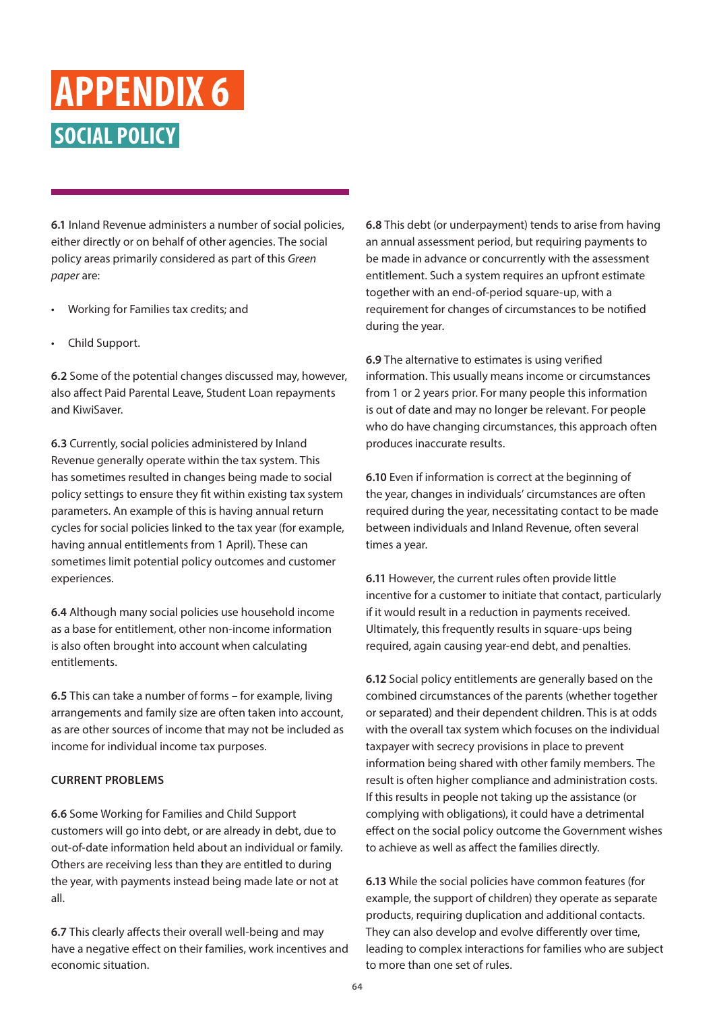### <span id="page-63-0"></span>**SOCIAL POLICY APPENDIX 6**

**6.1** Inland Revenue administers a number of social policies, either directly or on behalf of other agencies. The social policy areas primarily considered as part of this *Green paper* are:

- Working for Families tax credits; and
- Child Support.

**6.2** Some of the potential changes discussed may, however, also affect Paid Parental Leave, Student Loan repayments and KiwiSaver.

**6.3** Currently, social policies administered by Inland Revenue generally operate within the tax system. This has sometimes resulted in changes being made to social policy settings to ensure they fit within existing tax system parameters. An example of this is having annual return cycles for social policies linked to the tax year (for example, having annual entitlements from 1 April). These can sometimes limit potential policy outcomes and customer experiences.

**6.4** Although many social policies use household income as a base for entitlement, other non-income information is also often brought into account when calculating entitlements.

**6.5** This can take a number of forms – for example, living arrangements and family size are often taken into account, as are other sources of income that may not be included as income for individual income tax purposes.

### **CURRENT PROBLEMS**

**6.6** Some Working for Families and Child Support customers will go into debt, or are already in debt, due to out-of-date information held about an individual or family. Others are receiving less than they are entitled to during the year, with payments instead being made late or not at all.

**6.7** This clearly affects their overall well-being and may have a negative effect on their families, work incentives and economic situation.

**6.8** This debt (or underpayment) tends to arise from having an annual assessment period, but requiring payments to be made in advance or concurrently with the assessment entitlement. Such a system requires an upfront estimate together with an end-of-period square-up, with a requirement for changes of circumstances to be notified during the year.

**6.9** The alternative to estimates is using verified information. This usually means income or circumstances from 1 or 2 years prior. For many people this information is out of date and may no longer be relevant. For people who do have changing circumstances, this approach often produces inaccurate results.

**6.10** Even if information is correct at the beginning of the year, changes in individuals' circumstances are often required during the year, necessitating contact to be made between individuals and Inland Revenue, often several times a year.

**6.11** However, the current rules often provide little incentive for a customer to initiate that contact, particularly if it would result in a reduction in payments received. Ultimately, this frequently results in square-ups being required, again causing year-end debt, and penalties.

**6.12** Social policy entitlements are generally based on the combined circumstances of the parents (whether together or separated) and their dependent children. This is at odds with the overall tax system which focuses on the individual taxpayer with secrecy provisions in place to prevent information being shared with other family members. The result is often higher compliance and administration costs. If this results in people not taking up the assistance (or complying with obligations), it could have a detrimental effect on the social policy outcome the Government wishes to achieve as well as affect the families directly.

**6.13** While the social policies have common features (for example, the support of children) they operate as separate products, requiring duplication and additional contacts. They can also develop and evolve differently over time, leading to complex interactions for families who are subject to more than one set of rules.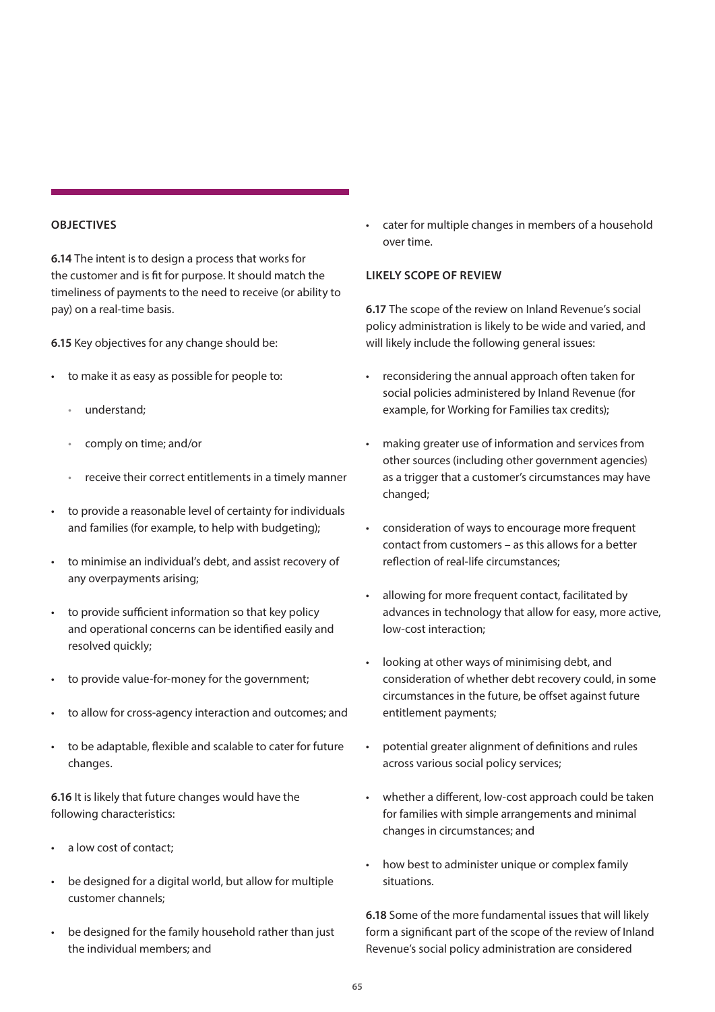### **OBJECTIVES**

**6.14** The intent is to design a process that works for the customer and is fit for purpose. It should match the timeliness of payments to the need to receive (or ability to pay) on a real-time basis.

**6.15** Key objectives for any change should be:

- to make it as easy as possible for people to:
	- understand;
	- comply on time; and/or
	- receive their correct entitlements in a timely manner
- to provide a reasonable level of certainty for individuals and families (for example, to help with budgeting);
- to minimise an individual's debt, and assist recovery of any overpayments arising;
- to provide sufficient information so that key policy and operational concerns can be identified easily and resolved quickly;
- to provide value-for-money for the government;
- to allow for cross-agency interaction and outcomes; and
- to be adaptable, flexible and scalable to cater for future changes.

**6.16** It is likely that future changes would have the following characteristics:

- a low cost of contact;
- be designed for a digital world, but allow for multiple customer channels;
- be designed for the family household rather than just the individual members; and

• cater for multiple changes in members of a household over time.

### **LIKELY SCOPE OF REVIEW**

**6.17** The scope of the review on Inland Revenue's social policy administration is likely to be wide and varied, and will likely include the following general issues:

- reconsidering the annual approach often taken for social policies administered by Inland Revenue (for example, for Working for Families tax credits);
- making greater use of information and services from other sources (including other government agencies) as a trigger that a customer's circumstances may have changed;
- consideration of ways to encourage more frequent contact from customers – as this allows for a better reflection of real-life circumstances;
- allowing for more frequent contact, facilitated by advances in technology that allow for easy, more active, low-cost interaction;
- looking at other ways of minimising debt, and consideration of whether debt recovery could, in some circumstances in the future, be offset against future entitlement payments;
- potential greater alignment of definitions and rules across various social policy services;
- whether a different, low-cost approach could be taken for families with simple arrangements and minimal changes in circumstances; and
- how best to administer unique or complex family situations.

**6.18** Some of the more fundamental issues that will likely form a significant part of the scope of the review of Inland Revenue's social policy administration are considered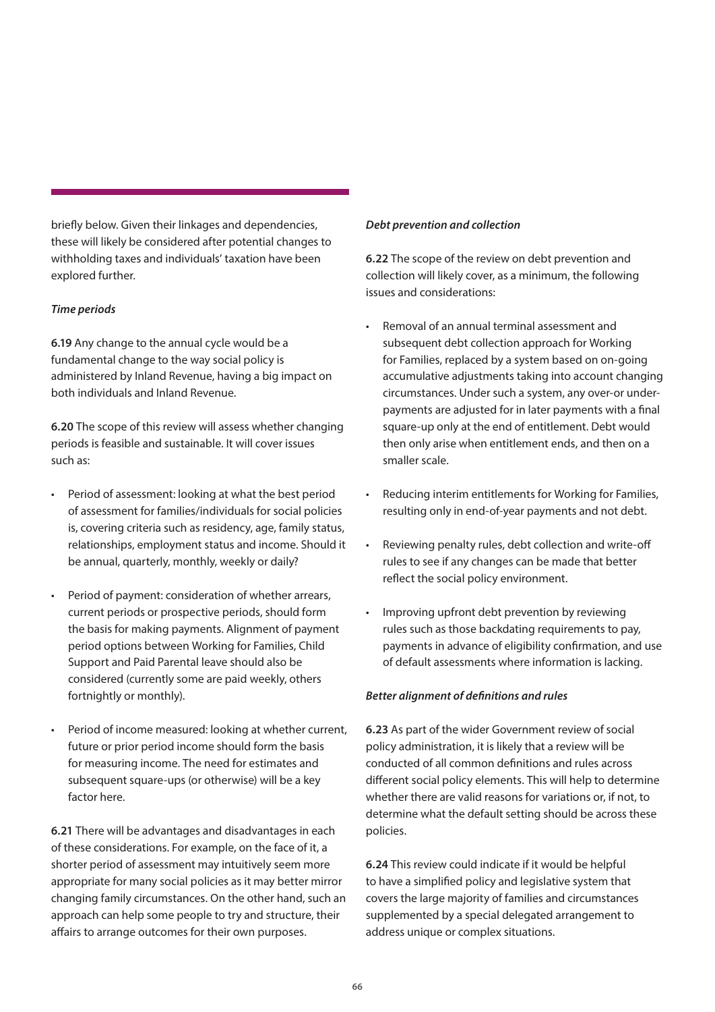briefly below. Given their linkages and dependencies, these will likely be considered after potential changes to withholding taxes and individuals' taxation have been explored further.

### *Time periods*

**6.19** Any change to the annual cycle would be a fundamental change to the way social policy is administered by Inland Revenue, having a big impact on both individuals and Inland Revenue.

**6.20** The scope of this review will assess whether changing periods is feasible and sustainable. It will cover issues such as:

- Period of assessment: looking at what the best period of assessment for families/individuals for social policies is, covering criteria such as residency, age, family status, relationships, employment status and income. Should it be annual, quarterly, monthly, weekly or daily?
- Period of payment: consideration of whether arrears, current periods or prospective periods, should form the basis for making payments. Alignment of payment period options between Working for Families, Child Support and Paid Parental leave should also be considered (currently some are paid weekly, others fortnightly or monthly).
- Period of income measured: looking at whether current, future or prior period income should form the basis for measuring income. The need for estimates and subsequent square-ups (or otherwise) will be a key factor here.

**6.21** There will be advantages and disadvantages in each of these considerations. For example, on the face of it, a shorter period of assessment may intuitively seem more appropriate for many social policies as it may better mirror changing family circumstances. On the other hand, such an approach can help some people to try and structure, their affairs to arrange outcomes for their own purposes.

### *Debt prevention and collection*

**6.22** The scope of the review on debt prevention and collection will likely cover, as a minimum, the following issues and considerations:

- Removal of an annual terminal assessment and subsequent debt collection approach for Working for Families, replaced by a system based on on-going accumulative adjustments taking into account changing circumstances. Under such a system, any over-or underpayments are adjusted for in later payments with a final square-up only at the end of entitlement. Debt would then only arise when entitlement ends, and then on a smaller scale.
- Reducing interim entitlements for Working for Families, resulting only in end-of-year payments and not debt.
- Reviewing penalty rules, debt collection and write-off rules to see if any changes can be made that better reflect the social policy environment.
- Improving upfront debt prevention by reviewing rules such as those backdating requirements to pay, payments in advance of eligibility confirmation, and use of default assessments where information is lacking.

### *Better alignment of definitions and rules*

**6.23** As part of the wider Government review of social policy administration, it is likely that a review will be conducted of all common definitions and rules across different social policy elements. This will help to determine whether there are valid reasons for variations or, if not, to determine what the default setting should be across these policies.

**6.24** This review could indicate if it would be helpful to have a simplified policy and legislative system that covers the large majority of families and circumstances supplemented by a special delegated arrangement to address unique or complex situations.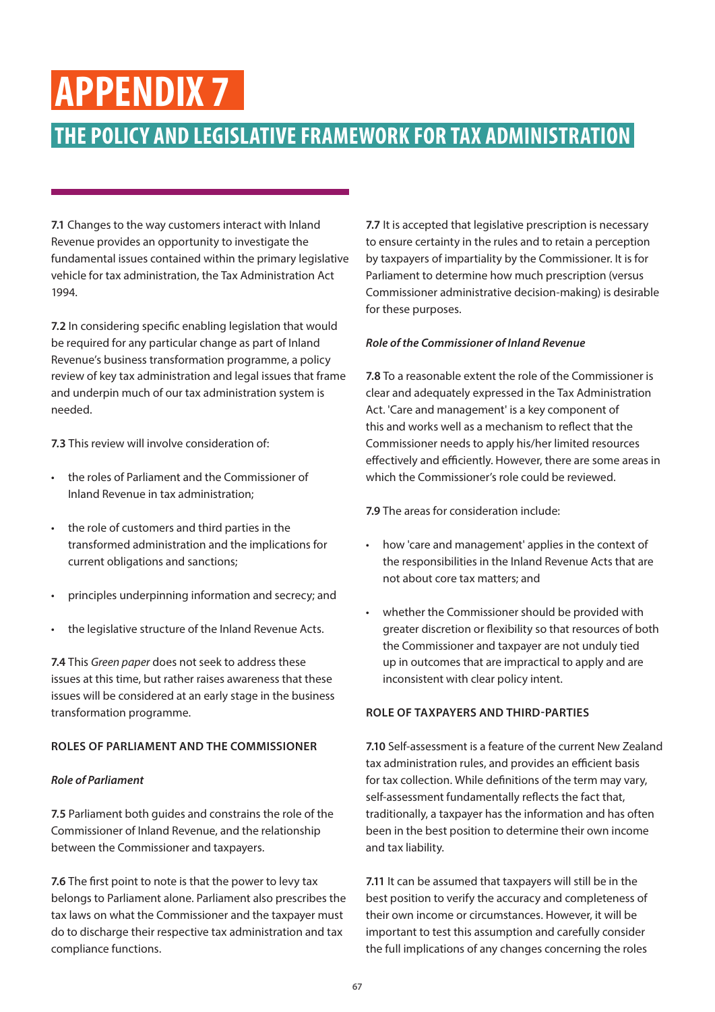### <span id="page-66-0"></span>**APPENDIX 7**

### **THE POLICY AND LEGISLATIVE FRAMEWORK FOR TAX ADMINISTRATION**

**7.1** Changes to the way customers interact with Inland Revenue provides an opportunity to investigate the fundamental issues contained within the primary legislative vehicle for tax administration, the Tax Administration Act 1994.

**7.2** In considering specific enabling legislation that would be required for any particular change as part of Inland Revenue's business transformation programme, a policy review of key tax administration and legal issues that frame and underpin much of our tax administration system is needed.

**7.3** This review will involve consideration of:

- the roles of Parliament and the Commissioner of Inland Revenue in tax administration;
- the role of customers and third parties in the transformed administration and the implications for current obligations and sanctions;
- principles underpinning information and secrecy; and
- the legislative structure of the Inland Revenue Acts.

**7.4** This *Green paper* does not seek to address these issues at this time, but rather raises awareness that these issues will be considered at an early stage in the business transformation programme.

### **ROLES OF PARLIAMENT AND THE COMMISSIONER**

### *Role of Parliament*

**7.5** Parliament both guides and constrains the role of the Commissioner of Inland Revenue, and the relationship between the Commissioner and taxpayers.

**7.6** The first point to note is that the power to levy tax belongs to Parliament alone. Parliament also prescribes the tax laws on what the Commissioner and the taxpayer must do to discharge their respective tax administration and tax compliance functions.

**7.7** It is accepted that legislative prescription is necessary to ensure certainty in the rules and to retain a perception by taxpayers of impartiality by the Commissioner. It is for Parliament to determine how much prescription (versus Commissioner administrative decision-making) is desirable for these purposes.

### *Role of the Commissioner of Inland Revenue*

**7.8** To a reasonable extent the role of the Commissioner is clear and adequately expressed in the Tax Administration Act. 'Care and management' is a key component of this and works well as a mechanism to reflect that the Commissioner needs to apply his/her limited resources effectively and efficiently. However, there are some areas in which the Commissioner's role could be reviewed.

**7.9** The areas for consideration include:

- how 'care and management' applies in the context of the responsibilities in the Inland Revenue Acts that are not about core tax matters; and
- whether the Commissioner should be provided with greater discretion or flexibility so that resources of both the Commissioner and taxpayer are not unduly tied up in outcomes that are impractical to apply and are inconsistent with clear policy intent.

### **ROLE OF TAXPAYERS AND THIRD-PARTIES**

**7.10** Self-assessment is a feature of the current New Zealand tax administration rules, and provides an efficient basis for tax collection. While definitions of the term may vary, self-assessment fundamentally reflects the fact that, traditionally, a taxpayer has the information and has often been in the best position to determine their own income and tax liability.

**7.11** It can be assumed that taxpayers will still be in the best position to verify the accuracy and completeness of their own income or circumstances. However, it will be important to test this assumption and carefully consider the full implications of any changes concerning the roles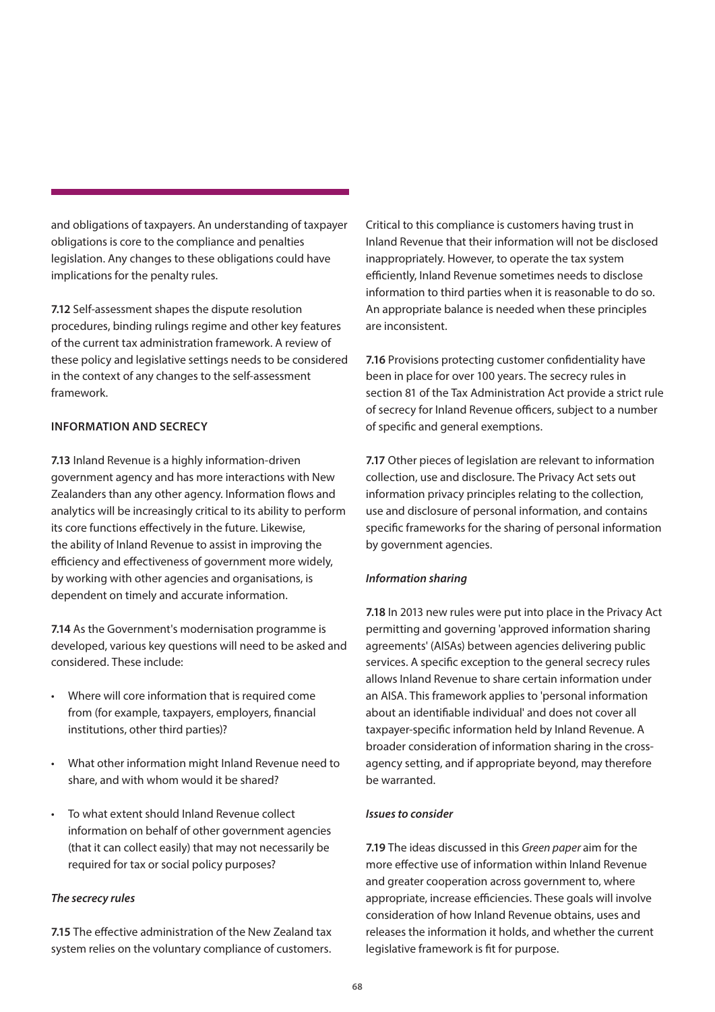and obligations of taxpayers. An understanding of taxpayer obligations is core to the compliance and penalties legislation. Any changes to these obligations could have implications for the penalty rules.

**7.12** Self-assessment shapes the dispute resolution procedures, binding rulings regime and other key features of the current tax administration framework. A review of these policy and legislative settings needs to be considered in the context of any changes to the self-assessment framework.

### **INFORMATION AND SECRECY**

**7.13** Inland Revenue is a highly information-driven government agency and has more interactions with New Zealanders than any other agency. Information flows and analytics will be increasingly critical to its ability to perform its core functions effectively in the future. Likewise, the ability of Inland Revenue to assist in improving the efficiency and effectiveness of government more widely, by working with other agencies and organisations, is dependent on timely and accurate information.

**7.14** As the Government's modernisation programme is developed, various key questions will need to be asked and considered. These include:

- Where will core information that is required come from (for example, taxpayers, employers, financial institutions, other third parties)?
- What other information might Inland Revenue need to share, and with whom would it be shared?
- To what extent should Inland Revenue collect information on behalf of other government agencies (that it can collect easily) that may not necessarily be required for tax or social policy purposes?

### *The secrecy rules*

**7.15** The effective administration of the New Zealand tax system relies on the voluntary compliance of customers. Critical to this compliance is customers having trust in Inland Revenue that their information will not be disclosed inappropriately. However, to operate the tax system efficiently, Inland Revenue sometimes needs to disclose information to third parties when it is reasonable to do so. An appropriate balance is needed when these principles are inconsistent.

**7.16** Provisions protecting customer confidentiality have been in place for over 100 years. The secrecy rules in section 81 of the Tax Administration Act provide a strict rule of secrecy for Inland Revenue officers, subject to a number of specific and general exemptions.

**7.17** Other pieces of legislation are relevant to information collection, use and disclosure. The Privacy Act sets out information privacy principles relating to the collection, use and disclosure of personal information, and contains specific frameworks for the sharing of personal information by government agencies.

### *Information sharing*

**7.18** In 2013 new rules were put into place in the Privacy Act permitting and governing 'approved information sharing agreements' (AISAs) between agencies delivering public services. A specific exception to the general secrecy rules allows Inland Revenue to share certain information under an AISA. This framework applies to 'personal information about an identifiable individual' and does not cover all taxpayer-specific information held by Inland Revenue. A broader consideration of information sharing in the crossagency setting, and if appropriate beyond, may therefore be warranted.

### *Issues to consider*

**7.19** The ideas discussed in this *Green paper* aim for the more effective use of information within Inland Revenue and greater cooperation across government to, where appropriate, increase efficiencies. These goals will involve consideration of how Inland Revenue obtains, uses and releases the information it holds, and whether the current legislative framework is fit for purpose.